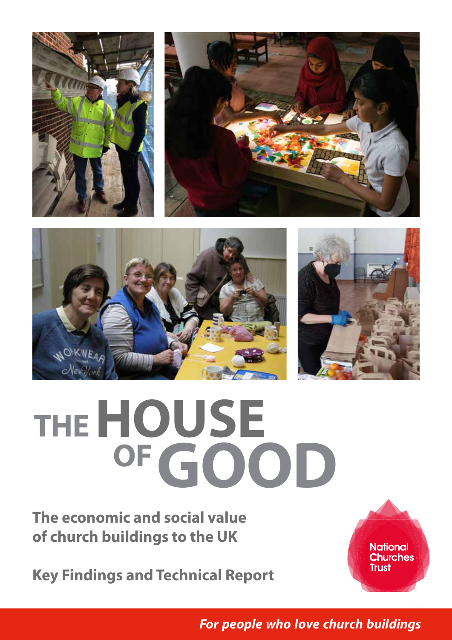







# **OF THEHOUSE GOOD**

**The economic and social value of church buildings to the UK**

**Key Findings and Technical Report**



The House of Good **1 For people who love church buildings**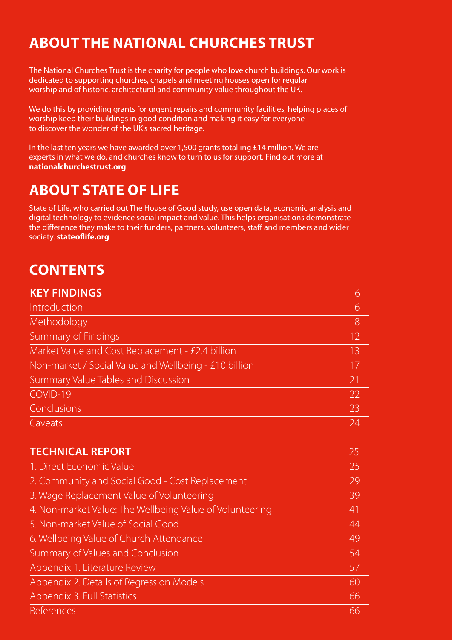# **ABOUT THE NATIONAL CHURCHES TRUST**

The National Churches Trust is the charity for people who love church buildings. Our work is dedicated to supporting churches, chapels and meeting houses open for regular worship and of historic, architectural and community value throughout the UK.

We do this by providing grants for urgent repairs and community facilities, helping places of worship keep their buildings in good condition and making it easy for everyone to discover the wonder of the UK's sacred heritage.

In the last ten years we have awarded over 1,500 grants totalling £14 million. We are experts in what we do, and churches know to turn to us for support. Find out more at **nationalchurchestrust.org**

# **ABOUT STATE OF LIFE**

State of Life, who carried out The House of Good study, use open data, economic analysis and digital technology to evidence social impact and value. This helps organisations demonstrate the difference they make to their funders, partners, volunteers, staff and members and wider society. **stateoflife.org**

# **CONTENTS**

| <b>KEY FINDINGS</b>                                      | 6  |
|----------------------------------------------------------|----|
| Introduction                                             | 6  |
| Methodology                                              | 8  |
| <b>Summary of Findings</b>                               | 12 |
| Market Value and Cost Replacement - £2.4 billion         | 13 |
| Non-market / Social Value and Wellbeing - £10 billion    | 17 |
| Summary Value Tables and Discussion                      | 21 |
| COVID-19                                                 | 22 |
| Conclusions                                              | 23 |
| Caveats                                                  | 24 |
|                                                          |    |
| <b>TECHNICAL REPORT</b>                                  | 25 |
| 1. Direct Economic Value                                 | 25 |
| 2. Community and Social Good - Cost Replacement          | 29 |
| 3. Wage Replacement Value of Volunteering                | 39 |
| 4. Non-market Value: The Wellbeing Value of Volunteering | 41 |
| 5. Non-market Value of Social Good                       | 44 |
| 6. Wellbeing Value of Church Attendance                  | 49 |
| Summary of Values and Conclusion                         | 54 |
| Appendix 1. Literature Review                            | 57 |
| Appendix 2. Details of Regression Models                 | 60 |
| Appendix 3. Full Statistics                              | 66 |
| References                                               | 66 |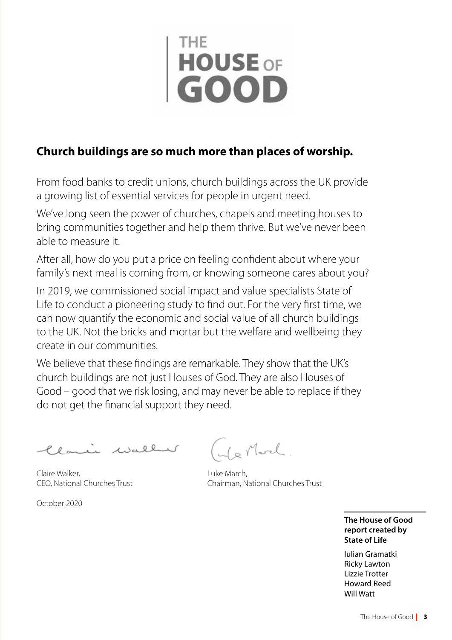# **HOUSE OF**

# **Church buildings are so much more than places of worship.**

From food banks to credit unions, church buildings across the UK provide a growing list of essential services for people in urgent need.

We've long seen the power of churches, chapels and meeting houses to bring communities together and help them thrive. But we've never been able to measure it.

After all, how do you put a price on feeling confident about where your family's next meal is coming from, or knowing someone cares about you?

In 2019, we commissioned social impact and value specialists State of Life to conduct a pioneering study to find out. For the very first time, we can now quantify the economic and social value of all church buildings to the UK. Not the bricks and mortar but the welfare and wellbeing they create in our communities.

We believe that these findings are remarkable. They show that the UK's church buildings are not just Houses of God. They are also Houses of Good – good that we risk losing, and may never be able to replace if they do not get the financial support they need.

Clamic waller

Claire Walker, CEO, National Churches Trust

October 2020

Is Mod

Luke March, Chairman, National Churches Trust

**The House of Good report created by State of Life** 

Iulian Gramatki Ricky Lawton Lizzie Trotter Howard Reed Will Watt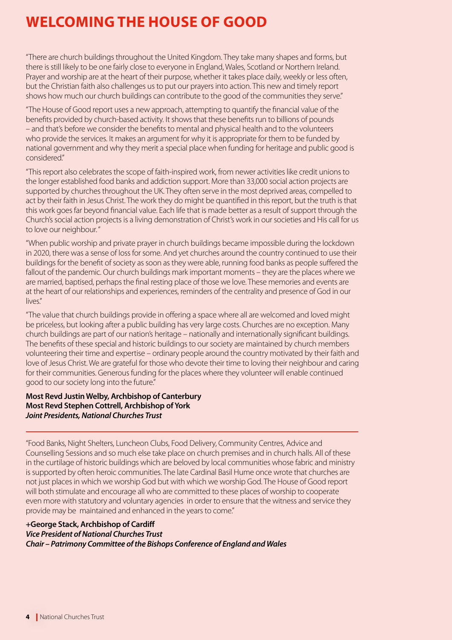# **WELCOMING THE HOUSE OF GOOD**

"There are church buildings throughout the United Kingdom. They take many shapes and forms, but there is still likely to be one fairly close to everyone in England, Wales, Scotland or Northern Ireland. Prayer and worship are at the heart of their purpose, whether it takes place daily, weekly or less often, but the Christian faith also challenges us to put our prayers into action. This new and timely report shows how much our church buildings can contribute to the good of the communities they serve."

"The House of Good report uses a new approach, attempting to quantify the financial value of the benefits provided by church-based activity. It shows that these benefits run to billions of pounds – and that's before we consider the benefits to mental and physical health and to the volunteers who provide the services. It makes an argument for why it is appropriate for them to be funded by national government and why they merit a special place when funding for heritage and public good is considered."

"This report also celebrates the scope of faith-inspired work, from newer activities like credit unions to the longer established food banks and addiction support. More than 33,000 social action projects are supported by churches throughout the UK. They often serve in the most deprived areas, compelled to act by their faith in Jesus Christ. The work they do might be quantified in this report, but the truth is that this work goes far beyond financial value. Each life that is made better as a result of support through the Church's social action projects is a living demonstration of Christ's work in our societies and His call for us to love our neighbour."

"When public worship and private prayer in church buildings became impossible during the lockdown in 2020, there was a sense of loss for some. And yet churches around the country continued to use their buildings for the benefit of society as soon as they were able, running food banks as people suffered the fallout of the pandemic. Our church buildings mark important moments – they are the places where we are married, baptised, perhaps the final resting place of those we love. These memories and events are at the heart of our relationships and experiences, reminders of the centrality and presence of God in our lives."

"The value that church buildings provide in offering a space where all are welcomed and loved might be priceless, but looking after a public building has very large costs. Churches are no exception. Many church buildings are part of our nation's heritage – nationally and internationally significant buildings. The benefits of these special and historic buildings to our society are maintained by church members volunteering their time and expertise – ordinary people around the country motivated by their faith and love of Jesus Christ. We are grateful for those who devote their time to loving their neighbour and caring for their communities. Generous funding for the places where they volunteer will enable continued good to our society long into the future."

# **Most Revd Justin Welby, Archbishop of Canterbury Most Revd Stephen Cottrell, Archbishop of York** *Joint Presidents, National Churches Trust*

"Food Banks, Night Shelters, Luncheon Clubs, Food Delivery, Community Centres, Advice and Counselling Sessions and so much else take place on church premises and in church halls. All of these in the curtilage of historic buildings which are beloved by local communities whose fabric and ministry is supported by often heroic communities. The late Cardinal Basil Hume once wrote that churches are not just places in which we worship God but with which we worship God. The House of Good report will both stimulate and encourage all who are committed to these places of worship to cooperate even more with statutory and voluntary agencies in order to ensure that the witness and service they provide may be maintained and enhanced in the years to come."

# **+George Stack, Archbishop of Cardiff**

# *Vice President of National Churches Trust*

*Chair – Patrimony Committee of the Bishops Conference of England and Wales*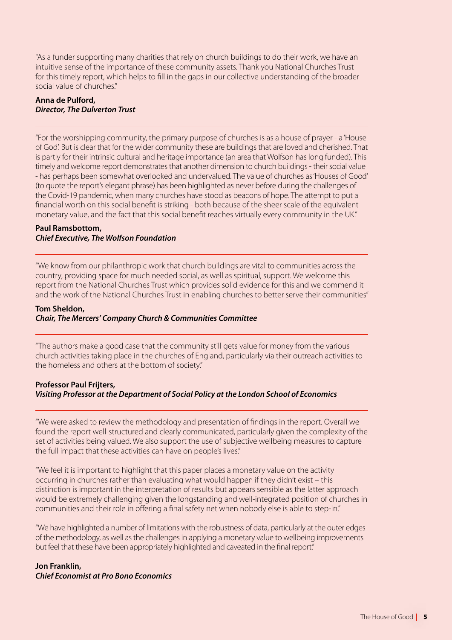"As a funder supporting many charities that rely on church buildings to do their work, we have an intuitive sense of the importance of these community assets. Thank you National Churches Trust for this timely report, which helps to fill in the gaps in our collective understanding of the broader social value of churches."

# **Anna de Pulford,**  *Director, The Dulverton Trust*

"For the worshipping community, the primary purpose of churches is as a house of prayer - a 'House of God'. But is clear that for the wider community these are buildings that are loved and cherished. That is partly for their intrinsic cultural and heritage importance (an area that Wolfson has long funded). This timely and welcome report demonstrates that another dimension to church buildings - their social value - has perhaps been somewhat overlooked and undervalued. The value of churches as 'Houses of Good' (to quote the report's elegant phrase) has been highlighted as never before during the challenges of the Covid-19 pandemic, when many churches have stood as beacons of hope. The attempt to put a financial worth on this social benefit is striking - both because of the sheer scale of the equivalent monetary value, and the fact that this social benefit reaches virtually every community in the UK."

#### **Paul Ramsbottom,**  *Chief Executive, The Wolfson Foundation*

"We know from our philanthropic work that church buildings are vital to communities across the country, providing space for much needed social, as well as spiritual, support. We welcome this report from the National Churches Trust which provides solid evidence for this and we commend it and the work of the National Churches Trust in enabling churches to better serve their communities"

#### **Tom Sheldon,** *Chair, The Mercers' Company Church & Communities Committee*

"The authors make a good case that the community still gets value for money from the various church activities taking place in the churches of England, particularly via their outreach activities to the homeless and others at the bottom of society."

# **Professor Paul Frijters,**  *Visiting Professor at the Department of Social Policy at the London School of Economics*

"We were asked to review the methodology and presentation of findings in the report. Overall we found the report well-structured and clearly communicated, particularly given the complexity of the set of activities being valued. We also support the use of subjective wellbeing measures to capture the full impact that these activities can have on people's lives."

"We feel it is important to highlight that this paper places a monetary value on the activity occurring in churches rather than evaluating what would happen if they didn't exist – this distinction is important in the interpretation of results but appears sensible as the latter approach would be extremely challenging given the longstanding and well-integrated position of churches in communities and their role in offering a final safety net when nobody else is able to step-in."

"We have highlighted a number of limitations with the robustness of data, particularly at the outer edges of the methodology, as well as the challenges in applying a monetary value to wellbeing improvements but feel that these have been appropriately highlighted and caveated in the final report."

**Jon Franklin,**  *Chief Economist at Pro Bono Economics*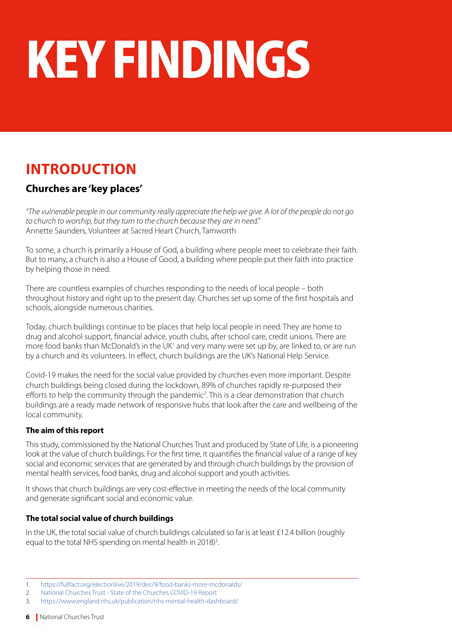# KEY FINDINGS

# **INTRODUCTION**

# **Churches are 'key places'**

*"The vulnerable people in our community really appreciate the help we give. A lot of the people do not go to church to worship, but they turn to the church because they are in need."* Annette Saunders, Volunteer at Sacred Heart Church, Tamworth

To some, a church is primarily a House of God, a building where people meet to celebrate their faith. But to many, a church is also a House of Good, a building where people put their faith into practice by helping those in need.

There are countless examples of churches responding to the needs of local people – both throughout history and right up to the present day. Churches set up some of the first hospitals and schools, alongside numerous charities.

Today, church buildings continue to be places that help local people in need. They are home to drug and alcohol support, financial advice, youth clubs, after school care, credit unions. There are more food banks than McDonald's in the UK<sup>1</sup> and very many were set up by, are linked to, or are run by a church and its volunteers. In effect, church buildings are the UK's National Help Service.

Covid-19 makes the need for the social value provided by churches even more important. Despite church buildings being closed during the lockdown, 89% of churches rapidly re-purposed their efforts to help the community through the pandemic<sup>2</sup>. This is a clear demonstration that church buildings are a ready made network of responsive hubs that look after the care and wellbeing of the local community.

# **The aim of this report**

This study, commissioned by the National Churches Trust and produced by State of Life, is a pioneering look at the value of church buildings. For the first time, it quantifies the financial value of a range of key social and economic services that are generated by and through church buildings by the provision of mental health services, food banks, drug and alcohol support and youth activities.

It shows that church buildings are very cost-effective in meeting the needs of the local community and generate significant social and economic value.

# **The total social value of church buildings**

In the UK, the total social value of church buildings calculated so far is at least £12.4 billion (roughly equal to the total NHS spending on mental health in 2018)<sup>3</sup>. .

<sup>1.</sup> <https://fullfact.org/electionlive/2019/dec/9/food-banks-more-mcdonalds/>

<sup>2.</sup> [National Churches Trust - State of the Churches COVID-19 Report](https://www.nationalchurchestrust.org/sites/default/files/29-05-20%20State%20of%20the%20churches%20COVID-19%20FINAL%20PDF.pdf)

<sup>3.</sup> <https://www.england.nhs.uk/publication/nhs-mental-health-dashboard/>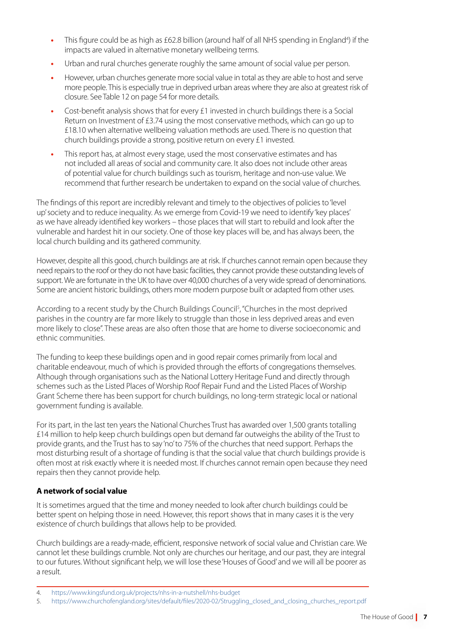- This figure could be as high as £62.8 billion (around half of all NHS spending in England<sup>4</sup>) if the impacts are valued in alternative monetary wellbeing terms.
- **•** Urban and rural churches generate roughly the same amount of social value per person.
- **•** However, urban churches generate more social value in total as they are able to host and serve more people. This is especially true in deprived urban areas where they are also at greatest risk of closure. See Table 12 on page 54 for more details.
- **•** Cost-benefit analysis shows that for every £1 invested in church buildings there is a Social Return on Investment of £3.74 using the most conservative methods, which can go up to £18.10 when alternative wellbeing valuation methods are used. There is no question that church buildings provide a strong, positive return on every £1 invested.
- **•** This report has, at almost every stage, used the most conservative estimates and has not included all areas of social and community care. It also does not include other areas of potential value for church buildings such as tourism, heritage and non-use value. We recommend that further research be undertaken to expand on the social value of churches.

The findings of this report are incredibly relevant and timely to the objectives of policies to 'level up' society and to reduce inequality. As we emerge from Covid-19 we need to identify 'key places' as we have already identified key workers – those places that will start to rebuild and look after the vulnerable and hardest hit in our society. One of those key places will be, and has always been, the local church building and its gathered community.

However, despite all this good, church buildings are at risk. If churches cannot remain open because they need repairs to the roof or they do not have basic facilities, they cannot provide these outstanding levels of support. We are fortunate in the UK to have over 40,000 churches of a very wide spread of denominations. Some are ancient historic buildings, others more modern purpose built or adapted from other uses.

According to a recent study by the Church Buildings Council<sup>5</sup>, "Churches in the most deprived parishes in the country are far more likely to struggle than those in less deprived areas and even more likely to close". These areas are also often those that are home to diverse socioeconomic and ethnic communities.

The funding to keep these buildings open and in good repair comes primarily from local and charitable endeavour, much of which is provided through the efforts of congregations themselves. Although through organisations such as the National Lottery Heritage Fund and directly through schemes such as the Listed Places of Worship Roof Repair Fund and the Listed Places of Worship Grant Scheme there has been support for church buildings, no long-term strategic local or national government funding is available.

For its part, in the last ten years the National Churches Trust has awarded over 1,500 grants totalling £14 million to help keep church buildings open but demand far outweighs the ability of the Trust to provide grants, and the Trust has to say 'no' to 75% of the churches that need support. Perhaps the most disturbing result of a shortage of funding is that the social value that church buildings provide is often most at risk exactly where it is needed most. If churches cannot remain open because they need repairs then they cannot provide help.

# **A network of social value**

It is sometimes argued that the time and money needed to look after church buildings could be better spent on helping those in need. However, this report shows that in many cases it is the very existence of church buildings that allows help to be provided.

Church buildings are a ready-made, efficient, responsive network of social value and Christian care. We cannot let these buildings crumble. Not only are churches our heritage, and our past, they are integral to our futures. Without significant help, we will lose these 'Houses of Good' and we will all be poorer as a result.

<sup>4.</sup> <https://www.kingsfund.org.uk/projects/nhs-in-a-nutshell/nhs-budget>

<sup>5.</sup> [https://www.churchofengland.org/sites/default/files/2020-02/Struggling\\_closed\\_and\\_closing\\_churches\\_report.pdf](https://www.churchofengland.org/sites/default/files/2020-02/Struggling_closed_and_closing_churches_report.pdf)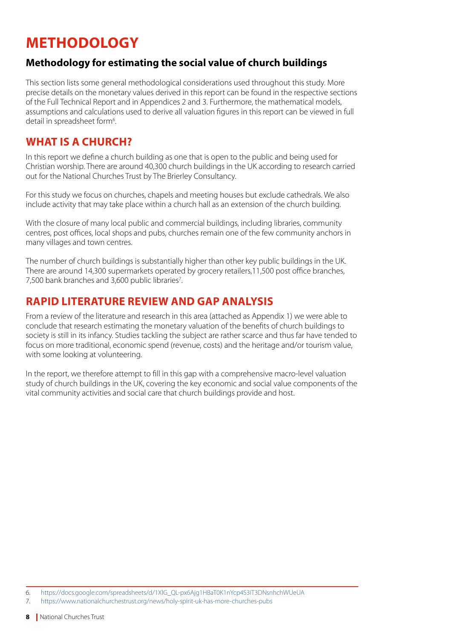# **METHODOLOGY**

# **Methodology for estimating the social value of church buildings**

This section lists some general methodological considerations used throughout this study. More precise details on the monetary values derived in this report can be found in the respective sections of the Full Technical Report and in Appendices 2 and 3. Furthermore, the mathematical models, assumptions and calculations used to derive all valuation figures in this report can be viewed in full detail in spreadsheet form<sup>6</sup>. .

# **WHAT IS A CHURCH?**

In this report we define a church building as one that is open to the public and being used for Christian worship. There are around 40,300 church buildings in the UK according to research carried out for the National Churches Trust by [The Brierley Consultancy.](https://www.nationalchurchestrust.org/news/there%20are%20around%2040,300%20church%20buildings%20in%20the%20UK%20open%20to%20the%20public%20and%20being%20used%20for%20worship) 

For this study we focus on churches, chapels and meeting houses but exclude cathedrals. We also include activity that may take place within a church hall as an extension of the church building.

[With the closure of many local public and commercial buildings, including libraries, community](https://www.nationalchurchestrust.org/news/there%20are%20around%2040,300%20church%20buildings%20in%20the%20UK%20open%20to%20the%20public%20and%20being%20used%20for%20worship)  [centres, post offices, local shops and pubs, churches remain one of the few community anchors in](https://www.nationalchurchestrust.org/news/there%20are%20around%2040,300%20church%20buildings%20in%20the%20UK%20open%20to%20the%20public%20and%20being%20used%20for%20worship)  [many villages and town centres.](https://www.nationalchurchestrust.org/news/there%20are%20around%2040,300%20church%20buildings%20in%20the%20UK%20open%20to%20the%20public%20and%20being%20used%20for%20worship)

The number of church buildings is substantially higher than other key public buildings in the UK. There are around 14,300 supermarkets operated by grocery retailers,11,500 post office branches, 7,500 bank branches and 3,600 public libraries<sup>7</sup>.

# **RAPID LITERATURE REVIEW AND GAP ANALYSIS**

From a review of the literature and research in this area (attached as Appendix 1) we were able to conclude that research estimating the monetary valuation of the benefits of church buildings to society is still in its infancy. Studies tackling the subject are rather scarce and thus far have tended to focus on more traditional, economic spend (revenue, costs) and the heritage and/or tourism value, with some looking at volunteering.

In the report, we therefore attempt to fill in this gap with a comprehensive macro-level valuation study of church buildings in the UK, covering the key economic and social value components of the vital community activities and social care that church buildings provide and host.

<sup>6.</sup> [https://docs.google.com/spreadsheets/d/1XlG\\_QL-px6Ajg1HBaT0K1nYcp4S3IT3DNsnhchWUeUA](https://docs.google.com/spreadsheets/d/1XlG_QL-px6Ajg1HBaT0K1nYcp4S3IT3DNsnhchWUeUA)

<sup>7.</sup> <https://www.nationalchurchestrust.org/news/holy-spirit-uk-has-more-churches-pubs>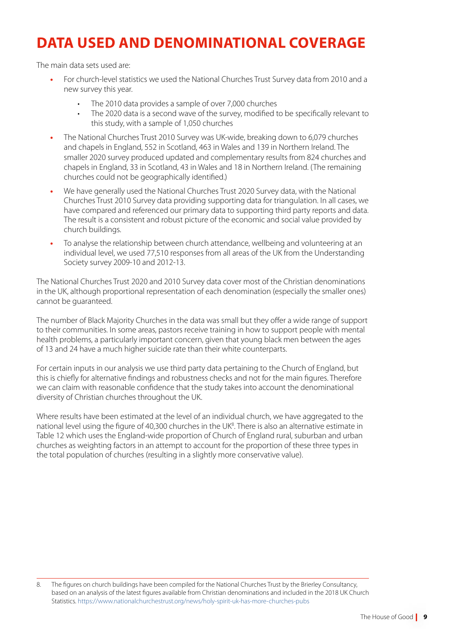# **DATA USED AND DENOMINATIONAL COVERAGE**

The main data sets used are:

- **•** For church-level statistics we used the National Churches Trust Survey data from 2010 and a new survey this year.
	- The 2010 data provides a sample of over 7,000 churches
	- The 2020 data is a second wave of the survey, modified to be specifically relevant to this study, with a sample of 1,050 churches
- **•** The National Churches Trust 2010 Survey was UK-wide, breaking down to 6,079 churches and chapels in England, 552 in Scotland, 463 in Wales and 139 in Northern Ireland. The smaller 2020 survey produced updated and complementary results from 824 churches and chapels in England, 33 in Scotland, 43 in Wales and 18 in Northern Ireland. (The remaining churches could not be geographically identified.)
- **•** We have generally used the National Churches Trust 2020 Survey data, with the National Churches Trust 2010 Survey data providing supporting data for triangulation. In all cases, we have compared and referenced our primary data to supporting third party reports and data. The result is a consistent and robust picture of the economic and social value provided by church buildings.
- **•** To analyse the relationship between church attendance, wellbeing and volunteering at an individual level, we used 77,510 responses from all areas of the UK from the Understanding Society survey 2009-10 and 2012-13.

The National Churches Trust 2020 and 2010 Survey data cover most of the Christian denominations in the UK, although proportional representation of each denomination (especially the smaller ones) cannot be guaranteed.

The number of Black Majority Churches in the data was small but they offer a wide range of support to their communities. In some areas, pastors receive training in how to support people with mental health problems, a particularly important concern, given that young black men between the ages of 13 and 24 have a much higher suicide rate than their white counterparts.

For certain inputs in our analysis we use third party data pertaining to the Church of England, but this is chiefly for alternative findings and robustness checks and not for the main figures. Therefore we can claim with reasonable confidence that the study takes into account the denominational diversity of Christian churches throughout the UK.

Where results have been estimated at the level of an individual church, we have aggregated to the national level using the figure of 40,300 churches in the UK<sup>8</sup>. There is also an alternative estimate in Table 12 which uses the England-wide proportion of Church of England rural, suburban and urban churches as weighting factors in an attempt to account for the proportion of these three types in the total population of churches (resulting in a slightly more conservative value).

<sup>8.</sup> The figures on church buildings have been compiled for the National Churches Trust by the Brierley Consultancy, based on an analysis of the latest figures available from Christian denominations and included in the 2018 UK Church Statistics. <https://www.nationalchurchestrust.org/news/holy-spirit-uk-has-more-churches-pubs>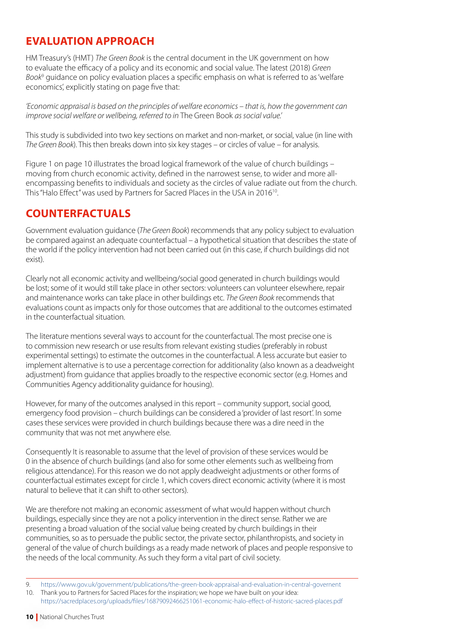# **EVALUATION APPROACH**

HM Treasury's (HMT) *The Green Book* is the central document in the UK government on how to evaluate the efficacy of a policy and its economic and social value. The latest (2018) *Green Book*<sup>9</sup> guidance on policy evaluation places a specific emphasis on what is referred to as 'welfare economics', explicitly stating on page five that:

*'Economic appraisal is based on the principles of welfare economics – that is, how the government can improve social welfare or wellbeing, referred to in* The Green Book *as social value.'*

This study is subdivided into two key sections on market and non-market, or social, value (in line with *The Green Book*). This then breaks down into six key stages – or circles of value – for analysis.

Figure 1 on page 10 illustrates the broad logical framework of the value of church buildings – moving from church economic activity, defined in the narrowest sense, to wider and more allencompassing benefits to individuals and society as the circles of value radiate out from the church. This "Halo Effect" was used by Partners for Sacred Places in the USA in 2016<sup>10</sup>.

# **COUNTERFACTUALS**

Government evaluation guidance (*The Green Book*) recommends that any policy subject to evaluation be compared against an adequate counterfactual – a hypothetical situation that describes the state of the world if the policy intervention had not been carried out (in this case, if church buildings did not exist).

Clearly not all economic activity and wellbeing/social good generated in church buildings would be lost; some of it would still take place in other sectors: volunteers can volunteer elsewhere, repair and maintenance works can take place in other buildings etc. *The Green Book* recommends that evaluations count as impacts only for those outcomes that are additional to the outcomes estimated in the counterfactual situation.

The literature mentions several ways to account for the counterfactual. The most precise one is to commission new research or use results from relevant existing studies (preferably in robust experimental settings) to estimate the outcomes in the counterfactual. A less accurate but easier to implement alternative is to use a percentage correction for additionality (also known as a deadweight adjustment) from guidance that applies broadly to the respective economic sector (e.g. Homes and Communities Agency additionality guidance for housing).

However, for many of the outcomes analysed in this report – community support, social good, emergency food provision – church buildings can be considered a 'provider of last resort'. In some cases these services were provided in church buildings because there was a dire need in the community that was not met anywhere else.

Consequently It is reasonable to assume that the level of provision of these services would be 0 in the absence of church buildings (and also for some other elements such as wellbeing from religious attendance). For this reason we do not apply deadweight adjustments or other forms of counterfactual estimates except for circle 1, which covers direct economic activity (where it is most natural to believe that it can shift to other sectors).

We are therefore not making an economic assessment of what would happen without church buildings, especially since they are not a policy intervention in the direct sense. Rather we are presenting a broad valuation of the social value being created by church buildings in their communities, so as to persuade the public sector, the private sector, philanthropists, and society in general of the value of church buildings as a ready made network of places and people responsive to the needs of the local community. As such they form a vital part of civil society.

<sup>9.</sup> <https://www.gov.uk/government/publications/the-green-book-appraisal-and-evaluation-in-central-governent>

<sup>10.</sup> Thank you to Partners for Sacred Places for the inspiration; we hope we have built on your idea: [https://sacredplaces.org/uploads/files/16879092466251061-economic-halo-effect-of-historic-sacred-places.pdf](https://sacredplaces.org/uploads/files/16879092466251061-economic-halo-effect-of-historic-sacred-places.pdf )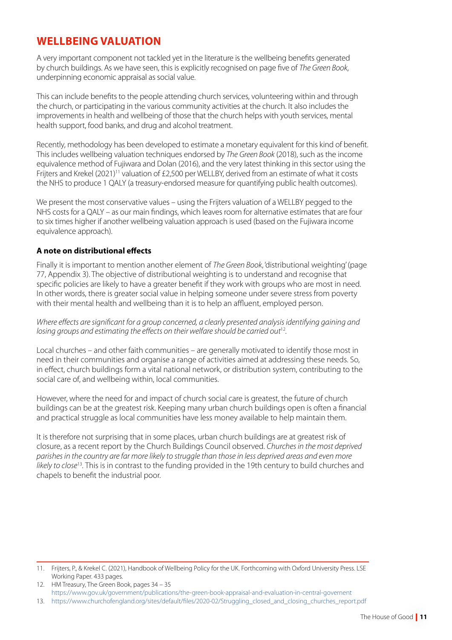# **WELLBEING VALUATION**

A very important component not tackled yet in the literature is the wellbeing benefits generated by church buildings. As we have seen, this is explicitly recognised on page five of *The Green Book*, underpinning economic appraisal as social value.

This can include benefits to the people attending church services, volunteering within and through the church, or participating in the various community activities at the church. It also includes the improvements in health and wellbeing of those that the church helps with youth services, mental health support, food banks, and drug and alcohol treatment.

Recently, methodology has been developed to estimate a monetary equivalent for this kind of benefit. This includes wellbeing valuation techniques endorsed by *The Green Book* (2018), such as the income equivalence method of Fujiwara and Dolan (2016), and the very latest thinking in this sector using the Frijters and Krekel (2021)<sup>11</sup> valuation of £2,500 per WELLBY, derived from an estimate of what it costs the NHS to produce 1 QALY (a treasury-endorsed measure for quantifying public health outcomes).

We present the most conservative values – using the Frijters valuation of a WELLBY pegged to the NHS costs for a QALY – as our main findings, which leaves room for alternative estimates that are four to six times higher if another wellbeing valuation approach is used (based on the Fujiwara income equivalence approach).

# **A note on distributional effects**

Finally it is important to mention another element of *The Green Book*, 'distributional weighting' (page 77, Appendix 3). The objective of distributional weighting is to understand and recognise that specific policies are likely to have a greater benefit if they work with groups who are most in need. In other words, there is greater social value in helping someone under severe stress from poverty with their mental health and wellbeing than it is to help an affluent, employed person.

*Where effects are significant for a group concerned, a clearly presented analysis identifying gaining and losing groups and estimating the effects on their welfare should be carried out*<sup>12</sup>*.*

Local churches – and other faith communities – are generally motivated to identify those most in need in their communities and organise a range of activities aimed at addressing these needs. So, in effect, church buildings form a vital national network, or distribution system, contributing to the social care of, and wellbeing within, local communities.

However, where the need for and impact of church social care is greatest, the future of church buildings can be at the greatest risk. Keeping many urban church buildings open is often a financial and practical struggle as local communities have less money available to help maintain them.

It is therefore not surprising that in some places, urban church buildings are at greatest risk of closure, as a recent report by the Church Buildings Council observed. *Churches in the most deprived parishes in the country are far more likely to struggle than those in less deprived areas and even more likely to close*<sup>13</sup>*.* This is in contrast to the funding provided in the 19th century to build churches and chapels to benefit the industrial poor.

<sup>11.</sup> Frijters, P., & Krekel C. (2021), Handbook of Wellbeing Policy for the UK. Forthcoming with Oxford University Press. LSE Working Paper. 433 pages.

<sup>12.</sup> HM Treasury, The Green Book, pages 34 – 35 https://www.gov.uk/government/publications/the-green-book-appraisal-and-evaluation-in-central-governent

<sup>13.</sup> [https://www.churchofengland.org/sites/default/files/2020-02/Struggling\\_closed\\_and\\_closing\\_churches\\_report.pdf](https://www.churchofengland.org/sites/default/files/2020-02/Struggling_closed_and_closing_churches_report.pdf)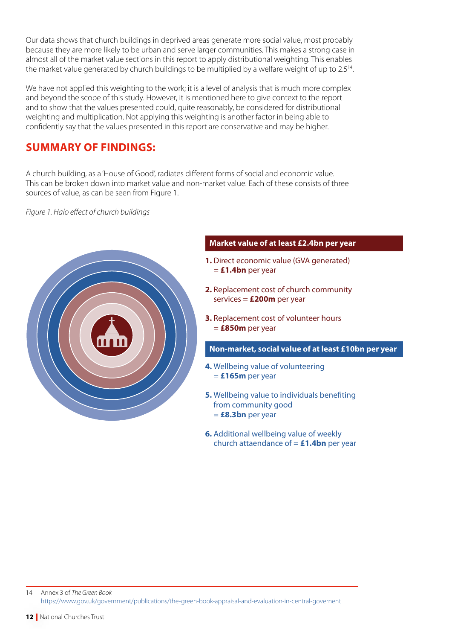Our data shows that church buildings in deprived areas generate more social value, most probably because they are more likely to be urban and serve larger communities. This makes a strong case in almost all of the market value sections in this report to apply distributional weighting. This enables the market value generated by church buildings to be multiplied by a welfare weight of up to 2.5<sup>14</sup>.

We have not applied this weighting to the work; it is a level of analysis that is much more complex and beyond the scope of this study. However, it is mentioned here to give context to the report and to show that the values presented could, quite reasonably, be considered for distributional weighting and multiplication. Not applying this weighting is another factor in being able to confidently say that the values presented in this report are conservative and may be higher.

# **SUMMARY OF FINDINGS:**

A church building, as a 'House of Good', radiates different forms of social and economic value. This can be broken down into market value and non-market value. Each of these consists of three sources of value, as can be seen from Figure 1.

*Figure 1. Halo effect of church buildings*



# **Market value of at least £2.4bn per year**

- **1.** Direct economic value (GVA generated) = **£1.4bn** per year
- **2.** Replacement cost of church community services = **£200m** per year
- **3.** Replacement cost of volunteer hours = **£850m** per year

## **Non-market, social value of at least £10bn per year**

- **4.** Wellbeing value of volunteering = **£165m** per year
- **5.** Wellbeing value to individuals benefiting from community good = **£8.3bn** per year
- **6.** Additional wellbeing value of weekly church attaendance of = **£1.4bn** per year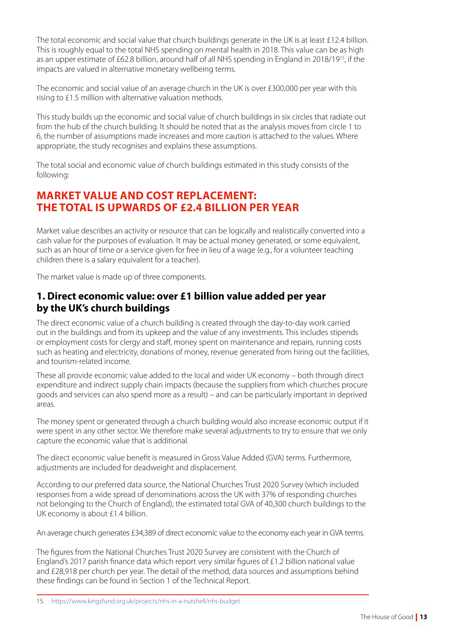The total economic and social value that church buildings generate in the UK is at least £12.4 billion. This is roughly equal to the total NHS spending on mental health in 2018. This value can be as high as an upper estimate of £62.8 billion, around half of all NHS spending in England in 2018/1915, if the impacts are valued in alternative monetary wellbeing terms.

The economic and social value of an average church in the UK is over £300,000 per year with this rising to £1.5 million with alternative valuation methods.

This study builds up the economic and social value of church buildings in six circles that radiate out from the hub of the church building. It should be noted that as the analysis moves from circle 1 to 6, the number of assumptions made increases and more caution is attached to the values. Where appropriate, the study recognises and explains these assumptions.

The total social and economic value of church buildings estimated in this study consists of the following:

# **MARKET VALUE AND COST REPLACEMENT: THE TOTAL IS UPWARDS OF £2.4 BILLION PER YEAR**

Market value describes an activity or resource that can be logically and realistically converted into a cash value for the purposes of evaluation. It may be actual money generated, or some equivalent, such as an hour of time or a service given for free in lieu of a wage (e.g., for a volunteer teaching children there is a salary equivalent for a teacher).

The market value is made up of three components.

# **1. Direct economic value: over £1 billion value added per year by the UK's church buildings**

The direct economic value of a church building is created through the day-to-day work carried out in the buildings and from its upkeep and the value of any investments. This includes stipends or employment costs for clergy and staff, money spent on maintenance and repairs, running costs such as heating and electricity, donations of money, revenue generated from hiring out the facilities, and tourism-related income.

These all provide economic value added to the local and wider UK economy – both through direct expenditure and indirect supply chain impacts (because the suppliers from which churches procure goods and services can also spend more as a result) – and can be particularly important in deprived areas.

The money spent or generated through a church building would also increase economic output if it were spent in any other sector. We therefore make several adjustments to try to ensure that we only capture the economic value that is additional.

The direct economic value benefit is measured in Gross Value Added (GVA) terms. Furthermore, adjustments are included for deadweight and displacement.

According to our preferred data source, the National Churches Trust 2020 Survey (which included responses from a wide spread of denominations across the UK with 37% of responding churches not belonging to the Church of England), the estimated total GVA of 40,300 church buildings to the UK economy is about £1.4 billion.

An average church generates £34,389 of direct economic value to the economy each year in GVA terms.

The figures from the National Churches Trust 2020 Survey are consistent with the Church of England's 2017 parish finance data which report very similar figures of £1.2 billion national value and £28,918 per church per year. The detail of the method, data sources and assumptions behind these findings can be found in Section 1 of the Technical Report.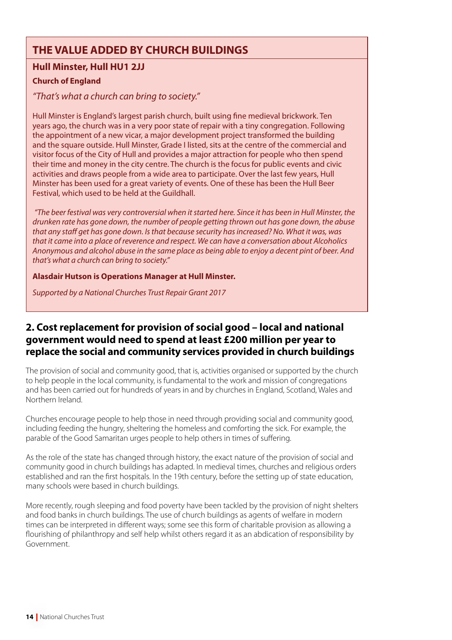# **THE VALUE ADDED BY CHURCH BUILDINGS**

# **Hull Minster, Hull HU1 2JJ**

# **Church of England**

# *"That's what a church can bring to society."*

Hull Minster is England's largest parish church, built using fine medieval brickwork. Ten years ago, the church was in a very poor state of repair with a tiny congregation. Following the appointment of a new vicar, a major development project transformed the building and the square outside. Hull Minster, Grade I listed, sits at the centre of the commercial and visitor focus of the City of Hull and provides a major attraction for people who then spend their time and money in the city centre. The church is the focus for public events and civic activities and draws people from a wide area to participate. Over the last few years, Hull Minster has been used for a great variety of events. One of these has been the Hull Beer Festival, which used to be held at the Guildhall.

*"The beer festival was very controversial when it started here. Since it has been in Hull Minster, the drunken rate has gone down, the number of people getting thrown out has gone down, the abuse that any staff get has gone down. Is that because security has increased? No. What it was, was that it came into a place of reverence and respect. We can have a conversation about Alcoholics Anonymous and alcohol abuse in the same place as being able to enjoy a decent pint of beer. And that's what a church can bring to society."* 

#### **Alasdair Hutson is Operations Manager at Hull Minster.**

*Supported by a National Churches Trust Repair Grant 2017*

# **2. Cost replacement for provision of social good – local and national government would need to spend at least £200 million per year to replace the social and community services provided in church buildings**

The provision of social and community good, that is, activities organised or supported by the church to help people in the local community, is fundamental to the work and mission of congregations and has been carried out for hundreds of years in and by churches in England, Scotland, Wales and Northern Ireland.

Churches encourage people to help those in need through providing social and community good, including feeding the hungry, sheltering the homeless and comforting the sick. For example, the parable of the Good Samaritan urges people to help others in times of suffering.

As the role of the state has changed through history, the exact nature of the provision of social and community good in church buildings has adapted. In medieval times, churches and religious orders established and ran the first hospitals. In the 19th century, before the setting up of state education, many schools were based in church buildings.

More recently, rough sleeping and food poverty have been tackled by the provision of night shelters and food banks in church buildings. The use of church buildings as agents of welfare in modern times can be interpreted in different ways; some see this form of charitable provision as allowing a flourishing of philanthropy and self help whilst others regard it as an abdication of responsibility by Government.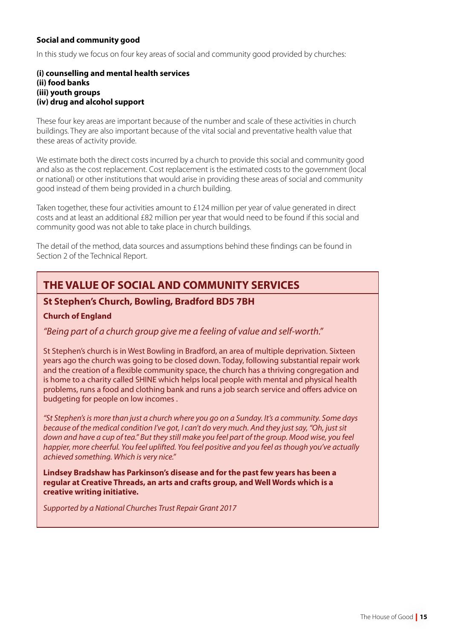# **Social and community good**

In this study we focus on four key areas of social and community good provided by churches:

#### **(i) counselling and mental health services (ii) food banks (iii) youth groups (iv) drug and alcohol support**

These four key areas are important because of the number and scale of these activities in church buildings. They are also important because of the vital social and preventative health value that these areas of activity provide.

We estimate both the direct costs incurred by a church to provide this social and community good and also as the cost replacement. Cost replacement is the estimated costs to the government (local or national) or other institutions that would arise in providing these areas of social and community good instead of them being provided in a church building.

Taken together, these four activities amount to £124 million per year of value generated in direct costs and at least an additional £82 million per year that would need to be found if this social and community good was not able to take place in church buildings.

The detail of the method, data sources and assumptions behind these findings can be found in Section 2 of the Technical Report.

# **THE VALUE OF SOCIAL AND COMMUNITY SERVICES**

# **St Stephen's Church, Bowling, Bradford BD5 7BH**

# **Church of England**

# *"Being part of a church group give me a feeling of value and self-worth."*

St Stephen's church is in West Bowling in Bradford, an area of multiple deprivation. Sixteen years ago the church was going to be closed down. Today, following substantial repair work and the creation of a flexible community space, the church has a thriving congregation and is home to a charity called SHINE which helps local people with mental and physical health problems, runs a food and clothing bank and runs a job search service and offers advice on budgeting for people on low incomes .

*"St Stephen's is more than just a church where you go on a Sunday. It's a community. Some days because of the medical condition I've got, I can't do very much. And they just say, "Oh, just sit*  down and have a cup of tea." But they still make you feel part of the group. Mood wise, you feel *happier, more cheerful. You feel uplifted. You feel positive and you feel as though you've actually achieved something. Which is very nice."*

**Lindsey Bradshaw has Parkinson's disease and for the past few years has been a regular at Creative Threads, an arts and crafts group, and Well Words which is a creative writing initiative.**

*Supported by a National Churches Trust Repair Grant 2017*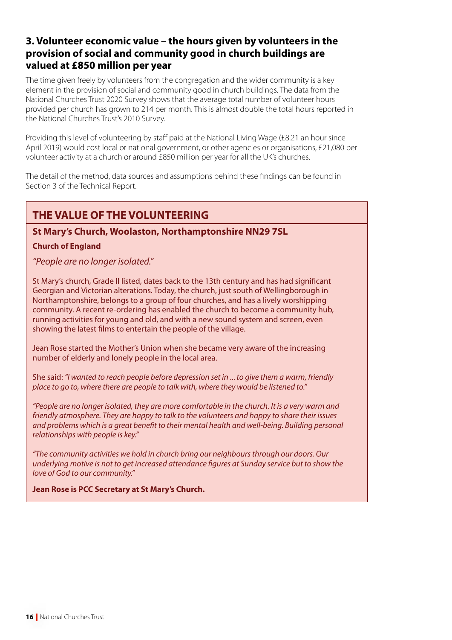# **3. Volunteer economic value – the hours given by volunteers in the provision of social and community good in church buildings are valued at £850 million per year**

The time given freely by volunteers from the congregation and the wider community is a key element in the provision of social and community good in church buildings. The data from the National Churches Trust 2020 Survey shows that the average total number of volunteer hours provided per church has grown to 214 per month. This is almost double the total hours reported in the National Churches Trust's 2010 Survey.

Providing this level of volunteering by staff paid at the National Living Wage (£8.21 an hour since April 2019) would cost local or national government, or other agencies or organisations, £21,080 per volunteer activity at a church or around £850 million per year for all the UK's churches.

The detail of the method, data sources and assumptions behind these findings can be found in Section 3 of the Technical Report.

# **THE VALUE OF THE VOLUNTEERING**

# **St Mary's Church, Woolaston, Northamptonshire NN29 7SL**

# **Church of England**

*"People are no longer isolated."*

St Mary's church, Grade II listed, dates back to the 13th century and has had significant Georgian and Victorian alterations. Today, the church, just south of Wellingborough in Northamptonshire, belongs to a group of four churches, and has a lively worshipping community. A recent re-ordering has enabled the church to become a community hub, running activities for young and old, and with a new sound system and screen, even showing the latest films to entertain the people of the village.

Jean Rose started the Mother's Union when she became very aware of the increasing number of elderly and lonely people in the local area.

She said: *"I wanted to reach people before depression set in* ... *to give them a warm, friendly place to go to, where there are people to talk with, where they would be listened to."*

*"People are no longer isolated, they are more comfortable in the church. It is a very warm and friendly atmosphere. They are happy to talk to the volunteers and happy to share their issues and problems which is a great benefit to their mental health and well-being. Building personal relationships with people is key."*

*"The community activities we hold in church bring our neighbours through our doors. Our underlying motive is not to get increased attendance figures at Sunday service but to show the love of God to our community."*

**Jean Rose is PCC Secretary at St Mary's Church.**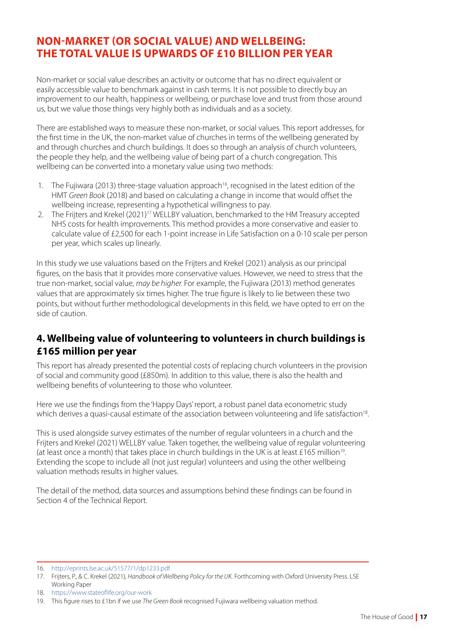# **NON-MARKET (OR SOCIAL VALUE) AND WELLBEING: THE TOTAL VALUE IS UPWARDS OF £10 BILLION PER YEAR**

Non-market or social value describes an activity or outcome that has no direct equivalent or easily accessible value to benchmark against in cash terms. It is not possible to directly buy an improvement to our health, happiness or wellbeing, or purchase love and trust from those around us, but we value those things very highly both as individuals and as a society.

There are established ways to measure these non-market, or social values. This report addresses, for the first time in the UK, the non-market value of churches in terms of the wellbeing generated by and through churches and church buildings. It does so through an analysis of church volunteers, the people they help, and the wellbeing value of being part of a church congregation. This wellbeing can be converted into a monetary value using two methods:

- 1. The Fujiwara (2013) three-stage valuation approach<sup>16</sup>, recognised in the latest edition of the HMT *Green Book* (2018) and based on calculating a change in income that would offset the wellbeing increase, representing a hypothetical willingness to pay.
- 2. The Frijters and Krekel (2021)<sup>17</sup> WELLBY valuation, benchmarked to the HM Treasury accepted NHS costs for health improvements. This method provides a more conservative and easier to calculate value of £2,500 for each 1-point increase in Life Satisfaction on a 0-10 scale per person per year, which scales up linearly.

In this study we use valuations based on the Frijters and Krekel (2021) analysis as our principal figures, on the basis that it provides more conservative values. However, we need to stress that the true non-market, social value, *may be higher.* For example, the Fujiwara (2013) method generates values that are approximately six times higher. The true figure is likely to lie between these two points, but without further methodological developments in this field, we have opted to err on the side of caution.

# **4. Wellbeing value of volunteering to volunteers in church buildings is £165 million per year**

This report has already presented the potential costs of replacing church volunteers in the provision of social and community good (£850m). In addition to this value, there is also the health and wellbeing benefits of volunteering to those who volunteer.

Here we use the findings from the 'Happy Days' report, a robust panel data econometric study which derives a quasi-causal estimate of the association between volunteering and life satisfaction<sup>18</sup>.

This is used alongside survey estimates of the number of regular volunteers in a church and the Frijters and Krekel (2021) WELLBY value. Taken together, the wellbeing value of regular volunteering (at least once a month) that takes place in church buildings in the UK is at least £165 million<sup>19</sup>. Extending the scope to include all (not just regular) volunteers and using the other wellbeing valuation methods results in higher values.

The detail of the method, data sources and assumptions behind these findings can be found in Section 4 of the Technical Report.

<sup>16.</sup> <http://eprints.lse.ac.uk/51577/1/dp1233.pdf>

<sup>17.</sup> Frijters, P., & C. Krekel (2021)*, Handbook of Wellbeing Policy for the UK.* Forthcoming with Oxford University Press. LSE Working Paper

<sup>18.</sup> <https://www.stateoflife.org/our-work>

<sup>19.</sup> This figure rises to £1bn if we use *The Green Book* recognised Fujiwara wellbeing valuation method.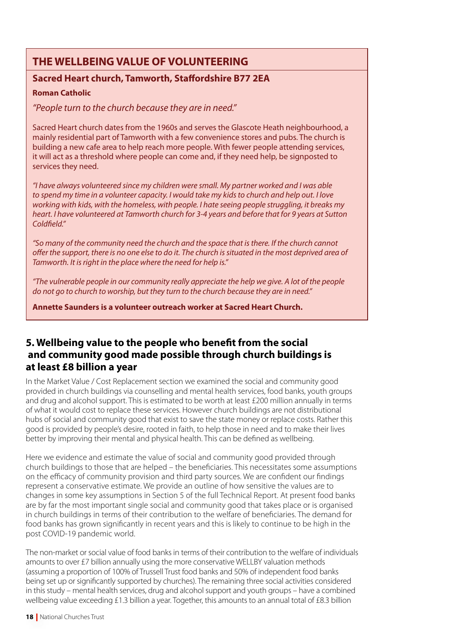# **THE WELLBEING VALUE OF VOLUNTEERING**

# **Sacred Heart church, Tamworth, Staffordshire B77 2EA**

# **Roman Catholic**

*"People turn to the church because they are in need."*

Sacred Heart church dates from the 1960s and serves the Glascote Heath neighbourhood, a mainly residential part of Tamworth with a few convenience stores and pubs. The church is building a new cafe area to help reach more people. With fewer people attending services, it will act as a threshold where people can come and, if they need help, be signposted to services they need.

*"I have always volunteered since my children were small. My partner worked and I was able to spend my time in a volunteer capacity. I would take my kids to church and help out. I love working with kids, with the homeless, with people. I hate seeing people struggling, it breaks my heart. I have volunteered at Tamworth church for 3-4 years and before that for 9 years at Sutton Coldfield."*

*"So many of the community need the church and the space that is there. If the church cannot offer the support, there is no one else to do it. The church is situated in the most deprived area of Tamworth. It is right in the place where the need for help is."*

*"The vulnerable people in our community really appreciate the help we give. A lot of the people do not go to church to worship, but they turn to the church because they are in need."*

**Annette Saunders is a volunteer outreach worker at Sacred Heart Church.**

# **5. Wellbeing value to the people who benefit from the social and community good made possible through church buildings is at least £8 billion a year**

In the Market Value / Cost Replacement section we examined the social and community good provided in church buildings via counselling and mental health services, food banks, youth groups and drug and alcohol support. This is estimated to be worth at least £200 million annually in terms of what it would cost to replace these services. However church buildings are not distributional hubs of social and community good that exist to save the state money or replace costs. Rather this good is provided by people's desire, rooted in faith, to help those in need and to make their lives better by improving their mental and physical health. This can be defined as wellbeing.

Here we evidence and estimate the value of social and community good provided through church buildings to those that are helped – the beneficiaries. This necessitates some assumptions on the efficacy of community provision and third party sources. We are confident our findings represent a conservative estimate. We provide an outline of how sensitive the values are to changes in some key assumptions in Section 5 of the full Technical Report. At present food banks are by far the most important single social and community good that takes place or is organised in church buildings in terms of their contribution to the welfare of beneficiaries. The demand for food banks has grown significantly in recent years and this is likely to continue to be high in the post COVID-19 pandemic world.

The non-market or social value of food banks in terms of their contribution to the welfare of individuals amounts to over £7 billion annually using the more conservative WELLBY valuation methods (assuming a proportion of 100% of Trussell Trust food banks and 50% of independent food banks being set up or significantly supported by churches). The remaining three social activities considered in this study – mental health services, drug and alcohol support and youth groups – have a combined wellbeing value exceeding £1.3 billion a year. Together, this amounts to an annual total of £8.3 billion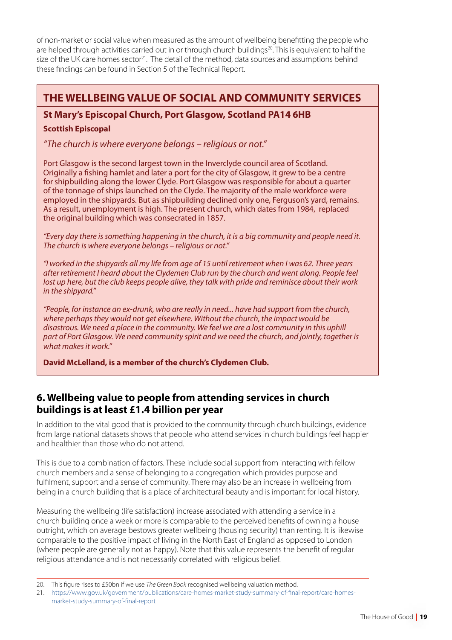of non-market or social value when measured as the amount of wellbeing benefitting the people who are helped through activities carried out in or through church buildings<sup>20</sup>. This is equivalent to half the size of the UK care homes sector<sup>21</sup>. The detail of the method, data sources and assumptions behind these findings can be found in Section 5 of the Technical Report.

# **THE WELLBEING VALUE OF SOCIAL AND COMMUNITY SERVICES**

# **St Mary's Episcopal Church, Port Glasgow, Scotland PA14 6HB**

# **Scottish Episcopal**

*"The church is where everyone belongs – religious or not."*

Port Glasgow is the second largest town in the Inverclyde council area of Scotland. Originally a fishing hamlet and later a port for the city of Glasgow, it grew to be a centre for shipbuilding along the lower Clyde. Port Glasgow was responsible for about a quarter of the tonnage of ships launched on the Clyde. The majority of the male workforce were employed in the shipyards. But as shipbuilding declined only one, Ferguson's yard, remains. As a result, unemployment is high. The present church, which dates from 1984, replaced the original building which was consecrated in 1857.

*"Every day there is something happening in the church, it is a big community and people need it. The church is where everyone belongs – religious or not."*

*"I worked in the shipyards all my life from age of 15 until retirement when I was 62. Three years after retirement I heard about the Clydemen Club run by the church and went along. People feel lost up here, but the club keeps people alive, they talk with pride and reminisce about their work in the shipyard."*

*"People, for instance an ex-drunk, who are really in need... have had support from the church, where perhaps they would not get elsewhere. Without the church, the impact would be disastrous. We need a place in the community. We feel we are a lost community in this uphill part of Port Glasgow. We need community spirit and we need the church, and jointly, together is what makes it work."*

**David McLelland, is a member of the church's Clydemen Club.**

# **6. Wellbeing value to people from attending services in church buildings is at least £1.4 billion per year**

In addition to the vital good that is provided to the community through church buildings, evidence from large national datasets shows that people who attend services in church buildings feel happier and healthier than those who do not attend.

This is due to a combination of factors. These include social support from interacting with fellow church members and a sense of belonging to a congregation which provides purpose and fulfilment, support and a sense of community. There may also be an increase in wellbeing from being in a church building that is a place of architectural beauty and is important for local history.

Measuring the wellbeing (life satisfaction) increase associated with attending a service in a church building once a week or more is comparable to the perceived benefits of owning a house outright, which on average bestows greater wellbeing (housing security) than renting. It is likewise comparable to the positive impact of living in the North East of England as opposed to London (where people are generally not as happy). Note that this value represents the benefit of regular religious attendance and is not necessarily correlated with religious belief.

<sup>20.</sup> This figure rises to £50bn if we use *The Green Book* recognised wellbeing valuation method.

<sup>21.</sup> [https://www.gov.uk/government/publications/care-homes-market-study-summary-of-final-report/care-homes](https://www.gov.uk/government/publications/care-homes-market-study-summary-of-final-report/care-homes-market-study-summary-of-final-report)[market-study-summary-of-final-report](https://www.gov.uk/government/publications/care-homes-market-study-summary-of-final-report/care-homes-market-study-summary-of-final-report)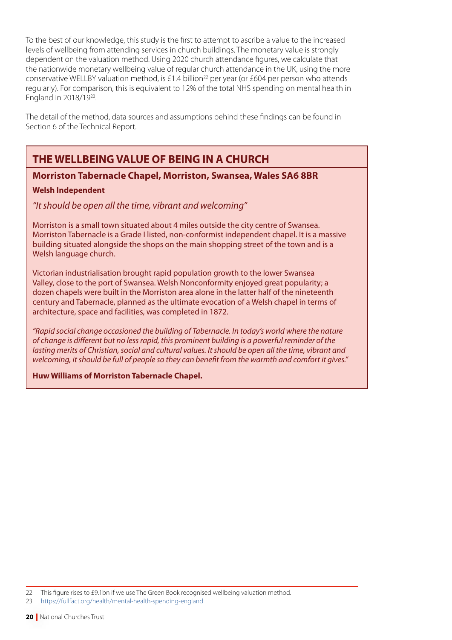To the best of our knowledge, this study is the first to attempt to ascribe a value to the increased levels of wellbeing from attending services in church buildings. The monetary value is strongly dependent on the valuation method. Using 2020 church attendance figures, we calculate that the nationwide monetary wellbeing value of regular church attendance in the UK, using the more conservative WELLBY valuation method, is £1.4 billion<sup>22</sup> per year (or £604 per person who attends regularly). For comparison, this is equivalent to 12% of the total NHS spending on mental health in England in 2018/1923.

The detail of the method, data sources and assumptions behind these findings can be found in Section 6 of the Technical Report.

# **THE WELLBEING VALUE OF BEING IN A CHURCH**

# **Morriston Tabernacle Chapel, Morriston, Swansea, Wales SA6 8BR**

# **Welsh Independent**

*"It should be open all the time, vibrant and welcoming"* 

Morriston is a small town situated about 4 miles outside the city centre of Swansea. Morriston Tabernacle is a Grade I listed, non-conformist independent chapel. It is a massive building situated alongside the shops on the main shopping street of the town and is a Welsh language church.

Victorian industrialisation brought rapid population growth to the lower Swansea Valley, close to the port of Swansea. Welsh Nonconformity enjoyed great popularity; a dozen chapels were built in the Morriston area alone in the latter half of the nineteenth century and Tabernacle, planned as the ultimate evocation of a Welsh chapel in terms of architecture, space and facilities, was completed in 1872.

*"Rapid social change occasioned the building of Tabernacle. In today's world where the nature of change is different but no less rapid, this prominent building is a powerful reminder of the lasting merits of Christian, social and cultural values. It should be open all the time, vibrant and welcoming, it should be full of people so they can benefit from the warmth and comfort it gives."*

**Huw Williams of Morriston Tabernacle Chapel.**

<sup>22</sup> This figure rises to £9.1bn if we use The Green Book recognised wellbeing valuation method.

<sup>23</sup> <https://fullfact.org/health/mental-health-spending-england>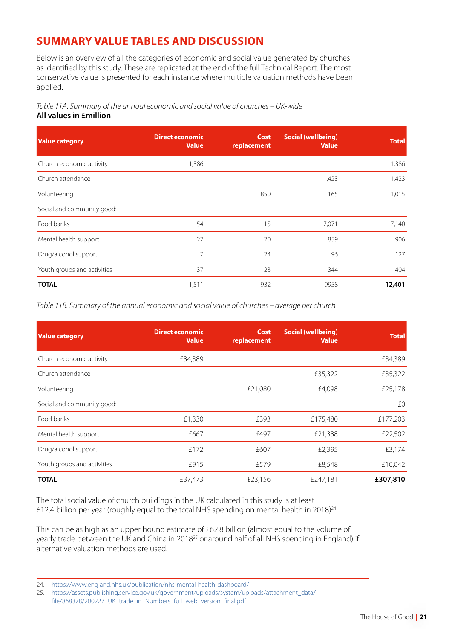# **SUMMARY VALUE TABLES AND DISCUSSION**

Below is an overview of all the categories of economic and social value generated by churches as identified by this study. These are replicated at the end of the full Technical Report. The most conservative value is presented for each instance where multiple valuation methods have been applied.

*Table 11A. Summary of the annual economic and social value of churches – UK-wide* **All values in £million**

| <b>Value category</b>       | <b>Direct economic</b><br><b>Value</b> | <b>Cost</b><br>replacement | <b>Social (wellbeing)</b><br><b>Value</b> | <b>Total</b> |
|-----------------------------|----------------------------------------|----------------------------|-------------------------------------------|--------------|
| Church economic activity    | 1,386                                  |                            |                                           | 1,386        |
| Church attendance           |                                        |                            | 1,423                                     | 1,423        |
| Volunteering                |                                        | 850                        | 165                                       | 1,015        |
| Social and community good:  |                                        |                            |                                           |              |
| Food banks                  | 54                                     | 15                         | 7,071                                     | 7,140        |
| Mental health support       | 27                                     | 20                         | 859                                       | 906          |
| Drug/alcohol support        | 7                                      | 24                         | 96                                        | 127          |
| Youth groups and activities | 37                                     | 23                         | 344                                       | 404          |
| <b>TOTAL</b>                | 1,511                                  | 932                        | 9958                                      | 12,401       |

*Table 11B. Summary of the annual economic and social value of churches – average per church*

| <b>Value category</b>       | <b>Direct economic</b><br><b>Value</b> | <b>Cost</b><br>replacement | <b>Social (wellbeing)</b><br><b>Value</b> | <b>Total</b> |
|-----------------------------|----------------------------------------|----------------------------|-------------------------------------------|--------------|
| Church economic activity    | £34,389                                |                            |                                           | £34,389      |
| Church attendance           |                                        |                            | £35,322                                   | £35,322      |
| Volunteering                |                                        | £21,080                    | £4,098                                    | £25,178      |
| Social and community good:  |                                        |                            |                                           | £0           |
| Food banks                  | £1,330                                 | £393                       | £175,480                                  | £177,203     |
| Mental health support       | £667                                   | £497                       | £21,338                                   | £22,502      |
| Drug/alcohol support        | £172                                   | £607                       | £2,395                                    | £3,174       |
| Youth groups and activities | £915                                   | £579                       | £8,548                                    | £10,042      |
| <b>TOTAL</b>                | £37,473                                | £23,156                    | £247,181                                  | £307,810     |

The total social value of church buildings in the UK calculated in this study is at least £12.4 billion per year (roughly equal to the total NHS spending on mental health in 2018)<sup>24</sup>.

This can be as high as an upper bound estimate of £62.8 billion (almost equal to the volume of yearly trade between the UK and China in 2018<sup>25</sup> or around half of all NHS spending in England) if alternative valuation methods are used.

<sup>24.</sup> <https://www.england.nhs.uk/publication/nhs-mental-health-dashboard/>

<sup>25.</sup> [https://assets.publishing.service.gov.uk/government/uploads/system/uploads/attachment\\_data/](https://assets.publishing.service.gov.uk/government/uploads/system/uploads/attachment_data/file/868378/200227_UK_trade_in_Numbers_full_web_version_final.pdf)

[file/868378/200227\\_UK\\_trade\\_in\\_Numbers\\_full\\_web\\_version\\_final.pdf](https://assets.publishing.service.gov.uk/government/uploads/system/uploads/attachment_data/file/868378/200227_UK_trade_in_Numbers_full_web_version_final.pdf)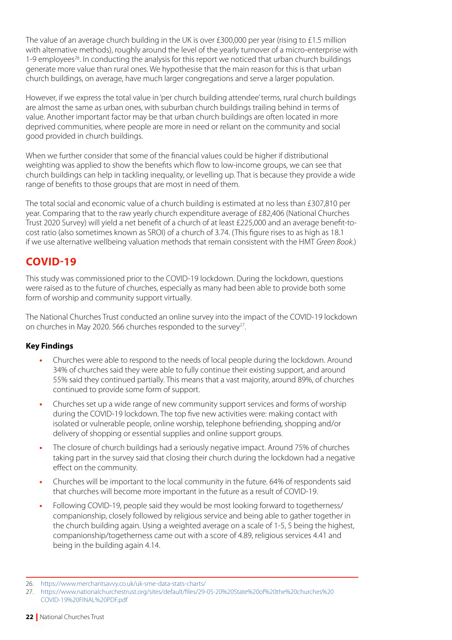The value of an average church building in the UK is over £300,000 per year (rising to £1.5 million with alternative methods), roughly around the level of the yearly turnover of a micro-enterprise with 1-9 employees<sup>26</sup>. In conducting the analysis for this report we noticed that urban church buildings generate more value than rural ones. We hypothesise that the main reason for this is that urban church buildings, on average, have much larger congregations and serve a larger population.

However, if we express the total value in 'per church building attendee' terms, rural church buildings are almost the same as urban ones, with suburban church buildings trailing behind in terms of value. Another important factor may be that urban church buildings are often located in more deprived communities, where people are more in need or reliant on the community and social good provided in church buildings.

When we further consider that some of the financial values could be higher if distributional weighting was applied to show the benefits which flow to low-income groups, we can see that church buildings can help in tackling inequality, or levelling up. That is because they provide a wide range of benefits to those groups that are most in need of them.

The total social and economic value of a church building is estimated at no less than £307,810 per year. Comparing that to the raw yearly church expenditure average of £82,406 (National Churches Trust 2020 Survey) will yield a net benefit of a church of at least £225,000 and an average benefit-tocost ratio (also sometimes known as SROI) of a church of 3.74. (This figure rises to as high as 18.1 if we use alternative wellbeing valuation methods that remain consistent with the HMT *Green Book.*)

# **COVID-19**

This study was commissioned prior to the COVID-19 lockdown. During the lockdown, questions were raised as to the future of churches, especially as many had been able to provide both some form of worship and community support virtually.

The National Churches Trust conducted an online survey into the impact of the COVID-19 lockdown on churches in May 2020. 566 churches responded to the survey<sup>27</sup>.

# **Key Findings**

- **•** Churches were able to respond to the needs of local people during the lockdown. Around 34% of churches said they were able to fully continue their existing support, and around 55% said they continued partially. This means that a vast majority, around 89%, of churches continued to provide some form of support.
- **•** Churches set up a wide range of new community support services and forms of worship during the COVID-19 lockdown. The top five new activities were: making contact with isolated or vulnerable people, online worship, telephone befriending, shopping and/or delivery of shopping or essential supplies and online support groups.
- **•** The closure of church buildings had a seriously negative impact. Around 75% of churches taking part in the survey said that closing their church during the lockdown had a negative effect on the community.
- **•** Churches will be important to the local community in the future. 64% of respondents said that churches will become more important in the future as a result of COVID-19.
- **•** Following COVID-19, people said they would be most looking forward to togetherness/ companionship, closely followed by religious service and being able to gather together in the church building again. Using a weighted average on a scale of 1-5, 5 being the highest, companionship/togetherness came out with a score of 4.89, religious services 4.41 and being in the building again 4.14.

<sup>26.</sup> <https://www.merchantsavvy.co.uk/uk-sme-data-stats-charts/>

<sup>27.</sup> [https://www.nationalchurchestrust.org/sites/default/files/29-05-20%20State%20of%20the%20churches%20](https://www.nationalchurchestrust.org/sites/default/files/29-05-20%20State%20of%20the%20churches%20COVID-19%20FINAL%20PDF.pdf) [COVID-19%20FINAL%20PDF.pdf](https://www.nationalchurchestrust.org/sites/default/files/29-05-20%20State%20of%20the%20churches%20COVID-19%20FINAL%20PDF.pdf)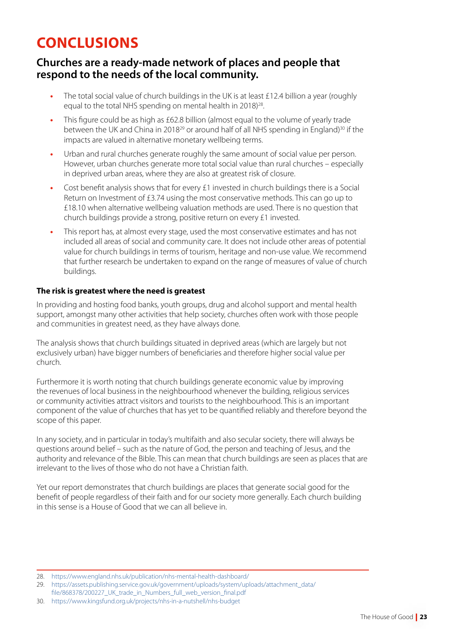# **CONCLUSIONS**

# **Churches are a ready-made network of places and people that respond to the needs of the local community.**

- The total social value of church buildings in the UK is at least £12.4 billion a year (roughly equal to the total NHS spending on mental health in 2018)<sup>28</sup>.
- **•** This figure could be as high as £62.8 billion (almost equal to the volume of yearly trade between the UK and China in 2018<sup>29</sup> or around half of all NHS spending in England)<sup>30</sup> if the impacts are valued in alternative monetary wellbeing terms.
- **•** Urban and rural churches generate roughly the same amount of social value per person. However, urban churches generate more total social value than rural churches – especially in deprived urban areas, where they are also at greatest risk of closure.
- **•** Cost benefit analysis shows that for every £1 invested in church buildings there is a Social Return on Investment of £3.74 using the most conservative methods. This can go up to £18.10 when alternative wellbeing valuation methods are used. There is no question that church buildings provide a strong, positive return on every £1 invested.
- **•** This report has, at almost every stage, used the most conservative estimates and has not included all areas of social and community care. It does not include other areas of potential value for church buildings in terms of tourism, heritage and non-use value. We recommend that further research be undertaken to expand on the range of measures of value of church buildings.

# **The risk is greatest where the need is greatest**

In providing and hosting food banks, youth groups, drug and alcohol support and mental health support, amongst many other activities that help society, churches often work with those people and communities in greatest need, as they have always done.

The analysis shows that church buildings situated in deprived areas (which are largely but not exclusively urban) have bigger numbers of beneficiaries and therefore higher social value per church.

Furthermore it is worth noting that church buildings generate economic value by improving the revenues of local business in the neighbourhood whenever the building, religious services or community activities attract visitors and tourists to the neighbourhood. This is an important component of the value of churches that has yet to be quantified reliably and therefore beyond the scope of this paper.

In any society, and in particular in today's multifaith and also secular society, there will always be questions around belief – such as the nature of God, the person and teaching of Jesus, and the authority and relevance of the Bible. This can mean that church buildings are seen as places that are irrelevant to the lives of those who do not have a Christian faith.

Yet our report demonstrates that church buildings are places that generate social good for the benefit of people regardless of their faith and for our society more generally. Each church building in this sense is a House of Good that we can all believe in.

- [file/868378/200227\\_UK\\_trade\\_in\\_Numbers\\_full\\_web\\_version\\_final.pdf](https://assets.publishing.service.gov.uk/government/uploads/system/uploads/attachment_data/file/868378/200227_UK_trade_in_Numbers_full_web_version_final.pdf)
- 30. <https://www.kingsfund.org.uk/projects/nhs-in-a-nutshell/nhs-budget>

<sup>28.</sup> <https://www.england.nhs.uk/publication/nhs-mental-health-dashboard/>

<sup>29.</sup> [https://assets.publishing.service.gov.uk/government/uploads/system/uploads/attachment\\_data/](https://assets.publishing.service.gov.uk/government/uploads/system/uploads/attachment_data/file/868378/200227_UK_trade_in_Numbers_full_web_version_final.pdf)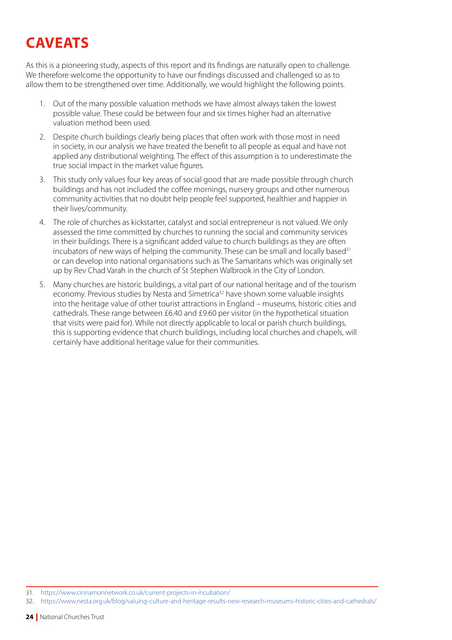# **CAVEATS**

As this is a pioneering study, aspects of this report and its findings are naturally open to challenge. We therefore welcome the opportunity to have our findings discussed and challenged so as to allow them to be strengthened over time. Additionally, we would highlight the following points.

- 1. Out of the many possible valuation methods we have almost always taken the lowest possible value. These could be between four and six times higher had an alternative valuation method been used.
- 2. Despite church buildings clearly being places that often work with those most in need in society, in our analysis we have treated the benefit to all people as equal and have not applied any distributional weighting. The effect of this assumption is to underestimate the true social impact in the market value figures.
- 3. This study only values four key areas of social good that are made possible through church buildings and has not included the coffee mornings, nursery groups and other numerous community activities that no doubt help people feel supported, healthier and happier in their lives/community.
- 4. The role of churches as kickstarter, catalyst and social entrepreneur is not valued. We only assessed the time committed by churches to running the social and community services in their buildings. There is a significant added value to church buildings as they are often incubators of new ways of helping the community. These can be small and locally based $31$ or can develop into national organisations such as The Samaritans which was originally set up by Rev Chad Varah in the church of St Stephen Walbrook in the City of London.
- 5. Many churches are historic buildings, a vital part of our national heritage and of the tourism economy. Previous studies by Nesta and Simetrica<sup>32</sup> have shown some valuable insights into the heritage value of other tourist attractions in England – museums, historic cities and cathedrals. These range between £6.40 and £9.60 per visitor (in the hypothetical situation that visits were paid for). While not directly applicable to local or parish church buildings, this is supporting evidence that church buildings, including local churches and chapels, will certainly have additional heritage value for their communities.

<sup>31.</sup> <https://www.cinnamonnetwork.co.uk/current-projects-in-incubation/>

<sup>32.</sup> <https://www.nesta.org.uk/blog/valuing-culture-and-heritage-results-new-research-museums-historic-cities-and-cathedrals/>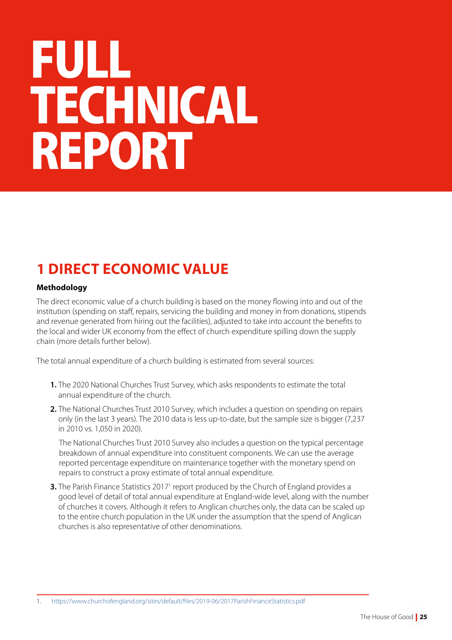# IFU LL **TECHNICAL REPORT**

# **1 DIRECT ECONOMIC VALUE**

# **Methodology**

The direct economic value of a church building is based on the money flowing into and out of the institution (spending on staff, repairs, servicing the building and money in from donations, stipends and revenue generated from hiring out the facilities), adjusted to take into account the benefits to the local and wider UK economy from the effect of church expenditure spilling down the supply chain (more details further below).

The total annual expenditure of a church building is estimated from several sources:

- **1.** The 2020 National Churches Trust Survey, which asks respondents to estimate the total annual expenditure of the church.
- **2.** The National Churches Trust 2010 Survey, which includes a question on spending on repairs only (in the last 3 years). The 2010 data is less up-to-date, but the sample size is bigger (7,237 in 2010 vs. 1,050 in 2020).

 The National Churches Trust 2010 Survey also includes a question on the typical percentage breakdown of annual expenditure into constituent components. We can use the average reported percentage expenditure on maintenance together with the monetary spend on repairs to construct a proxy estimate of total annual expenditure.

**3.** The Parish Finance Statistics 2017<sup>1</sup> report produced by the Church of England provides a good level of detail of total annual expenditure at England-wide level, along with the number of churches it covers. Although it refers to Anglican churches only, the data can be scaled up to the entire church population in the UK under the assumption that the spend of Anglican churches is also representative of other denominations.

1. <https://www.churchofengland.org/sites/default/files/2019-06/2017ParishFinanceStatistics.pdf>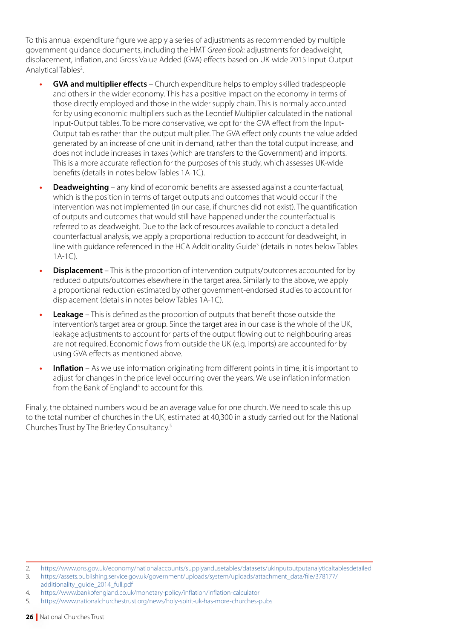To this annual expenditure figure we apply a series of adjustments as recommended by multiple government guidance documents, including the HMT *Green Book:* adjustments for deadweight, displacement, inflation, and Gross Value Added (GVA) effects based on UK-wide [2015 Input-Output](https://www.ons.gov.uk/economy/nationalaccounts/supplyandusetables/datasets/ukinputoutputanalyticaltablesdetailed)  Analytical Tables<sup>2</sup>.

- **• GVA and multiplier effects** Church expenditure helps to employ skilled tradespeople and others in the wider economy. This has a positive impact on the economy in terms of those directly employed and those in the wider supply chain. This is normally accounted for by using economic multipliers such as the Leontief Multiplier calculated in the national Input-Output tables. To be more conservative, we opt for the GVA effect from the Input-Output tables rather than the output multiplier. The GVA effect only counts the value added generated by an increase of one unit in demand, rather than the total output increase, and does not include increases in taxes (which are transfers to the Government) and imports. This is a more accurate reflection for the purposes of this study, which assesses UK-wide benefits (details in notes below Tables 1A-1C).
- **• Deadweighting** any kind of economic benefits are assessed against a counterfactual, which is the position in terms of target outputs and outcomes that would occur if the intervention was not implemented (in our case, if churches did not exist). The quantification of outputs and outcomes that would still have happened under the counterfactual is referred to as deadweight. Due to the lack of resources available to conduct a detailed counterfactual analysis, we apply a proportional reduction to account for deadweight, in line with guidance referenced in the HCA Additionality Guide<sup>3</sup> (details in notes below Tables 1A-1C).
- **Displacement** This is the proportion of intervention outputs/outcomes accounted for by reduced outputs/outcomes elsewhere in the target area. Similarly to the above, we apply a proportional reduction estimated by other government-endorsed studies to account for displacement (details in notes below Tables 1A-1C).
- **• Leakage** This is defined as the proportion of outputs that benefit those outside the intervention's target area or group. Since the target area in our case is the whole of the UK, leakage adjustments to account for parts of the output flowing out to neighbouring areas are not required. Economic flows from outside the UK (e.g. imports) are accounted for by using GVA effects as mentioned above.
- **• Inflation** As we use information originating from different points in time, it is important to adjust for changes in the price level occurring over the years. We use inflation information from the Bank of England<sup>4</sup> to account for this.

Finally, the obtained numbers would be an average value for one church. We need to scale this up to the total number of churches in the UK, estimated at 40,300 in a study carried out for the National Churches Trust by The Brierley Consultancy.5

<sup>2.</sup> <https://www.ons.gov.uk/economy/nationalaccounts/supplyandusetables/datasets/ukinputoutputanalyticaltablesdetailed>

<sup>3.</sup> https://assets.publishing.service.gov.uk/government/uploads/system/uploads/attachment\_data/file/378177/ additionality\_guide\_2014\_full.pdf

<sup>4.</sup> <https://www.bankofengland.co.uk/monetary-policy/inflation/inflation-calculator>

<sup>5.</sup> <https://www.nationalchurchestrust.org/news/holy-spirit-uk-has-more-churches-pubs>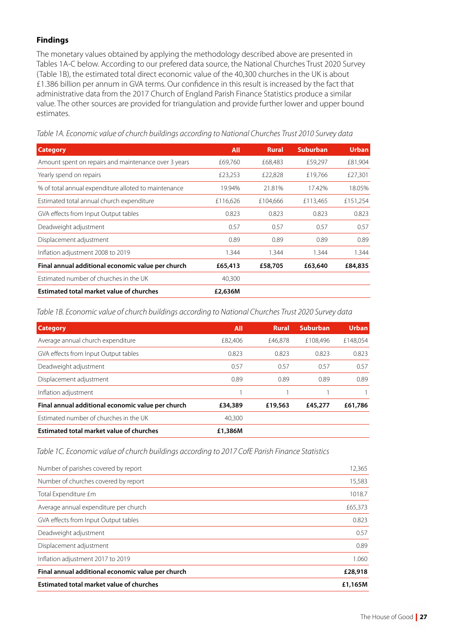# **Findings**

The monetary values obtained by applying the methodology described above are presented in Tables 1A-C below. According to our prefered data source, the National Churches Trust 2020 Survey (Table 1B), the estimated total direct economic value of the 40,300 churches in the UK is about £1.386 billion per annum in GVA terms. Our confidence in this result is increased by the fact that administrative data from the 2017 Church of England Parish Finance Statistics produce a similar value. The other sources are provided for triangulation and provide further lower and upper bound estimates.

**Category All Rural Suburban Urban** Amount spent on repairs and maintenance over 3 years  $69,760$   $668,483$   $659,297$   $681,904$ Yearly spend on repairs **EXALL SECT 2018** E23,253 £22,828 £19,766 £27,301 % of total annual expenditure alloted to maintenance  $\frac{19.94\%}{21.81\%}$  21.81% 17.42% 18.05% Estimated total annual church expenditure £116,626 £104,666 £113,465 £151,254 GVA effects from Input Output tables  $0.823$  0.823 0.823 0.823 0.823 Deadweight adjustment 0.57 0.57 0.57 0.57 Displacement adjustment 0.89 0.89 0.89 0.89 Inflation adjustment 2008 to 2019 1.344 1.344 1.344 1.344 **Final annual additional economic value per church £65,413 £58,705 £63,640 £84,835** Estimated number of churches in the UK 40,300 **Estimated total market value of churches £2,636M**

*Table 1A. Economic value of church buildings according to National Churches Trust 2010 Survey data*

*Table 1B. Economic value of church buildings according to National Churches Trust 2020 Survey data*

| <b>Category</b>                                   | All     | Rural   | <b>Suburban</b> | <b>Urban</b> |
|---------------------------------------------------|---------|---------|-----------------|--------------|
| Average annual church expenditure                 | £82,406 | £46.878 | £108,496        | £148.054     |
| GVA effects from Input Output tables              | 0.823   | 0.823   | 0.823           | 0.823        |
| Deadweight adjustment                             | 0.57    | 0.57    | 0.57            | 0.57         |
| Displacement adjustment                           | 0.89    | 0.89    | 0.89            | 0.89         |
| Inflation adjustment                              |         |         |                 |              |
| Final annual additional economic value per church | £34,389 | £19,563 | £45,277         | £61,786      |
| Estimated number of churches in the UK            | 40,300  |         |                 |              |
| Estimated total market value of churches          | £1,386M |         |                 |              |

*Table 1C. Economic value of church buildings according to 2017 CofE Parish Finance Statistics*

| Number of parishes covered by report              | 12,365  |
|---------------------------------------------------|---------|
| Number of churches covered by report              | 15,583  |
| Total Expenditure £m                              | 1018.7  |
| Average annual expenditure per church             | £65,373 |
| GVA effects from Input Output tables              | 0.823   |
| Deadweight adjustment                             | 0.57    |
| Displacement adjustment                           | 0.89    |
| Inflation adjustment 2017 to 2019                 | 1.060   |
| Final annual additional economic value per church | £28,918 |
| <b>Estimated total market value of churches</b>   | £1,165M |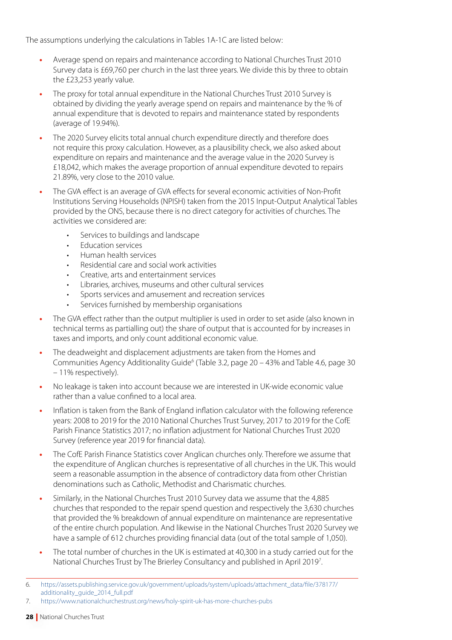The assumptions underlying the calculations in Tables 1A-1C are listed below:

- **•** Average spend on repairs and maintenance according to National Churches Trust 2010 Survey data is £69,760 per church in the last three years. We divide this by three to obtain the £23,253 yearly value.
- **•** The proxy for total annual expenditure in the National Churches Trust 2010 Survey is obtained by dividing the yearly average spend on repairs and maintenance by the % of annual expenditure that is devoted to repairs and maintenance stated by respondents (average of 19.94%).
- **•** The 2020 Survey elicits total annual church expenditure directly and therefore does not require this proxy calculation. However, as a plausibility check, we also asked about expenditure on repairs and maintenance and the average value in the 2020 Survey is £18,042, which makes the average proportion of annual expenditure devoted to repairs 21.89%, very close to the 2010 value.
- **•** The GVA effect is an average of GVA effects for several economic activities of Non-Profit Institutions Serving Households (NPISH) taken from the 2015 Input-Output Analytical Tables provided by the ONS, because there is no direct category for activities of churches. The activities we considered are:
	- Services to buildings and landscape
	- Education services
	- Human health services
	- Residential care and social work activities
	- Creative, arts and entertainment services
	- Libraries, archives, museums and other cultural services
	- Sports services and amusement and recreation services
	- Services furnished by membership organisations
- **•** The GVA effect rather than the output multiplier is used in order to set aside (also known in technical terms as partialling out) the share of output that is accounted for by increases in taxes and imports, and only count additional economic value.
- **•** The deadweight and displacement adjustments are taken from the Homes and Communities Agency Additionality Guide<sup>6</sup> (Table 3.2, page 20 – 43% and Table 4.6, page 30 – 11% respectively).
- **•** No leakage is taken into account because we are interested in UK-wide economic value rather than a value confined to a local area.
- **•** Inflation is taken from the Bank of England inflation calculator with the following reference years: 2008 to 2019 for the 2010 National Churches Trust Survey, 2017 to 2019 for the CofE Parish Finance Statistics 2017; no inflation adjustment for National Churches Trust 2020 Survey (reference year 2019 for financial data).
- **•** The CofE Parish Finance Statistics cover Anglican churches only. Therefore we assume that the expenditure of Anglican churches is representative of all churches in the UK. This would seem a reasonable assumption in the absence of contradictory data from other Christian denominations such as Catholic, Methodist and Charismatic churches.
- **•** Similarly, in the National Churches Trust 2010 Survey data we assume that the 4,885 churches that responded to the repair spend question and respectively the 3,630 churches that provided the % breakdown of annual expenditure on maintenance are representative of the entire church population. And likewise in the National Churches Trust 2020 Survey we have a sample of 612 churches providing financial data (out of the total sample of 1,050).
- **•** The total number of churches in the UK is estimated at 40,300 in a study carried out for the National Churches Trust by The Brierley Consultancy and published in April 20197 .

7. <https://www.nationalchurchestrust.org/news/holy-spirit-uk-has-more-churches-pubs>

<sup>6.</sup> [https://assets.publishing.service.gov.uk/government/uploads/system/uploads/attachment\\_data/file/378177/](https://assets.publishing.service.gov.uk/government/uploads/system/uploads/attachment_data/file/378177/additionality_guide_2014_full.pdf) [additionality\\_guide\\_2014\\_full.pdf](https://assets.publishing.service.gov.uk/government/uploads/system/uploads/attachment_data/file/378177/additionality_guide_2014_full.pdf)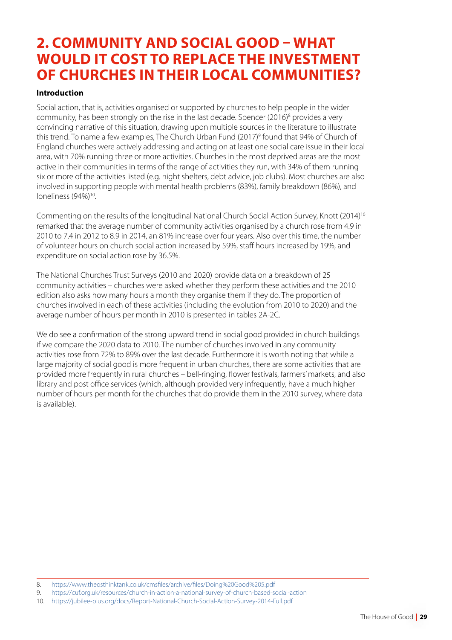# **2. COMMUNITY AND SOCIAL GOOD – WHAT WOULD IT COST TO REPLACE THE INVESTMENT OF CHURCHES IN THEIR LOCAL COMMUNITIES?**

# **Introduction**

Social action, that is, activities organised or supported by churches to help people in the wider community, has been strongly on the rise in the last decade. Spencer (2016)<sup>8</sup> provides a very convincing narrative of this situation, drawing upon multiple sources in the literature to illustrate this trend. To name a few examples, The Church Urban Fund (2017)<sup>9</sup> found that 94% of Church of England churches were actively addressing and acting on at least one social care issue in their local area, with 70% running three or more activities. Churches in the most deprived areas are the most active in their communities in terms of the range of activities they run, with 34% of them running six or more of the activities listed (e.g. night shelters, debt advice, job clubs). Most churches are also involved in supporting people with mental health problems (83%), family breakdown (86%), and loneliness (94%)<sup>10</sup>.

Commenting on the results of the longitudinal National Church Social Action Survey, Knott (2014)10 remarked that the average number of community activities organised by a church rose from 4.9 in 2010 to 7.4 in 2012 to 8.9 in 2014, an 81% increase over four years. Also over this time, the number of volunteer hours on church social action increased by 59%, staff hours increased by 19%, and expenditure on social action rose by 36.5%.

The National Churches Trust Surveys (2010 and 2020) provide data on a breakdown of 25 community activities – churches were asked whether they perform these activities and the 2010 edition also asks how many hours a month they organise them if they do. The proportion of churches involved in each of these activities (including the evolution from 2010 to 2020) and the average number of hours per month in 2010 is presented in tables 2A-2C.

We do see a confirmation of the strong upward trend in social good provided in church buildings if we compare the 2020 data to 2010. The number of churches involved in any community activities rose from 72% to 89% over the last decade. Furthermore it is worth noting that while a large majority of social good is more frequent in urban churches, there are some activities that are provided more frequently in rural churches – bell-ringing, flower festivals, farmers' markets, and also library and post office services (which, although provided very infrequently, have a much higher number of hours per month for the churches that do provide them in the 2010 survey, where data is available).

<sup>8.</sup> <https://www.theosthinktank.co.uk/cmsfiles/archive/files/Doing%20Good%205.pdf>

<sup>9.</sup> <https://cuf.org.uk/resources/church-in-action-a-national-survey-of-church-based-social-action>

<sup>10.</sup> <https://jubilee-plus.org/docs/Report-National-Church-Social-Action-Survey-2014-Full.pdf>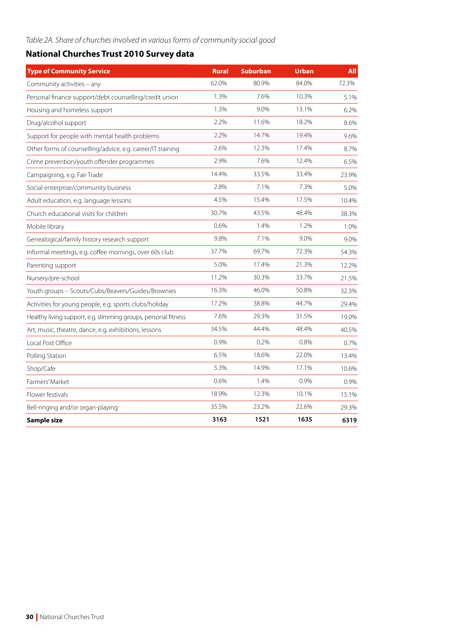# *Table 2A. Share of churches involved in various forms of community social good*

# **National Churches Trust 2010 Survey data**

| <b>Type of Community Service</b>                               | <b>Rural</b> | <b>Suburban</b> | <b>Urban</b> | All   |
|----------------------------------------------------------------|--------------|-----------------|--------------|-------|
| Community activities - any                                     | 62.0%        | 80.9%           | 84.0%        | 72.3% |
| Personal finance support/debt counselling/credit union         | 1.3%         | 7.6%            | 10.3%        | 5.1%  |
| Housing and homeless support                                   | 1.3%         | 9.0%            | 13.1%        | 6.2%  |
| Drug/alcohol support                                           | 2.2%         | 11.6%           | 18.2%        | 8.6%  |
| Support for people with mental health problems                 | 2.2%         | 14.7%           | 19.4%        | 9.6%  |
| Other forms of counselling/advice, e.g. career/IT training     | 2.6%         | 12.3%           | 17.4%        | 8.7%  |
| Crime prevention/youth offender programmes                     | 2.9%         | 7.6%            | 12.4%        | 6.5%  |
| Campaigning, e.g. Fair Trade                                   | 14.4%        | 33.5%           | 33.4%        | 23.9% |
| Social enterprise/community business                           | 2.8%         | 7.1%            | 7.3%         | 5.0%  |
| Adult education, e.g. language lessons                         | 4.5%         | 15.4%           | 17.5%        | 10.4% |
| Church educational visits for children                         | 30.7%        | 43.5%           | 48.4%        | 38.3% |
| Mobile library                                                 | 0.6%         | 1.4%            | 1.2%         | 1.0%  |
| Genealogical/family history research support                   | 9.8%         | 7.1%            | 9.0%         | 9.0%  |
| Informal meetings, e.g. coffee mornings, over 60s club         | 37.7%        | 69.7%           | 72.3%        | 54.3% |
| Parenting support                                              | 5.0%         | 17.4%           | 21.3%        | 12.2% |
| Nursery/pre-school                                             | 11.2%        | 30.3%           | 33.7%        | 21.5% |
| Youth groups - Scouts/Cubs/Beavers/Guides/Brownies             | 16.3%        | 46.0%           | 50.8%        | 32.3% |
| Activities for young people, e.g. sports clubs/holiday         | 17.2%        | 38.8%           | 44.7%        | 29.4% |
| Healthy living support, e.g. slimming groups, personal fitness | 7.6%         | 29.3%           | 31.5%        | 19.0% |
| Art, music, theatre, dance, e.g. exhibitions, lessons          | 34.5%        | 44.4%           | 48.4%        | 40.5% |
| Local Post Office                                              | 0.9%         | 0.2%            | 0.8%         | 0.7%  |
| Polling Station                                                | 6.5%         | 18.6%           | 22.0%        | 13.4% |
| Shop/Cafe                                                      | 5.3%         | 14.9%           | 17.1%        | 10.6% |
| Farmers' Market                                                | 0.6%         | 1.4%            | 0.9%         | 0.9%  |
| Flower festivals                                               | 18.9%        | 12.3%           | 10.1%        | 15.1% |
| Bell-ringing and/or organ-playing                              | 35.5%        | 23.2%           | 22.6%        | 29.3% |
| Sample size                                                    | 3163         | 1521            | 1635         | 6319  |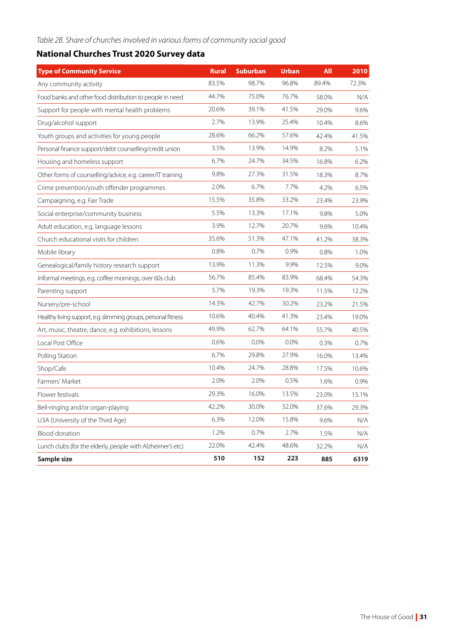# *Table 2B. Share of churches involved in various forms of community social good*

# **National Churches Trust 2020 Survey data**

| <b>Type of Community Service</b>                               | <b>Rural</b> | <b>Suburban</b> | <b>Urban</b> | <b>All</b> | 2010  |
|----------------------------------------------------------------|--------------|-----------------|--------------|------------|-------|
| Any community activity                                         | 83.5%        | 98.7%           | 96.8%        | 89.4%      | 72.3% |
| Food banks and other food distribution to people in need       | 44.7%        | 75.0%           | 76.7%        | 58.0%      | N/A   |
| Support for people with mental health problems                 | 20.6%        | 39.1%           | 41.5%        | 29.0%      | 9.6%  |
| Drug/alcohol support                                           | 2.7%         | 13.9%           | 25.4%        | 10.4%      | 8.6%  |
| Youth groups and activities for young people                   | 28.6%        | 66.2%           | 57.6%        | 42.4%      | 41.5% |
| Personal finance support/debt counselling/credit union         | 3.5%         | 13.9%           | 14.9%        | 8.2%       | 5.1%  |
| Housing and homeless support                                   | 6.7%         | 24.7%           | 34.5%        | 16.8%      | 6.2%  |
| Other forms of counselling/advice, e.g. career/IT training     | 9.8%         | 27.3%           | 31.5%        | 18.3%      | 8.7%  |
| Crime prevention/youth offender programmes                     | 2.0%         | 6.7%            | 7.7%         | 4.2%       | 6.5%  |
| Campaigning, e.g. Fair Trade                                   | 15.5%        | 35.8%           | 33.2%        | 23.4%      | 23.9% |
| Social enterprise/community business                           | 5.5%         | 13.3%           | 17.1%        | 9.8%       | 5.0%  |
| Adult education, e.g. language lessons                         | 3.9%         | 12.7%           | 20.7%        | 9.6%       | 10.4% |
| Church educational visits for children                         | 35.6%        | 51.3%           | 47.1%        | 41.2%      | 38.3% |
| Mobile library                                                 | 0.8%         | 0.7%            | 0.9%         | 0.8%       | 1.0%  |
| Genealogical/family history research support                   | 13.9%        | 11.3%           | 9.9%         | 12.5%      | 9.0%  |
| Informal meetings, e.g. coffee mornings, over 60s club         | 56.7%        | 85.4%           | 83.9%        | 68.4%      | 54.3% |
| Parenting support                                              | 5.7%         | 19.3%           | 19.3%        | 11.5%      | 12.2% |
| Nursery/pre-school                                             | 14.3%        | 42.7%           | 30.2%        | 23.2%      | 21.5% |
| Healthy living support, e.g. slimming groups, personal fitness | 10.6%        | 40.4%           | 41.3%        | 23.4%      | 19.0% |
| Art, music, theatre, dance, e.g. exhibitions, lessons          | 49.9%        | 62.7%           | 64.1%        | 55.7%      | 40.5% |
| Local Post Office                                              | 0.6%         | 0.0%            | 0.0%         | 0.3%       | 0.7%  |
| Polling Station                                                | 6.7%         | 29.8%           | 27.9%        | 16.0%      | 13.4% |
| Shop/Cafe                                                      | 10.4%        | 24.7%           | 28.8%        | 17.5%      | 10.6% |
| Farmers' Market                                                | 2.0%         | 2.0%            | 0.5%         | 1.6%       | 0.9%  |
| Flower festivals                                               | 29.3%        | 16.0%           | 13.5%        | 23.0%      | 15.1% |
| Bell-ringing and/or organ-playing                              | 42.2%        | 30.0%           | 32.0%        | 37.6%      | 29.3% |
| U3A (University of the Third Age)                              | 6.3%         | 12.0%           | 15.8%        | 9.6%       | N/A   |
| Blood donation                                                 | 1.2%         | 0.7%            | 2.7%         | 1.5%       | N/A   |
| Lunch clubs (for the elderly, people with Alzheimer's etc)     | 22.0%        | 42.4%           | 48.6%        | 32.2%      | N/A   |
| Sample size                                                    | 510          | 152             | 223          | 885        | 6319  |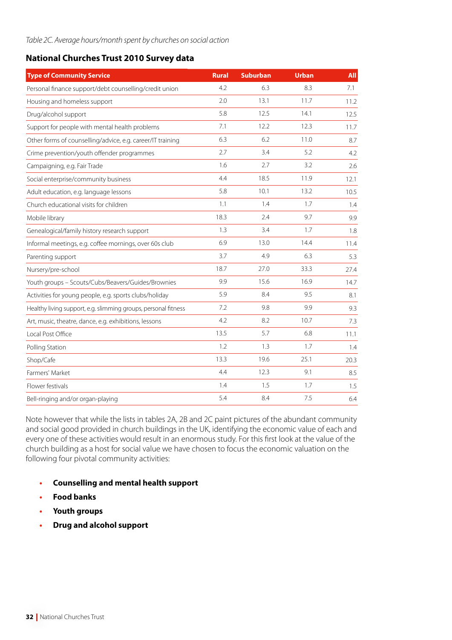# **National Churches Trust 2010 Survey data**

| <b>Type of Community Service</b>                               | <b>Rural</b> | <b>Suburban</b> | <b>Urban</b> | <b>All</b> |
|----------------------------------------------------------------|--------------|-----------------|--------------|------------|
| Personal finance support/debt counselling/credit union         | 4.2          | 6.3             | 8.3          | 7.1        |
| Housing and homeless support                                   | 2.0          | 13.1            | 11.7         | 11.2       |
| Drug/alcohol support                                           | 5.8          | 12.5            | 14.1         | 12.5       |
| Support for people with mental health problems                 | 7.1          | 12.2            | 12.3         | 11.7       |
| Other forms of counselling/advice, e.g. career/IT training     | 6.3          | 6.2             | 11.0         | 8.7        |
| Crime prevention/youth offender programmes                     | 2.7          | 3.4             | 5.2          | 4.2        |
| Campaigning, e.g. Fair Trade                                   | 1.6          | 2.7             | 3.2          | 2.6        |
| Social enterprise/community business                           | 4.4          | 18.5            | 11.9         | 12.1       |
| Adult education, e.g. language lessons                         | 5.8          | 10.1            | 13.2         | 10.5       |
| Church educational visits for children                         | 1.1          | 1.4             | 1.7          | 1.4        |
| Mobile library                                                 | 18.3         | 2.4             | 9.7          | 9.9        |
| Genealogical/family history research support                   | 1.3          | 3.4             | 1.7          | 1.8        |
| Informal meetings, e.g. coffee mornings, over 60s club         | 6.9          | 13.0            | 14.4         | 11.4       |
| Parenting support                                              | 3.7          | 4.9             | 6.3          | 5.3        |
| Nursery/pre-school                                             | 18.7         | 27.0            | 33.3         | 27.4       |
| Youth groups - Scouts/Cubs/Beavers/Guides/Brownies             | 9.9          | 15.6            | 16.9         | 14.7       |
| Activities for young people, e.g. sports clubs/holiday         | 5.9          | 8.4             | 9.5          | 8.1        |
| Healthy living support, e.g. slimming groups, personal fitness | 7.2          | 9.8             | 9.9          | 9.3        |
| Art, music, theatre, dance, e.g. exhibitions, lessons          | 4.2          | 8.2             | 10.7         | 7.3        |
| Local Post Office                                              | 13.5         | 5.7             | 6.8          | 11.1       |
| Polling Station                                                | 1.2          | 1.3             | 1.7          | 1.4        |
| Shop/Cafe                                                      | 13.3         | 19.6            | 25.1         | 20.3       |
| Farmers' Market                                                | 4.4          | 12.3            | 9.1          | 8.5        |
| Flower festivals                                               | 1.4          | 1.5             | 1.7          | 1.5        |
| Bell-ringing and/or organ-playing                              | 5.4          | 8.4             | 7.5          | 6.4        |

Note however that while the lists in tables 2A, 2B and 2C paint pictures of the abundant community and social good provided in church buildings in the UK, identifying the economic value of each and every one of these activities would result in an enormous study. For this first look at the value of the church building as a host for social value we have chosen to focus the economic valuation on the following four pivotal community activities:

- **• Counselling and mental health support**
- **• Food banks**
- **• Youth groups**
- **• Drug and alcohol support**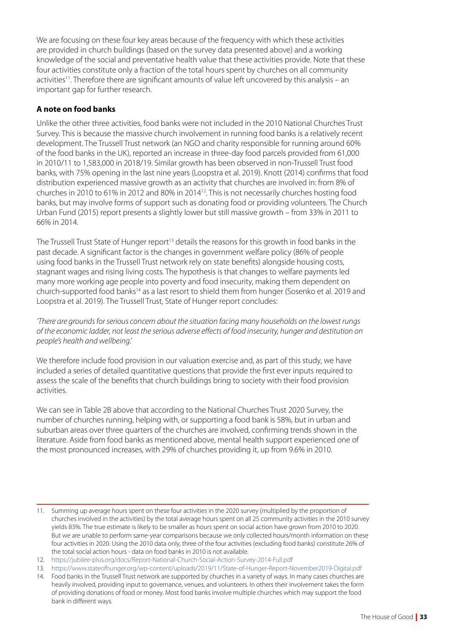We are focusing on these four key areas because of the frequency with which these activities are provided in church buildings (based on the survey data presented above) and a working knowledge of the social and preventative health value that these activities provide. Note that these four activities constitute only a fraction of the total hours spent by churches on all community activities11. Therefore there are significant amounts of value left uncovered by this analysis – an important gap for further research.

# **A note on food banks**

Unlike the other three activities, food banks were not included in the 2010 National Churches Trust Survey. This is because the massive church involvement in running food banks is a relatively recent development. The Trussell Trust network (an NGO and charity responsible for running around 60% of the food banks in the UK), reported an increase in three-day food parcels provided from 61,000 in 2010/11 to 1,583,000 in 2018/19. Similar growth has been observed in non-Trussell Trust food banks, with 75% opening in the last nine years (Loopstra et al. 2019). Knott (2014) confirms that food distribution experienced massive growth as an activity that churches are involved in: from 8% of churches in 2010 to 61% in 2012 and 80% in 201412. This is not necessarily churches hosting food banks, but may involve forms of support such as donating food or providing volunteers. The Church Urban Fund (2015) report presents a slightly lower but still massive growth – from 33% in 2011 to 66% in 2014.

The Trussell Trust State of Hunger report<sup>13</sup> details the reasons for this growth in food banks in the past decade. A significant factor is the changes in government welfare policy (86% of people using food banks in the Trussell Trust network rely on state benefits) alongside housing costs, stagnant wages and rising living costs. The hypothesis is that changes to welfare payments led many more working age people into poverty and food insecurity, making them dependent on church-supported food banks<sup>14</sup> as a last resort to shield them from hunger (Sosenko et al. 2019 and Loopstra et al. 2019). The Trussell Trust, State of Hunger report concludes:

*'There are grounds for serious concern about the situation facing many households on the lowest rungs of the economic ladder, not least the serious adverse effects of food insecurity, hunger and destitution on people's health and wellbeing.'*

We therefore include food provision in our valuation exercise and, as part of this study, we have included a series of detailed quantitative questions that provide the first ever inputs required to assess the scale of the benefits that church buildings bring to society with their food provision activities.

We can see in Table 2B above that according to the National Churches Trust 2020 Survey, the number of churches running, helping with, or supporting a food bank is 58%, but in urban and suburban areas over three quarters of the churches are involved, confirming trends shown in the literature. Aside from food banks as mentioned above, mental health support experienced one of the most pronounced increases, with 29% of churches providing it, up from 9.6% in 2010.

<sup>11.</sup> Summing up average hours spent on these four activities in the 2020 survey (multiplied by the proportion of churches involved in the activities) by the total average hours spent on all 25 community activities in the 2010 survey yields 83%. The true estimate is likely to be smaller as hours spent on social action have grown from 2010 to 2020. But we are unable to perform same-year comparisons because we only collected hours/month information on these four activities in 2020. Using the 2010 data only, three of the four activities (excluding food banks) constitute 26% of the total social action hours - data on food banks in 2010 is not available.

<sup>12.</sup> <https://jubilee-plus.org/docs/Report-National-Church-Social-Action-Survey-2014-Full.pdf>

<sup>13.</sup> <https://www.stateofhunger.org/wp-content/uploads/2019/11/State-of-Hunger-Report-November2019-Digital.pdf>

<sup>14.</sup> Food banks in the Trussell Trust network are supported by churches in a variety of ways. In many cases churches are heavily involved, providing input to governance, venues, and volunteers. In others their involvement takes the form of providing donations of food or money. Most food banks involve multiple churches which may support the food bank in different ways.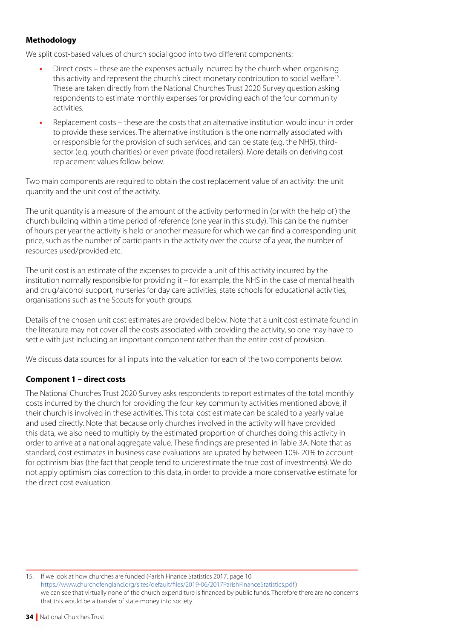# **Methodology**

We split cost-based values of church social good into two different components:

- **•** Direct costs these are the expenses actually incurred by the church when organising this activity and represent the church's direct monetary contribution to social welfare15. These are taken directly from the National Churches Trust 2020 Survey question asking respondents to estimate monthly expenses for providing each of the four community activities.
- **•** Replacement costs these are the costs that an alternative institution would incur in order to provide these services. The alternative institution is the one normally associated with or responsible for the provision of such services, and can be state (e.g. the NHS), thirdsector (e.g. youth charities) or even private (food retailers). More details on deriving cost replacement values follow below.

Two main components are required to obtain the cost replacement value of an activity: the unit quantity and the unit cost of the activity.

The unit quantity is a measure of the amount of the activity performed in (or with the help of ) the church building within a time period of reference (one year in this study). This can be the number of hours per year the activity is held or another measure for which we can find a corresponding unit price, such as the number of participants in the activity over the course of a year, the number of resources used/provided etc.

The unit cost is an estimate of the expenses to provide a unit of this activity incurred by the institution normally responsible for providing it – for example, the NHS in the case of mental health and drug/alcohol support, nurseries for day care activities, state schools for educational activities, organisations such as the Scouts for youth groups.

Details of the chosen unit cost estimates are provided below. Note that a unit cost estimate found in the literature may not cover all the costs associated with providing the activity, so one may have to settle with just including an important component rather than the entire cost of provision.

We discuss data sources for all inputs into the valuation for each of the two components below.

# **Component 1 – direct costs**

The National Churches Trust 2020 Survey asks respondents to report estimates of the total monthly costs incurred by the church for providing the four key community activities mentioned above, if their church is involved in these activities. This total cost estimate can be scaled to a yearly value and used directly. Note that because only churches involved in the activity will have provided this data, we also need to multiply by the estimated proportion of churches doing this activity in order to arrive at a national aggregate value. These findings are presented in Table 3A. Note that as standard, cost estimates in business case evaluations are uprated by between 10%-20% to account for optimism bias (the fact that people tend to underestimate the true cost of investments). We do not apply optimism bias correction to this data, in order to provide a more conservative estimate for the direct cost evaluation.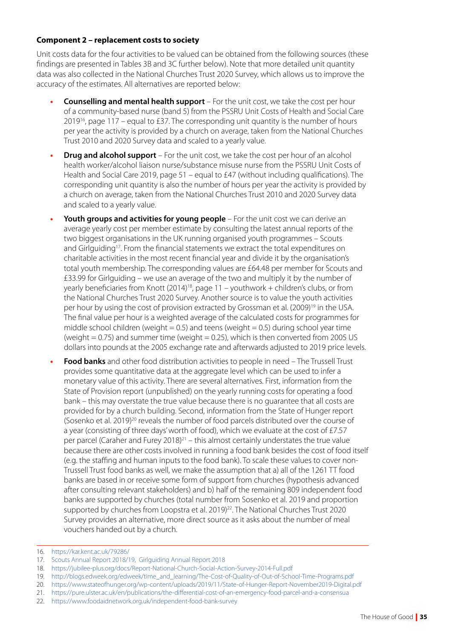# **Component 2 – replacement costs to society**

Unit costs data for the four activities to be valued can be obtained from the following sources (these findings are presented in Tables 3B and 3C further below). Note that more detailed unit quantity data was also collected in the National Churches Trust 2020 Survey, which allows us to improve the accuracy of the estimates. All alternatives are reported below:

- **• Counselling and mental health support** For the unit cost, we take the cost per hour of a community-based nurse (band 5) from the PSSRU Unit Costs of Health and Social Care  $2019^{16}$ , page 117 – equal to £37. The corresponding unit quantity is the number of hours per year the activity is provided by a church on average, taken from the National Churches Trust 2010 and 2020 Survey data and scaled to a yearly value.
- **•• Drug and alcohol support** For the unit cost, we take the cost per hour of an alcohol health worker/alcohol liaison nurse/substance misuse nurse from the PSSRU Unit Costs of Health and Social Care 2019, page 51 – equal to £47 (without including qualifications). The corresponding unit quantity is also the number of hours per year the activity is provided by a church on average, taken from the National Churches Trust 2010 and 2020 Survey data and scaled to a yearly value.
- **• Youth groups and activities for young people** For the unit cost we can derive an average yearly cost per member estimate by consulting the latest annual reports of the two biggest organisations in the UK running organised youth programmes – Scouts and Girlguiding<sup>17</sup>. From the financial statements we extract the total expenditures on charitable activities in the most recent financial year and divide it by the organisation's total youth membership. The corresponding values are £64.48 per member for Scouts and £33.99 for Girlguiding – we use an average of the two and multiply it by the number of yearly beneficiaries from Knott (2014)<sup>18</sup>, page 11 – youthwork + children's clubs, or from the National Churches Trust 2020 Survey. Another source is to value the youth activities per hour by using the cost of provision extracted by Grossman et al. (2009)<sup>19</sup> in the USA. The final value per hour is a weighted average of the calculated costs for programmes for middle school children (weight  $= 0.5$ ) and teens (weight  $= 0.5$ ) during school year time (weight  $= 0.75$ ) and summer time (weight  $= 0.25$ ), which is then converted from 2005 US dollars into pounds at the 2005 exchange rate and afterwards adjusted to 2019 price levels.
- **• Food banks** and other food distribution activities to people in need The Trussell Trust provides some quantitative data at the aggregate level which can be used to infer a monetary value of this activity. There are several alternatives. First, information from the State of Provision report (unpublished) on the yearly running costs for operating a food bank – this may overstate the true value because there is no guarantee that all costs are provided for by a church building. Second, information from the State of Hunger report (Sosenko et al. 2019)20 reveals the number of food parcels distributed over the course of a year (consisting of three days' worth of food), which we evaluate at the cost of  $£7.57$ per parcel (Caraher and Furey 2018) $^{21}$  – this almost certainly understates the true value because there are other costs involved in running a food bank besides the cost of food itself (e.g. the staffing and human inputs to the food bank). To scale these values to cover non-Trussell Trust food banks as well, we make the assumption that a) all of the 1261 TT food banks are based in or receive some form of support from churches (hypothesis advanced after consulting relevant stakeholders) and b) half of the remaining 809 independent food banks are supported by churches (total number from Sosenko et al. 2019 and proportion supported by churches from Loopstra et al. 2019)<sup>22</sup>. The National Churches Trust 2020 Survey provides an alternative, more direct source as it asks about the number of meal vouchers handed out by a church.

<sup>16.</sup> <https://kar.kent.ac.uk/79286/>

<sup>17.</sup> [Scouts Annual Report 2018/19](https://prod-cms.scouts.org.uk/media/3712/annual-report-2018-19-published-to-council-190719.pdf), [Girlguiding Annual Report 2018](https://www.girlguiding.org.uk/globalassets/docs-and-resources/quality-and-compliance/girlguiding-annual-report-2018.pdf)

<sup>18.</sup> <https://jubilee-plus.org/docs/Report-National-Church-Social-Action-Survey-2014-Full.pdf>

<sup>19.</sup> [http://blogs.edweek.org/edweek/time\\_and\\_learning/The-Cost-of-Quality-of-Out-of-School-Time-Programs.pdf](http://blogs.edweek.org/edweek/time_and_learning/The-Cost-of-Quality-of-Out-of-School-Time-Programs.pdf)

<sup>20.</sup> <https://www.stateofhunger.org/wp-content/uploads/2019/11/State-of-Hunger-Report-November2019-Digital.pdf>

<sup>21.</sup> <https://pure.ulster.ac.uk/en/publications/the-differential-cost-of-an-emergency-food-parcel-and-a-consensua>

<sup>22.</sup> <https://www.foodaidnetwork.org.uk/independent-food-bank-survey>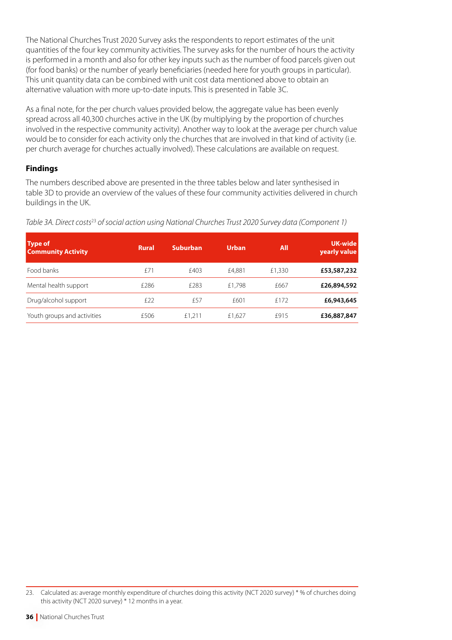The National Churches Trust 2020 Survey asks the respondents to report estimates of the unit quantities of the four key community activities. The survey asks for the number of hours the activity is performed in a month and also for other key inputs such as the number of food parcels given out (for food banks) or the number of yearly beneficiaries (needed here for youth groups in particular). This unit quantity data can be combined with unit cost data mentioned above to obtain an alternative valuation with more up-to-date inputs. This is presented in Table 3C.

As a final note, for the per church values provided below, the aggregate value has been evenly spread across all 40,300 churches active in the UK (by multiplying by the proportion of churches involved in the respective community activity). Another way to look at the average per church value would be to consider for each activity only the churches that are involved in that kind of activity (i.e. per church average for churches actually involved). These calculations are available on request.

# **Findings**

The numbers described above are presented in the three tables below and later synthesised in table 3D to provide an overview of the values of these four community activities delivered in church buildings in the UK.

| <b>Type of</b><br><b>Community Activity</b> | <b>Rural</b> | <b>Suburban</b> | <b>Urban</b> | <b>All</b> | <b>UK-wide</b><br>yearly value |
|---------------------------------------------|--------------|-----------------|--------------|------------|--------------------------------|
| Food banks                                  | f71          | £403            | £4,881       | £1,330     | £53,587,232                    |
| Mental health support                       | £286         | £283            | £1.798       | £667       | £26,894,592                    |
| Drug/alcohol support                        | £22          | £57             | £601         | f 172      | £6,943,645                     |
| Youth groups and activities                 | £506         | £1,211          | £1.627       | f915       | £36,887,847                    |

*Table 3A. Direct costs*<sup>23</sup> *of social action using National Churches Trust 2020 Survey data (Component 1)*

<sup>23.</sup> Calculated as: average monthly expenditure of churches doing this activity (NCT 2020 survey) \* % of churches doing this activity (NCT 2020 survey) \* 12 months in a year.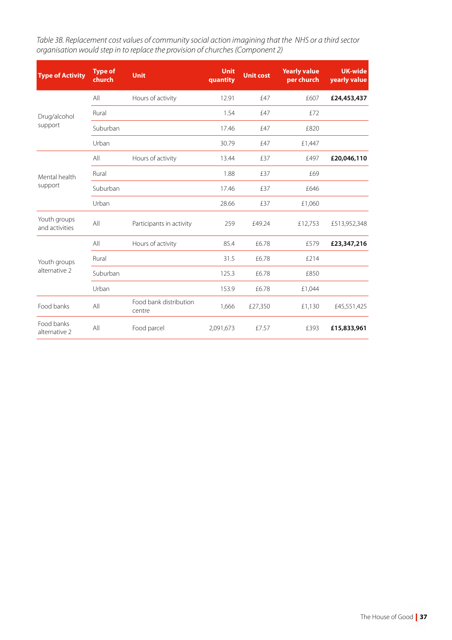*Table 3B. Replacement cost values of community social action imagining that the NHS or a third sector organisation would step in to replace the provision of churches (Component 2)*

| <b>Type of Activity</b>        | <b>Type of</b><br>church | <b>Unit</b>                      | <b>Unit</b><br>quantity | <b>Unit cost</b> | <b>Yearly value</b><br>per church | <b>UK-wide</b><br>yearly value |
|--------------------------------|--------------------------|----------------------------------|-------------------------|------------------|-----------------------------------|--------------------------------|
|                                | All                      | Hours of activity                | 12.91                   | £47              | £607                              | £24,453,437                    |
| Drug/alcohol                   | Rural                    |                                  | 1.54                    | £47              | £72                               |                                |
| support                        | Suburban                 |                                  | 17.46                   | £47              | £820                              |                                |
|                                | Urban                    |                                  | 30.79                   | £47              | £1,447                            |                                |
|                                | All                      | Hours of activity                | 13.44                   | £37              | £497                              | £20,046,110                    |
| Mental health                  | Rural                    |                                  | 1.88                    | £37              | £69                               |                                |
| support                        | Suburban                 |                                  | 17.46                   | £37              | £646                              |                                |
|                                | Urban                    |                                  | 28.66                   | £37              | £1,060                            |                                |
| Youth groups<br>and activities | All                      | Participants in activity         | 259                     | £49.24           | £12,753                           | £513,952,348                   |
|                                | All                      | Hours of activity                | 85.4                    | £6.78            | £579                              | £23,347,216                    |
| Youth groups                   | Rural                    |                                  | 31.5                    | £6.78            | £214                              |                                |
| alternative 2                  | Suburban                 |                                  | 125.3                   | £6.78            | £850                              |                                |
|                                | Urban                    |                                  | 153.9                   | £6.78            | £1,044                            |                                |
| Food banks                     | All                      | Food bank distribution<br>centre | 1,666                   | £27,350          | £1,130                            | £45,551,425                    |
| Food banks<br>alternative 2    | All                      | Food parcel                      | 2,091,673               | £7.57            | £393                              | £15,833,961                    |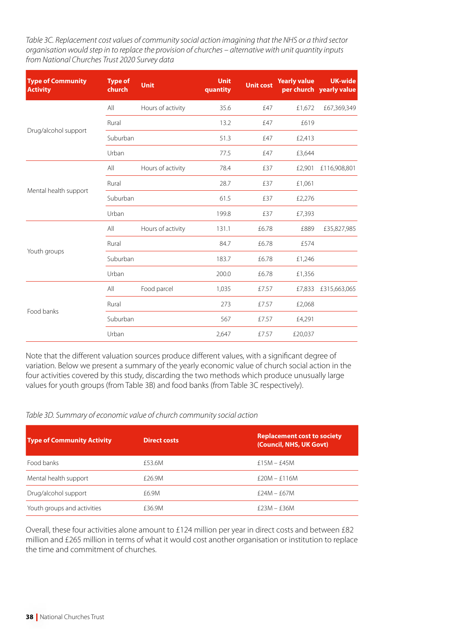*Table 3C. Replacement cost values of community social action imagining that the NHS or a third sector organisation would step in to replace the provision of churches – alternative with unit quantity inputs from National Churches Trust 2020 Survey data*

| <b>Type of Community</b><br><b>Activity</b> | <b>Type of</b><br>church | <b>Unit</b>       | <b>Unit</b><br>quantity | <b>Unit cost</b> | <b>Yearly value</b> | <b>UK-wide</b><br>per church yearly value |
|---------------------------------------------|--------------------------|-------------------|-------------------------|------------------|---------------------|-------------------------------------------|
|                                             | All                      | Hours of activity | 35.6                    | £47              | £1,672              | £67,369,349                               |
|                                             | Rural                    |                   | 13.2                    | £47              | £619                |                                           |
| Drug/alcohol support                        | Suburban                 |                   | 51.3                    | £47              | £2,413              |                                           |
|                                             | Urban                    |                   | 77.5                    | £47              | £3,644              |                                           |
|                                             | All                      | Hours of activity | 78.4                    | £37              | £2,901              | £116,908,801                              |
| Mental health support                       | Rural                    |                   | 28.7                    | £37              | £1,061              |                                           |
|                                             | Suburban                 |                   | 61.5                    | £37              | £2,276              |                                           |
|                                             | Urban                    |                   | 199.8                   | £37              | £7,393              |                                           |
|                                             | All                      | Hours of activity | 131.1                   | £6.78            | £889                | £35,827,985                               |
|                                             | Rural                    |                   | 84.7                    | £6.78            | £574                |                                           |
| Youth groups                                | Suburban                 |                   | 183.7                   | £6.78            | £1,246              |                                           |
|                                             | Urban                    |                   | 200.0                   | £6.78            | £1,356              |                                           |
|                                             | All                      | Food parcel       | 1,035                   | £7.57            | £7,833              | £315,663,065                              |
|                                             | Rural                    |                   | 273                     | £7.57            | £2,068              |                                           |
| Food banks                                  | Suburban                 |                   | 567                     | £7.57            | £4,291              |                                           |
|                                             | Urban                    |                   | 2,647                   | £7.57            | £20,037             |                                           |

Note that the different valuation sources produce different values, with a significant degree of variation. Below we present a summary of the yearly economic value of church social action in the four activities covered by this study, discarding the two methods which produce unusually large values for youth groups (from Table 3B) and food banks (from Table 3C respectively).

*Table 3D. Summary of economic value of church community social action*

| <b>Type of Community Activity</b> | <b>Direct costs</b> | <b>Replacement cost to society</b><br>(Council, NHS, UK Govt) |
|-----------------------------------|---------------------|---------------------------------------------------------------|
| Food banks                        | £53.6M              | $f15M - f45M$                                                 |
| Mental health support             | £26.9M              | $f$ 20M – $f$ 116M                                            |
| Drug/alcohol support              | £6.9M               | $f$ 24M – $f$ 67M                                             |
| Youth groups and activities       | £36.9M              | £23M – £36M                                                   |

Overall, these four activities alone amount to £124 million per year in direct costs and between £82 million and £265 million in terms of what it would cost another organisation or institution to replace the time and commitment of churches.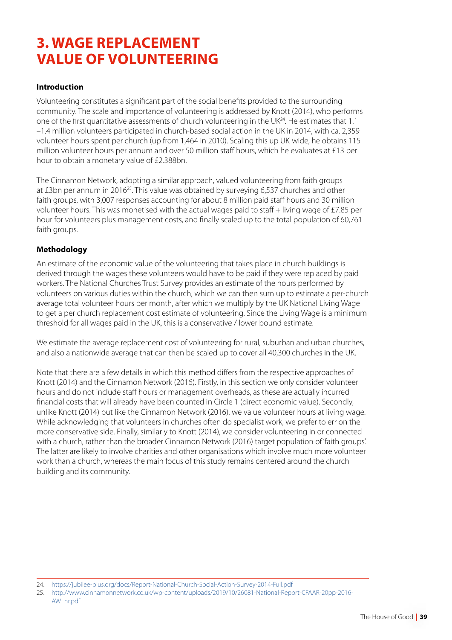# **3. WAGE REPLACEMENT VALUE OF VOLUNTEERING**

# **Introduction**

Volunteering constitutes a significant part of the social benefits provided to the surrounding community. The scale and importance of volunteering is addressed by Knott (2014), who performs one of the first quantitative assessments of church volunteering in the UK24. He estimates that 1.1 –1.4 million volunteers participated in church-based social action in the UK in 2014, with ca. 2,359 volunteer hours spent per church (up from 1,464 in 2010). Scaling this up UK-wide, he obtains 115 million volunteer hours per annum and over 50 million staff hours, which he evaluates at £13 per hour to obtain a monetary value of £2.388bn.

The Cinnamon Network, adopting a similar approach, valued volunteering from faith groups at £3bn per annum in 201625. This value was obtained by surveying 6,537 churches and other faith groups, with 3,007 responses accounting for about 8 million paid staff hours and 30 million volunteer hours. This was monetised with the actual wages paid to staff + living wage of £7.85 per hour for volunteers plus management costs, and finally scaled up to the total population of 60,761 faith groups.

#### **Methodology**

An estimate of the economic value of the volunteering that takes place in church buildings is derived through the wages these volunteers would have to be paid if they were replaced by paid workers. The National Churches Trust Survey provides an estimate of the hours performed by volunteers on various duties within the church, which we can then sum up to estimate a per-church average total volunteer hours per month, after which we multiply by the UK National Living Wage to get a per church replacement cost estimate of volunteering. Since the Living Wage is a minimum threshold for all wages paid in the UK, this is a conservative / lower bound estimate.

We estimate the average replacement cost of volunteering for rural, suburban and urban churches, and also a nationwide average that can then be scaled up to cover all 40,300 churches in the UK.

Note that there are a few details in which this method differs from the respective approaches of Knott (2014) and the Cinnamon Network (2016). Firstly, in this section we only consider volunteer hours and do not include staff hours or management overheads, as these are actually incurred financial costs that will already have been counted in Circle 1 (direct economic value). Secondly, unlike Knott (2014) but like the Cinnamon Network (2016), we value volunteer hours at living wage. While acknowledging that volunteers in churches often do specialist work, we prefer to err on the more conservative side. Finally, similarly to Knott (2014), we consider volunteering in or connected with a church, rather than the broader Cinnamon Network (2016) target population of 'faith groups'. The latter are likely to involve charities and other organisations which involve much more volunteer work than a church, whereas the main focus of this study remains centered around the church building and its community.

<sup>24.</sup> <https://jubilee-plus.org/docs/Report-National-Church-Social-Action-Survey-2014-Full.pdf>

<sup>25.</sup> [http://www.cinnamonnetwork.co.uk/wp-content/uploads/2019/10/26081-National-Report-CFAAR-20pp-2016-](http://www.cinnamonnetwork.co.uk/wp-content/uploads/2019/10/26081-National-Report-CFAAR-20pp-2016-AW_hr.pdf) [AW\\_hr.pdf](http://www.cinnamonnetwork.co.uk/wp-content/uploads/2019/10/26081-National-Report-CFAAR-20pp-2016-AW_hr.pdf)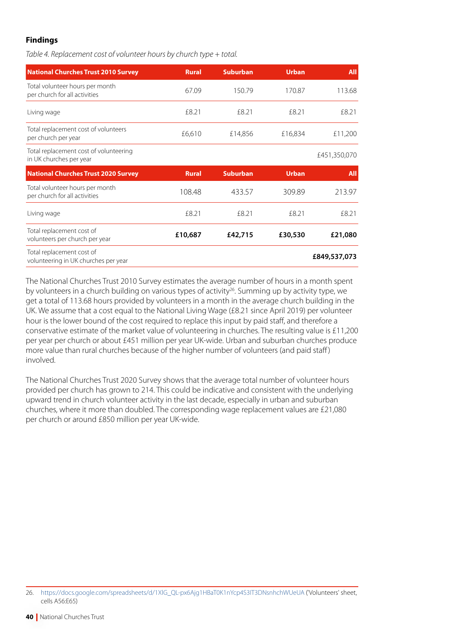# **Findings**

*Table 4. Replacement cost of volunteer hours by church type + total.*

| <b>National Churches Trust 2010 Survey</b>                        | <b>Rural</b> | <b>Suburban</b> | <b>Urban</b> | <b>All</b>   |
|-------------------------------------------------------------------|--------------|-----------------|--------------|--------------|
| Total volunteer hours per month<br>per church for all activities  | 67.09        | 150.79          | 170.87       | 113.68       |
| Living wage                                                       | £8.21        | £8.21           | £8.21        | £8.21        |
| Total replacement cost of volunteers<br>per church per year       | £6,610       | £14,856         | £16,834      | £11,200      |
| Total replacement cost of volunteering<br>in UK churches per year |              |                 |              | £451,350,070 |
|                                                                   |              |                 |              |              |
| <b>National Churches Trust 2020 Survey</b>                        | <b>Rural</b> | <b>Suburban</b> | <b>Urban</b> | <b>All</b>   |
| Total volunteer hours per month<br>per church for all activities  | 108.48       | 433.57          | 309.89       | 213.97       |
| Living wage                                                       | £8.21        | £8.21           | £8.21        | £8.21        |
| Total replacement cost of<br>volunteers per church per year       | £10,687      | £42,715         | £30,530      | £21,080      |

The National Churches Trust 2010 Survey estimates the average number of hours in a month spent by volunteers in a church building on various types of activity<sup>26</sup>. Summing up by activity type, we get a total of 113.68 hours provided by volunteers in a month in the average church building in the UK. We assume that a cost equal to the National Living Wage (£8.21 since April 2019) per volunteer hour is the lower bound of the cost required to replace this input by paid staff, and therefore a conservative estimate of the market value of volunteering in churches. The resulting value is £11,200 per year per church or about £451 million per year UK-wide. Urban and suburban churches produce more value than rural churches because of the higher number of volunteers (and paid staff ) involved.

The National Churches Trust 2020 Survey shows that the average total number of volunteer hours provided per church has grown to 214. This could be indicative and consistent with the underlying upward trend in church volunteer activity in the last decade, especially in urban and suburban churches, where it more than doubled. The corresponding wage replacement values are £21,080 per church or around £850 million per year UK-wide.

<sup>26.</sup> [https://docs.google.com/spreadsheets/d/1XlG\\_QL-px6Ajg1HBaT0K1nYcp4S3IT3DNsnhchWUeUA](https://docs.google.com/spreadsheets/d/1XlG_QL-px6Ajg1HBaT0K1nYcp4S3IT3DNsnhchWUeUA/view#gid=2003767590&range=A56:E65) ('Volunteers' sheet, cells A56:E65)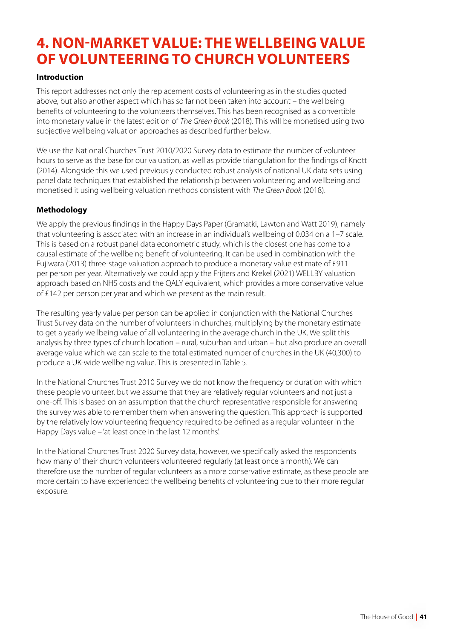# **4. NON-MARKET VALUE: THE WELLBEING VALUE OF VOLUNTEERING TO CHURCH VOLUNTEERS**

# **Introduction**

This report addresses not only the replacement costs of volunteering as in the studies quoted above, but also another aspect which has so far not been taken into account – the wellbeing benefits of volunteering to the volunteers themselves. This has been recognised as a convertible into monetary value in the latest edition of *The Green Book* (2018). This will be monetised using two subjective wellbeing valuation approaches as described further below.

We use the National Churches Trust 2010/2020 Survey data to estimate the number of volunteer hours to serve as the base for our valuation, as well as provide triangulation for the findings of Knott (2014). Alongside this we used previously conducted robust analysis of national UK data sets using panel data techniques that established the relationship between volunteering and wellbeing and monetised it using wellbeing valuation methods consistent with *The Green Book* (2018).

# **Methodology**

We apply the previous findings in the Happy Days Paper (Gramatki, Lawton and Watt 2019), namely that volunteering is associated with an increase in an individual's wellbeing of 0.034 on a 1–7 scale. This is based on a robust panel data econometric study, which is the closest one has come to a causal estimate of the wellbeing benefit of volunteering. It can be used in combination with the Fujiwara (2013) three-stage valuation approach to produce a monetary value estimate of £911 per person per year. Alternatively we could apply the Frijters and Krekel (2021) WELLBY valuation approach based on NHS costs and the OALY equivalent, which provides a more conservative value of £142 per person per year and which we present as the main result.

The resulting yearly value per person can be applied in conjunction with the National Churches Trust Survey data on the number of volunteers in churches, multiplying by the monetary estimate to get a yearly wellbeing value of all volunteering in the average church in the UK. We split this analysis by three types of church location – rural, suburban and urban – but also produce an overall average value which we can scale to the total estimated number of churches in the UK (40,300) to produce a UK-wide wellbeing value. This is presented in Table 5.

In the National Churches Trust 2010 Survey we do not know the frequency or duration with which these people volunteer, but we assume that they are relatively regular volunteers and not just a one-off. This is based on an assumption that the church representative responsible for answering the survey was able to remember them when answering the question. This approach is supported by the relatively low volunteering frequency required to be defined as a regular volunteer in the Happy Days value – 'at least once in the last 12 months'.

In the National Churches Trust 2020 Survey data, however, we specifically asked the respondents how many of their church volunteers volunteered regularly (at least once a month). We can therefore use the number of regular volunteers as a more conservative estimate, as these people are more certain to have experienced the wellbeing benefits of volunteering due to their more regular exposure.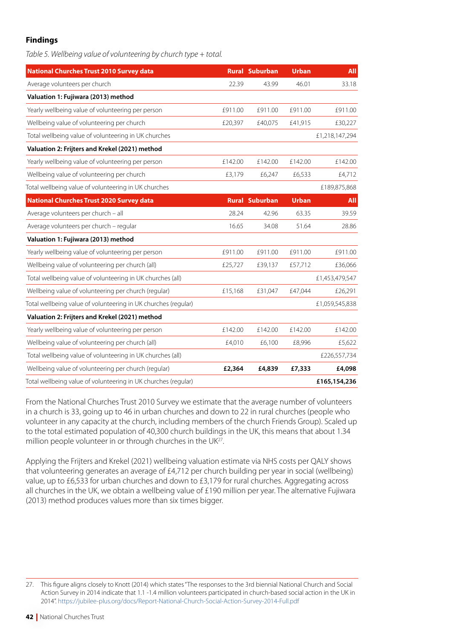# **Findings**

*Table 5. Wellbeing value of volunteering by church type + total.*

| <b>National Churches Trust 2010 Survey data</b>                |         | <b>Rural Suburban</b> | <b>Urban</b> | <b>All</b>     |
|----------------------------------------------------------------|---------|-----------------------|--------------|----------------|
| Average volunteers per church                                  | 22.39   | 43.99                 | 46.01        | 33.18          |
| Valuation 1: Fujiwara (2013) method                            |         |                       |              |                |
| Yearly wellbeing value of volunteering per person              | £911.00 | £911.00               | £911.00      | £911.00        |
| Wellbeing value of volunteering per church                     | £20,397 | £40,075               | £41,915      | £30,227        |
| Total wellbeing value of volunteering in UK churches           |         |                       |              | £1,218,147,294 |
| Valuation 2: Frijters and Krekel (2021) method                 |         |                       |              |                |
| Yearly wellbeing value of volunteering per person              | £142.00 | £142.00               | £142.00      | £142.00        |
| Wellbeing value of volunteering per church                     | £3,179  | £6,247                | £6,533       | £4,712         |
| Total wellbeing value of volunteering in UK churches           |         |                       |              | £189,875,868   |
| <b>National Churches Trust 2020 Survey data</b>                |         | <b>Rural Suburban</b> | <b>Urban</b> | <b>All</b>     |
| Average volunteers per church - all                            | 28.24   | 42.96                 | 63.35        | 39.59          |
| Average volunteers per church - regular                        | 16.65   | 34.08                 | 51.64        | 28.86          |
| Valuation 1: Fujiwara (2013) method                            |         |                       |              |                |
| Yearly wellbeing value of volunteering per person              | £911.00 | £911.00               | £911.00      | £911.00        |
| Wellbeing value of volunteering per church (all)               | £25,727 | £39,137               | £57,712      | £36,066        |
| Total wellbeing value of volunteering in UK churches (all)     |         |                       |              | £1,453,479,547 |
| Wellbeing value of volunteering per church (regular)           | £15,168 | £31,047               | £47,044      | £26,291        |
| Total wellbeing value of volunteering in UK churches (regular) |         |                       |              | £1,059,545,838 |
| Valuation 2: Frijters and Krekel (2021) method                 |         |                       |              |                |
| Yearly wellbeing value of volunteering per person              | £142.00 | £142.00               | £142.00      | £142.00        |
| Wellbeing value of volunteering per church (all)               | £4,010  | £6,100                | £8,996       | £5,622         |
| Total wellbeing value of volunteering in UK churches (all)     |         |                       |              | £226,557,734   |
| Wellbeing value of volunteering per church (regular)           | £2,364  | £4,839                | £7,333       | £4,098         |
| Total wellbeing value of volunteering in UK churches (regular) |         |                       |              | £165,154,236   |

From the National Churches Trust 2010 Survey we estimate that the average number of volunteers in a church is 33, going up to 46 in urban churches and down to 22 in rural churches (people who volunteer in any capacity at the church, including members of the church Friends Group). Scaled up to the total estimated population of 40,300 church buildings in the UK, this means that about 1.34 million people volunteer in or through churches in the UK<sup>27</sup>.

Applying the Frijters and Krekel (2021) wellbeing valuation estimate via NHS costs per QALY shows that volunteering generates an average of £4,712 per church building per year in social (wellbeing) value, up to £6,533 for urban churches and down to £3,179 for rural churches. Aggregating across all churches in the UK, we obtain a wellbeing value of £190 million per year. The alternative Fujiwara (2013) method produces values more than six times bigger.

<sup>27.</sup> This figure aligns closely to Knott (2014) which states "The responses to the 3rd biennial National Church and Social Action Survey in 2014 indicate that 1.1 -1.4 million volunteers participated in church-based social action in the UK in 2014".<https://jubilee-plus.org/docs/Report-National-Church-Social-Action-Survey-2014-Full.pdf>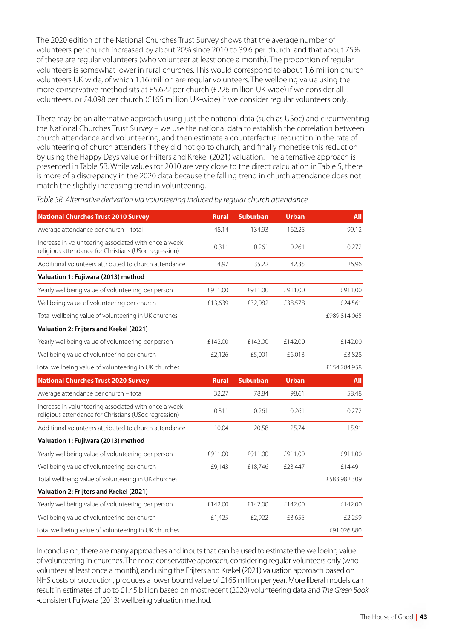The 2020 edition of the National Churches Trust Survey shows that the average number of volunteers per church increased by about 20% since 2010 to 39.6 per church, and that about 75% of these are regular volunteers (who volunteer at least once a month). The proportion of regular volunteers is somewhat lower in rural churches. This would correspond to about 1.6 million church volunteers UK-wide, of which 1.16 million are regular volunteers. The wellbeing value using the more conservative method sits at £5,622 per church (£226 million UK-wide) if we consider all volunteers, or £4,098 per church (£165 million UK-wide) if we consider regular volunteers only.

There may be an alternative approach using just the national data (such as USoc) and circumventing the National Churches Trust Survey – we use the national data to establish the correlation between church attendance and volunteering, and then estimate a counterfactual reduction in the rate of volunteering of church attenders if they did not go to church, and finally monetise this reduction by using the Happy Days value or Frijters and Krekel (2021) valuation. The alternative approach is presented in Table 5B. While values for 2010 are very close to the direct calculation in Table 5, there is more of a discrepancy in the 2020 data because the falling trend in church attendance does not match the slightly increasing trend in volunteering.

| <b>National Churches Trust 2010 Survey</b>                                                                    | <b>Rural</b> | <b>Suburban</b> | <b>Urban</b> | <b>All</b>   |
|---------------------------------------------------------------------------------------------------------------|--------------|-----------------|--------------|--------------|
| Average attendance per church - total                                                                         | 48.14        | 134.93          | 162.25       | 99.12        |
| Increase in volunteering associated with once a week<br>religious attendance for Christians (USoc regression) | 0.311        | 0.261           | 0.261        | 0.272        |
| Additional volunteers attributed to church attendance                                                         | 14.97        | 35.22           | 42.35        | 26.96        |
| Valuation 1: Fujiwara (2013) method                                                                           |              |                 |              |              |
| Yearly wellbeing value of volunteering per person                                                             | £911.00      | £911.00         | £911.00      | £911.00      |
| Wellbeing value of volunteering per church                                                                    | £13,639      | £32,082         | £38,578      | £24,561      |
| Total wellbeing value of volunteering in UK churches                                                          |              |                 |              | £989,814,065 |
| Valuation 2: Frijters and Krekel (2021)                                                                       |              |                 |              |              |
| Yearly wellbeing value of volunteering per person                                                             | £142.00      | £142.00         | £142.00      | £142.00      |
| Wellbeing value of volunteering per church                                                                    | £2,126       | £5,001          | £6,013       | £3,828       |
| Total wellbeing value of volunteering in UK churches                                                          |              |                 |              | £154,284,958 |
| <b>National Churches Trust 2020 Survey</b>                                                                    | <b>Rural</b> | <b>Suburban</b> | <b>Urban</b> | <b>All</b>   |
| Average attendance per church - total                                                                         | 32.27        | 78.84           | 98.61        | 58.48        |
| Increase in volunteering associated with once a week<br>religious attendance for Christians (USoc regression) | 0.311        | 0.261           | 0.261        | 0.272        |
| Additional volunteers attributed to church attendance                                                         | 10.04        | 20.58           | 25.74        |              |
|                                                                                                               |              |                 |              | 15.91        |
| Valuation 1: Fujiwara (2013) method                                                                           |              |                 |              |              |
| Yearly wellbeing value of volunteering per person                                                             | £911.00      | £911.00         | £911.00      | £911.00      |
| Wellbeing value of volunteering per church                                                                    | £9,143       | £18,746         | £23,447      | £14,491      |
| Total wellbeing value of volunteering in UK churches                                                          |              |                 |              | £583,982,309 |
| Valuation 2: Frijters and Krekel (2021)                                                                       |              |                 |              |              |
| Yearly wellbeing value of volunteering per person                                                             | £142.00      | £142.00         | £142.00      | £142.00      |
| Wellbeing value of volunteering per church                                                                    | £1,425       | £2,922          | £3,655       | £2,259       |

*Table 5B. Alternative derivation via volunteering induced by regular church attendance*

In conclusion, there are many approaches and inputs that can be used to estimate the wellbeing value of volunteering in churches. The most conservative approach, considering regular volunteers only (who volunteer at least once a month), and using the Frijters and Krekel (2021) valuation approach based on NHS costs of production, produces a lower bound value of £165 million per year. More liberal models can result in estimates of up to £1.45 billion based on most recent (2020) volunteering data and *The Green Book -*consistent Fujiwara (2013) wellbeing valuation method.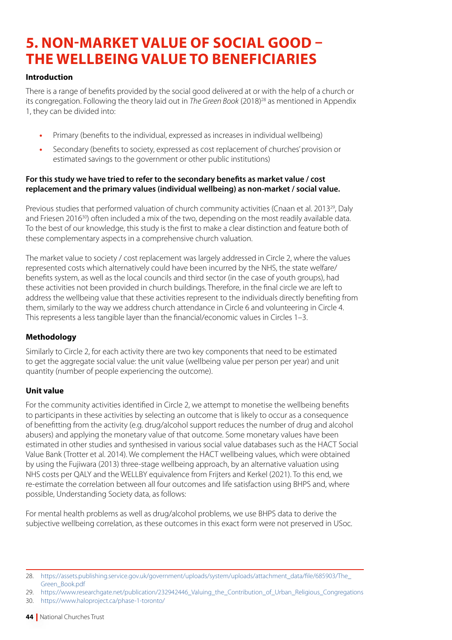# **5. NON-MARKET VALUE OF SOCIAL GOOD – THE WELLBEING VALUE TO BENEFICIARIES**

# **Introduction**

There is a range of benefits provided by the social good delivered at or with the help of a church or its congregation. Following the theory laid out in *The Green Book* (2018)28 as mentioned in Appendix 1, they can be divided into:

- **•** Primary (benefits to the individual, expressed as increases in individual wellbeing)
- **•** Secondary (benefits to society, expressed as cost replacement of churches' provision or estimated savings to the government or other public institutions)

#### **For this study we have tried to refer to the secondary benefits as market value / cost replacement and the primary values (individual wellbeing) as non-market / social value.**

Previous studies that performed valuation of church community activities (Cnaan et al. 2013<sup>29</sup>, Daly and Friesen 2016<sup>30</sup>) often included a mix of the two, depending on the most readily available data. To the best of our knowledge, this study is the first to make a clear distinction and feature both of these complementary aspects in a comprehensive church valuation.

The market value to society / cost replacement was largely addressed in Circle 2, where the values represented costs which alternatively could have been incurred by the NHS, the state welfare/ benefits system, as well as the local councils and third sector (in the case of youth groups), had these activities not been provided in church buildings. Therefore, in the final circle we are left to address the wellbeing value that these activities represent to the individuals directly benefiting from them, similarly to the way we address church attendance in Circle 6 and volunteering in Circle 4. This represents a less tangible layer than the financial/economic values in Circles 1–3.

# **Methodology**

Similarly to Circle 2, for each activity there are two key components that need to be estimated to get the aggregate social value: the unit value (wellbeing value per person per year) and unit quantity (number of people experiencing the outcome).

# **Unit value**

For the community activities identified in Circle 2, we attempt to monetise the wellbeing benefits to participants in these activities by selecting an outcome that is likely to occur as a consequence of benefitting from the activity (e.g. drug/alcohol support reduces the number of drug and alcohol abusers) and applying the monetary value of that outcome. Some monetary values have been estimated in other studies and synthesised in various social value databases such as the HACT Social Value Bank (Trotter et al. 2014). We complement the HACT wellbeing values, which were obtained by using the Fujiwara (2013) three-stage wellbeing approach, by an alternative valuation using NHS costs per QALY and the WELLBY equivalence from Frijters and Kerkel (2021). To this end, we re-estimate the correlation between all four outcomes and life satisfaction using BHPS and, where possible, Understanding Society data, as follows:

For mental health problems as well as drug/alcohol problems, we use BHPS data to derive the subjective wellbeing correlation, as these outcomes in this exact form were not preserved in USoc.

<sup>28.</sup> [https://assets.publishing.service.gov.uk/government/uploads/system/uploads/attachment\\_data/file/685903/The\\_](https://assets.publishing.service.gov.uk/government/uploads/system/uploads/attachment_data/file/685903/The_Green_Book.pdf) [Green\\_Book.pdf](https://assets.publishing.service.gov.uk/government/uploads/system/uploads/attachment_data/file/685903/The_Green_Book.pdf)

<sup>29.</sup> [https://www.researchgate.net/publication/232942446\\_Valuing\\_the\\_Contribution\\_of\\_Urban\\_Religious\\_Congregations](https://www.researchgate.net/publication/232942446_Valuing_the_Contribution_of_Urban_Religious_Congregations)

<sup>30.</sup> <https://www.haloproject.ca/phase-1-toronto/>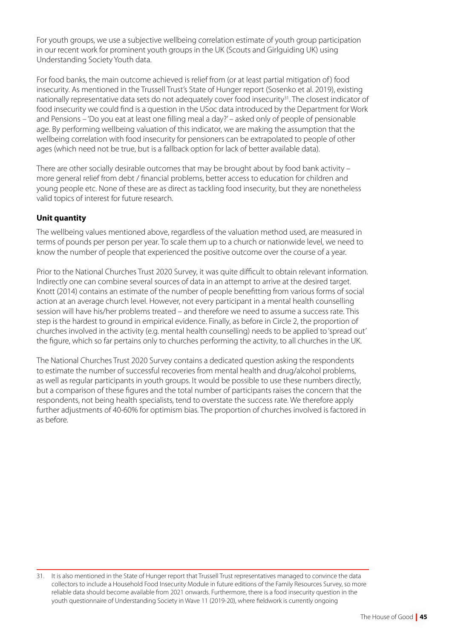For youth groups, we use a subjective wellbeing correlation estimate of youth group participation in our recent work for prominent youth groups in the UK (Scouts and Girlguiding UK) using Understanding Society Youth data.

For food banks, the main outcome achieved is relief from (or at least partial mitigation of ) food insecurity. As mentioned in the Trussell Trust's State of Hunger report (Sosenko et al. 2019), existing nationally representative data sets do not adequately cover food insecurity<sup>31</sup>. The closest indicator of food insecurity we could find is a question in the USoc data introduced by the Department for Work and Pensions – 'Do you eat at least one filling meal a day?' – asked only of people of pensionable age. By performing wellbeing valuation of this indicator, we are making the assumption that the wellbeing correlation with food insecurity for pensioners can be extrapolated to people of other ages (which need not be true, but is a fallback option for lack of better available data).

There are other socially desirable outcomes that may be brought about by food bank activity – more general relief from debt / financial problems, better access to education for children and young people etc. None of these are as direct as tackling food insecurity, but they are nonetheless valid topics of interest for future research.

# **Unit quantity**

The wellbeing values mentioned above, regardless of the valuation method used, are measured in terms of pounds per person per year. To scale them up to a church or nationwide level, we need to know the number of people that experienced the positive outcome over the course of a year.

Prior to the National Churches Trust 2020 Survey, it was quite difficult to obtain relevant information. Indirectly one can combine several sources of data in an attempt to arrive at the desired target. Knott (2014) contains an estimate of the number of people benefitting from various forms of social action at an average church level. However, not every participant in a mental health counselling session will have his/her problems treated – and therefore we need to assume a success rate. This step is the hardest to ground in empirical evidence. Finally, as before in Circle 2, the proportion of churches involved in the activity (e.g. mental health counselling) needs to be applied to 'spread out' the figure, which so far pertains only to churches performing the activity, to all churches in the UK.

The National Churches Trust 2020 Survey contains a dedicated question asking the respondents to estimate the number of successful recoveries from mental health and drug/alcohol problems, as well as regular participants in youth groups. It would be possible to use these numbers directly, but a comparison of these figures and the total number of participants raises the concern that the respondents, not being health specialists, tend to overstate the success rate. We therefore apply further adjustments of 40-60% for optimism bias. The proportion of churches involved is factored in as before.

<sup>31.</sup> It is also mentioned in the State of Hunger report that Trussell Trust representatives managed to convince the data collectors to include a Household Food Insecurity Module in future editions of the Family Resources Survey, so more reliable data should become available from 2021 onwards. Furthermore, there is a food insecurity question in the youth questionnaire of Understanding Society in Wave 11 (2019-20), where fieldwork is currently ongoing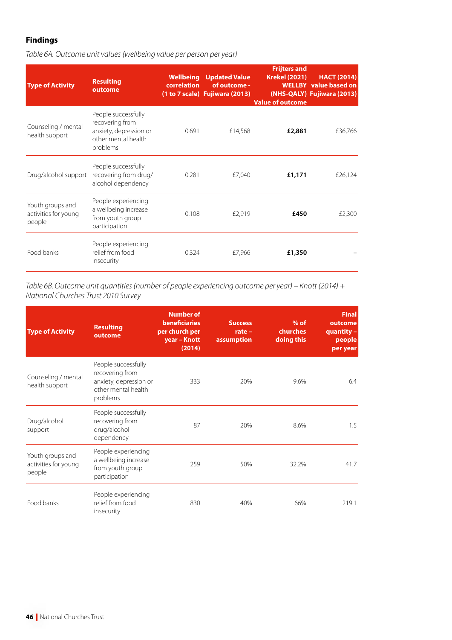# **Findings**

| <b>Type of Activity</b>                            | <b>Resulting</b><br>outcome                                                                         | correlation | <b>Wellbeing</b> Updated Value<br>of outcome -<br>(1 to 7 scale) Fujiwara (2013) | <b>Frijters and</b><br><b>Krekel (2021)</b><br><b>Value of outcome</b> | <b>HACT (2014)</b><br><b>WELLBY</b> value based on<br>(NHS-QALY) Fujiwara (2013) |
|----------------------------------------------------|-----------------------------------------------------------------------------------------------------|-------------|----------------------------------------------------------------------------------|------------------------------------------------------------------------|----------------------------------------------------------------------------------|
| Counseling / mental<br>health support              | People successfully<br>recovering from<br>anxiety, depression or<br>other mental health<br>problems | 0.691       | £14,568                                                                          | £2,881                                                                 | £36,766                                                                          |
| Drug/alcohol support                               | People successfully<br>recovering from drug/<br>alcohol dependency                                  | 0.281       | £7,040                                                                           | £1,171                                                                 | £26,124                                                                          |
| Youth groups and<br>activities for young<br>people | People experiencing<br>a wellbeing increase<br>from youth group<br>participation                    | 0.108       | £2,919                                                                           | £450                                                                   | £2,300                                                                           |
| Food banks                                         | People experiencing<br>relief from food<br>insecurity                                               | 0.324       | £7,966                                                                           | £1,350                                                                 |                                                                                  |

*Table 6B. Outcome unit quantities (number of people experiencing outcome per year) – Knott (2014) + National Churches Trust 2010 Survey*

| <b>Type of Activity</b>                            | <b>Resulting</b><br>outcome                                                                         | <b>Number of</b><br><b>beneficiaries</b><br>per church per<br>year - Knott<br>(2014) | <b>Success</b><br>$rate -$<br>assumption | $%$ of<br>churches<br>doing this | <b>Final</b><br>outcome<br>quantity -<br>people<br>per year |
|----------------------------------------------------|-----------------------------------------------------------------------------------------------------|--------------------------------------------------------------------------------------|------------------------------------------|----------------------------------|-------------------------------------------------------------|
| Counseling / mental<br>health support              | People successfully<br>recovering from<br>anxiety, depression or<br>other mental health<br>problems | 333                                                                                  | 20%                                      | 9.6%                             | 6.4                                                         |
| Drug/alcohol<br>support                            | People successfully<br>recovering from<br>drug/alcohol<br>dependency                                | 87                                                                                   | 20%                                      | 8.6%                             | 1.5                                                         |
| Youth groups and<br>activities for young<br>people | People experiencing<br>a wellbeing increase<br>from youth group<br>participation                    | 259                                                                                  | 50%                                      | 32.2%                            | 41.7                                                        |
| Food banks                                         | People experiencing<br>relief from food<br>insecurity                                               | 830                                                                                  | 40%                                      | 66%                              | 219.1                                                       |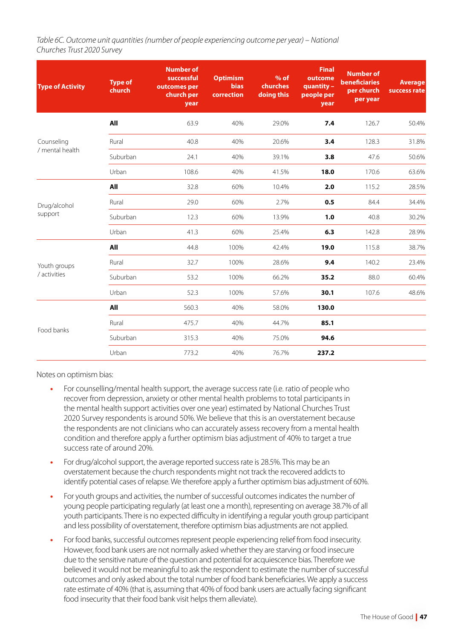*Table 6C. Outcome unit quantities (number of people experiencing outcome per year) – National Churches Trust 2020 Survey*

| <b>Type of Activity</b> | <b>Type of</b><br>church | <b>Number of</b><br>successful<br>outcomes per<br>church per<br>year | <b>Optimism</b><br><b>bias</b><br>correction | $%$ of<br>churches<br>doing this | <b>Final</b><br>outcome<br>quantity -<br>people per<br>year | <b>Number of</b><br><b>beneficiaries</b><br>per church<br>per year | <b>Average</b><br>success rate |
|-------------------------|--------------------------|----------------------------------------------------------------------|----------------------------------------------|----------------------------------|-------------------------------------------------------------|--------------------------------------------------------------------|--------------------------------|
|                         | All                      | 63.9                                                                 | 40%                                          | 29.0%                            | 7.4                                                         | 126.7                                                              | 50.4%                          |
| Counseling              | Rural                    | 40.8                                                                 | 40%                                          | 20.6%                            | 3.4                                                         | 128.3                                                              | 31.8%                          |
| / mental health         | Suburban                 | 24.1                                                                 | 40%                                          | 39.1%                            | 3.8                                                         | 47.6                                                               | 50.6%                          |
|                         | Urban                    | 108.6                                                                | 40%                                          | 41.5%                            | 18.0                                                        | 170.6                                                              | 63.6%                          |
|                         | All                      | 32.8                                                                 | 60%                                          | 10.4%                            | 2.0                                                         | 115.2                                                              | 28.5%                          |
| Drug/alcohol            | Rural                    | 29.0                                                                 | 60%                                          | 2.7%                             | 0.5                                                         | 84.4                                                               | 34.4%                          |
| support                 | Suburban                 | 12.3                                                                 | 60%                                          | 13.9%                            | 1.0                                                         | 40.8                                                               | 30.2%                          |
|                         | Urban                    | 41.3                                                                 | 60%                                          | 25.4%                            | 6.3                                                         | 142.8                                                              | 28.9%                          |
|                         | All                      | 44.8                                                                 | 100%                                         | 42.4%                            | 19.0                                                        | 115.8                                                              | 38.7%                          |
| Youth groups            | Rural                    | 32.7                                                                 | 100%                                         | 28.6%                            | 9.4                                                         | 140.2                                                              | 23.4%                          |
| / activities            | Suburban                 | 53.2                                                                 | 100%                                         | 66.2%                            | 35.2                                                        | 88.0                                                               | 60.4%                          |
|                         | Urban                    | 52.3                                                                 | 100%                                         | 57.6%                            | 30.1                                                        | 107.6                                                              | 48.6%                          |
|                         | All                      | 560.3                                                                | 40%                                          | 58.0%                            | 130.0                                                       |                                                                    |                                |
|                         | Rural                    | 475.7                                                                | 40%                                          | 44.7%                            | 85.1                                                        |                                                                    |                                |
| Food banks              | Suburban                 | 315.3                                                                | 40%                                          | 75.0%                            | 94.6                                                        |                                                                    |                                |
|                         | Urban                    | 773.2                                                                | 40%                                          | 76.7%                            | 237.2                                                       |                                                                    |                                |

Notes on optimism bias:

- **•** For counselling/mental health support, the average success rate (i.e. ratio of people who recover from depression, anxiety or other mental health problems to total participants in the mental health support activities over one year) estimated by National Churches Trust 2020 Survey respondents is around 50%. We believe that this is an overstatement because the respondents are not clinicians who can accurately assess recovery from a mental health condition and therefore apply a further optimism bias adjustment of 40% to target a true success rate of around 20%.
- **•** For drug/alcohol support, the average reported success rate is 28.5%. This may be an overstatement because the church respondents might not track the recovered addicts to identify potential cases of relapse. We therefore apply a further optimism bias adjustment of 60%.
- **•** For youth groups and activities, the number of successful outcomes indicates the number of young people participating regularly (at least one a month), representing on average 38.7% of all youth participants. There is no expected difficulty in identifying a regular youth group participant and less possibility of overstatement, therefore optimism bias adjustments are not applied.
- **•** For food banks, successful outcomes represent people experiencing relief from food insecurity. However, food bank users are not normally asked whether they are starving or food insecure due to the sensitive nature of the question and potential for acquiescence bias. Therefore we believed it would not be meaningful to ask the respondent to estimate the number of successful outcomes and only asked about the total number of food bank beneficiaries. We apply a success rate estimate of 40% (that is, assuming that 40% of food bank users are actually facing significant food insecurity that their food bank visit helps them alleviate).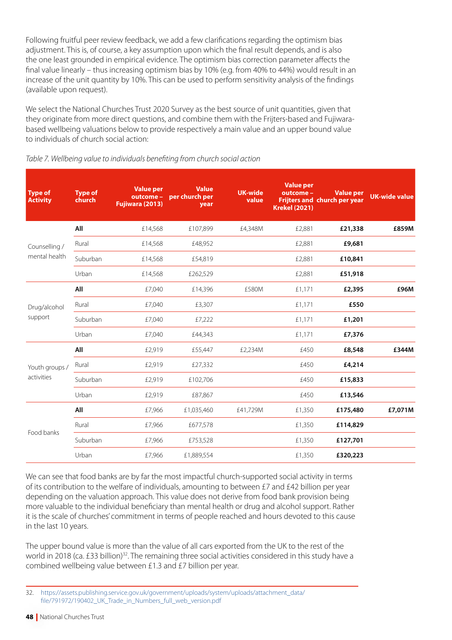Following fruitful peer review feedback, we add a few clarifications regarding the optimism bias adjustment. This is, of course, a key assumption upon which the final result depends, and is also the one least grounded in empirical evidence. The optimism bias correction parameter affects the final value linearly – thus increasing optimism bias by 10% (e.g. from 40% to 44%) would result in an increase of the unit quantity by 10%. This can be used to perform sensitivity analysis of the findings (available upon request).

We select the National Churches Trust 2020 Survey as the best source of unit quantities, given that they originate from more direct questions, and combine them with the Frijters-based and Fujiwarabased wellbeing valuations below to provide respectively a main value and an upper bound value to individuals of church social action:

| <b>Type of</b><br><b>Activity</b> | <b>Type of</b><br>church | <b>Value per</b><br>Fujiwara (2013) | <b>Value</b><br>outcome - per church per<br>year | <b>UK-wide</b><br>value | <b>Value per</b><br>outcome -<br><b>Krekel (2021)</b> | <b>Value per</b><br><b>Frijters and church per year</b> | <b>UK-wide value</b> |
|-----------------------------------|--------------------------|-------------------------------------|--------------------------------------------------|-------------------------|-------------------------------------------------------|---------------------------------------------------------|----------------------|
|                                   | All                      | £14,568                             | £107,899                                         | £4,348M                 | £2,881                                                | £21,338                                                 | £859M                |
| Counselling /                     | Rural                    | £14,568                             | £48,952                                          |                         | £2,881                                                | £9,681                                                  |                      |
| mental health                     | Suburban                 | £14,568                             | £54,819                                          |                         | £2,881                                                | £10,841                                                 |                      |
|                                   | Urban                    | £14,568                             | £262,529                                         |                         | £2,881                                                | £51,918                                                 |                      |
|                                   | All                      | £7,040                              | £14,396                                          | £580M                   | £1,171                                                | £2,395                                                  | £96M                 |
| Drug/alcohol                      | Rural                    | £7,040                              | £3,307                                           |                         | £1,171                                                | £550                                                    |                      |
| support                           | Suburban                 | £7,040                              | £7,222                                           |                         | £1,171                                                | £1,201                                                  |                      |
|                                   | Urban                    | £7,040                              | £44,343                                          |                         | £1,171                                                | £7,376                                                  |                      |
|                                   | All                      | £2,919                              | £55,447                                          | £2,234M                 | £450                                                  | £8,548                                                  | £344M                |
| Youth groups /                    | Rural                    | £2,919                              | £27,332                                          |                         | £450                                                  | £4,214                                                  |                      |
| activities                        | Suburban                 | £2,919                              | £102,706                                         |                         | £450                                                  | £15,833                                                 |                      |
|                                   | Urban                    | £2,919                              | £87,867                                          |                         | £450                                                  | £13,546                                                 |                      |
|                                   | All                      | £7,966                              | £1,035,460                                       | £41,729M                | £1,350                                                | £175,480                                                | £7,071M              |
|                                   | Rural                    | £7,966                              | £677,578                                         |                         | £1,350                                                | £114,829                                                |                      |
| Food banks                        | Suburban                 | £7,966                              | £753,528                                         |                         | £1,350                                                | £127,701                                                |                      |
|                                   | Urban                    | £7,966                              | £1,889,554                                       |                         | £1,350                                                | £320,223                                                |                      |

#### *Table 7. Wellbeing value to individuals benefiting from church social action*

We can see that food banks are by far the most impactful church-supported social activity in terms of its contribution to the welfare of individuals, amounting to between £7 and £42 billion per year depending on the valuation approach. This value does not derive from food bank provision being more valuable to the individual beneficiary than mental health or drug and alcohol support. Rather it is the scale of churches' commitment in terms of people reached and hours devoted to this cause in the last 10 years.

The upper bound value is more than the value of all cars exported from the UK to the rest of the world in 2018 (ca. £33 billion)<sup>32</sup>. The remaining three social activities considered in this study have a combined wellbeing value between £1.3 and £7 billion per year.

<sup>32.</sup> [https://assets.publishing.service.gov.uk/government/uploads/system/uploads/attachment\\_data/](https://assets.publishing.service.gov.uk/government/uploads/system/uploads/attachment_data/file/791972/190402_UK_Trade_in_Numbers_full_web_version.pdf) [file/791972/190402\\_UK\\_Trade\\_in\\_Numbers\\_full\\_web\\_version.pdf](https://assets.publishing.service.gov.uk/government/uploads/system/uploads/attachment_data/file/791972/190402_UK_Trade_in_Numbers_full_web_version.pdf)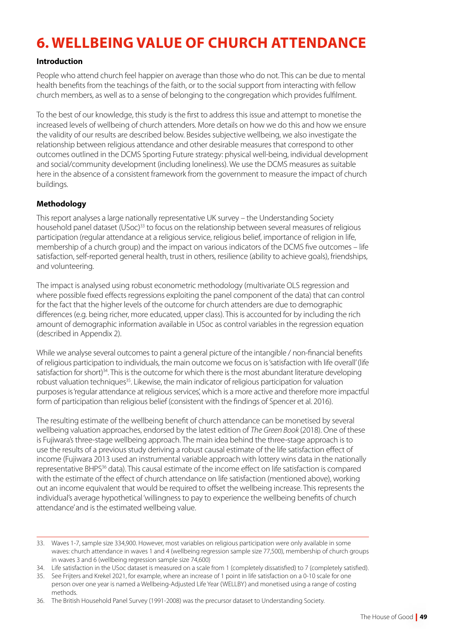# **6. WELLBEING VALUE OF CHURCH ATTENDANCE**

# **Introduction**

People who attend church feel happier on average than those who do not. This can be due to mental health benefits from the teachings of the faith, or to the social support from interacting with fellow church members, as well as to a sense of belonging to the congregation which provides fulfilment.

To the best of our knowledge, this study is the first to address this issue and attempt to monetise the increased levels of wellbeing of church attenders. More details on how we do this and how we ensure the validity of our results are described below. Besides subjective wellbeing, we also investigate the relationship between religious attendance and other desirable measures that correspond to other outcomes outlined in the DCMS Sporting Future strategy: physical well-being, individual development and social/community development (including loneliness). We use the DCMS measures as suitable here in the absence of a consistent framework from the government to measure the impact of church buildings.

# **Methodology**

This report analyses a large nationally representative UK survey – the Understanding Society household panel dataset (USoc)<sup>33</sup> to focus on the relationship between several measures of religious participation (regular attendance at a religious service, religious belief, importance of religion in life, membership of a church group) and the impact on various indicators of the DCMS five outcomes – life satisfaction, self-reported general health, trust in others, resilience (ability to achieve goals), friendships, and volunteering.

The impact is analysed using robust econometric methodology (multivariate OLS regression and where possible fixed effects regressions exploiting the panel component of the data) that can control for the fact that the higher levels of the outcome for church attenders are due to demographic differences (e.g. being richer, more educated, upper class). This is accounted for by including the rich amount of demographic information available in USoc as control variables in the regression equation (described in Appendix 2).

While we analyse several outcomes to paint a general picture of the intangible / non-financial benefits of religious participation to individuals, the main outcome we focus on is 'satisfaction with life overall' (life satisfaction for short)<sup>34</sup>. This is the outcome for which there is the most abundant literature developing robust valuation techniques<sup>35</sup>. Likewise, the main indicator of religious participation for valuation purposes is 'regular attendance at religious services', which is a more active and therefore more impactful form of participation than religious belief (consistent with the findings of Spencer et al. 2016).

The resulting estimate of the wellbeing benefit of church attendance can be monetised by several wellbeing valuation approaches, endorsed by the latest edition of *The Green Book* (2018). One of these is Fujiwara's three-stage wellbeing approach. The main idea behind the three-stage approach is to use the results of a previous study deriving a robust causal estimate of the life satisfaction effect of income (Fujiwara 2013 used an instrumental variable approach with lottery wins data in the nationally representative BHPS<sup>36</sup> data). This causal estimate of the income effect on life satisfaction is compared with the estimate of the effect of church attendance on life satisfaction (mentioned above), working out an income equivalent that would be required to offset the wellbeing increase. This represents the individual's average hypothetical 'willingness to pay to experience the wellbeing benefits of church attendance' and is the estimated wellbeing value.

<sup>33.</sup> Waves 1-7, sample size 334,900. However, most variables on religious participation were only available in some waves: church attendance in waves 1 and 4 (wellbeing regression sample size 77,500), membership of church groups in waves 3 and 6 (wellbeing regression sample size 74,600)

<sup>34.</sup> Life satisfaction in the USoc dataset is measured on a scale from 1 (completely dissatisfied) to 7 (completely satisfied).

<sup>35.</sup> See Frijters and Krekel 2021, for example, where an increase of 1 point in life satisfaction on a 0-10 scale for one person over one year is named a Wellbeing-Adjusted Life Year (WELLBY) and monetised using a range of costing methods.

<sup>36.</sup> The British Household Panel Survey (1991-2008) was the precursor dataset to Understanding Society.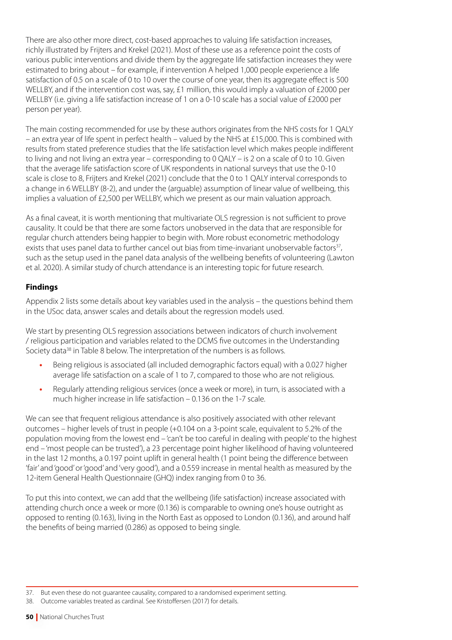There are also other more direct, cost-based approaches to valuing life satisfaction increases, richly illustrated by Frijters and Krekel (2021). Most of these use as a reference point the costs of various public interventions and divide them by the aggregate life satisfaction increases they were estimated to bring about – for example, if intervention A helped 1,000 people experience a life satisfaction of 0.5 on a scale of 0 to 10 over the course of one year, then its aggregate effect is 500 WELLBY, and if the intervention cost was, say, £1 million, this would imply a valuation of £2000 per WELLBY (i.e. giving a life satisfaction increase of 1 on a 0-10 scale has a social value of £2000 per person per year).

The main costing recommended for use by these authors originates from the NHS costs for 1 QALY – an extra year of life spent in perfect health – valued by the NHS at £15,000. This is combined with results from stated preference studies that the life satisfaction level which makes people indifferent to living and not living an extra year – corresponding to 0 QALY – is 2 on a scale of 0 to 10. Given that the average life satisfaction score of UK respondents in national surveys that use the 0-10 scale is close to 8, Frijters and Krekel (2021) conclude that the 0 to 1 QALY interval corresponds to a change in 6 WELLBY (8-2), and under the (arguable) assumption of linear value of wellbeing, this implies a valuation of £2,500 per WELLBY, which we present as our main valuation approach.

As a final caveat, it is worth mentioning that multivariate OLS regression is not sufficient to prove causality. It could be that there are some factors unobserved in the data that are responsible for regular church attenders being happier to begin with. More robust econometric methodology exists that uses panel data to further cancel out bias from time-invariant unobservable factors<sup>37</sup>, such as the setup used in the panel data analysis of the wellbeing benefits of volunteering (Lawton et al. 2020). A similar study of church attendance is an interesting topic for future research.

# **Findings**

Appendix 2 lists some details about key variables used in the analysis – the questions behind them in the USoc data, answer scales and details about the regression models used.

We start by presenting OLS regression associations between indicators of church involvement / religious participation and variables related to the DCMS five outcomes in the Understanding Society data<sup>38</sup> in Table 8 below. The interpretation of the numbers is as follows.

- **•** Being religious is associated (all included demographic factors equal) with a 0.027 higher average life satisfaction on a scale of 1 to 7, compared to those who are not religious.
- **•** Regularly attending religious services (once a week or more), in turn, is associated with a much higher increase in life satisfaction – 0.136 on the 1-7 scale.

We can see that frequent religious attendance is also positively associated with other relevant outcomes – higher levels of trust in people (+0.104 on a 3-point scale, equivalent to 5.2% of the population moving from the lowest end – 'can't be too careful in dealing with people' to the highest end – 'most people can be trusted'), a 23 percentage point higher likelihood of having volunteered in the last 12 months, a 0.197 point uplift in general health (1 point being the difference between 'fair' and 'good' or 'good' and 'very good'), and a 0.559 increase in mental health as measured by the 12-item General Health Questionnaire (GHQ) index ranging from 0 to 36.

To put this into context, we can add that the wellbeing (life satisfaction) increase associated with attending church once a week or more (0.136) is comparable to owning one's house outright as opposed to renting (0.163), living in the North East as opposed to London (0.136), and around half the benefits of being married (0.286) as opposed to being single.

<sup>37.</sup> But even these do not guarantee causality, compared to a randomised experiment setting.

<sup>38.</sup> Outcome variables treated as cardinal. See Kristoffersen (2017) for details.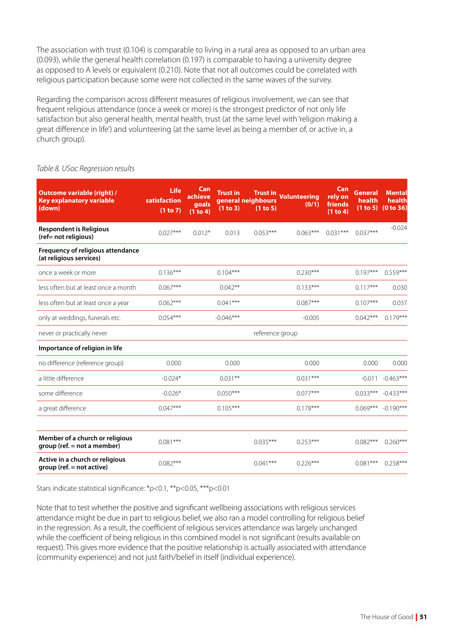The association with trust (0.104) is comparable to living in a rural area as opposed to an urban area (0.093), while the general health correlation (0.197) is comparable to having a university degree as opposed to A levels or equivalent (0.210). Note that not all outcomes could be correlated with religious participation because some were not collected in the same waves of the survey.

Regarding the comparison across different measures of religious involvement, we can see that frequent religious attendance (once a week or more) is the strongest predictor of not only life satisfaction but also general health, mental health, trust (at the same level with 'religion making a great difference in life') and volunteering (at the same level as being a member of, or active in, a church group).

#### *Table 8. USoc Regression results*

| Outcome variable (right) /<br><b>Key explanatory variable</b><br>(down) | <b>Life</b><br>satisfaction<br>(1 to 7) | Can<br>achieve<br>goals<br>(1 to 4) | <b>Trust in</b><br>(1 to 3) | <b>Trust in</b><br>general neighbours<br>(1 to 5) | <b>Volunteering</b><br>(0/1) | Can<br>rely on<br>friends<br>(1 to 4) | General<br>health<br>(1 to 5) | <b>Mental</b><br>health<br>(0 to 36) |
|-------------------------------------------------------------------------|-----------------------------------------|-------------------------------------|-----------------------------|---------------------------------------------------|------------------------------|---------------------------------------|-------------------------------|--------------------------------------|
| <b>Respondent is Religious</b><br>(ref= not religious)                  | $0.027***$                              | $0.012*$                            | 0.013                       | $0.053***$                                        | $0.063***$                   | $0.031***$                            | $0.037***$                    | $-0.024$                             |
| Frequency of religious attendance<br>(at religious services)            |                                         |                                     |                             |                                                   |                              |                                       |                               |                                      |
| once a week or more                                                     | $0.136***$                              |                                     | $0.104***$                  |                                                   | $0.230***$                   |                                       | $0.197***$                    | $0.559***$                           |
| less often but at least once a month                                    | $0.067***$                              |                                     | $0.042**$                   |                                                   | $0.133***$                   |                                       | $0.117***$                    | 0.030                                |
| less often but at least once a year                                     | $0.062***$                              |                                     | $0.041***$                  |                                                   | $0.087***$                   |                                       | $0.107***$                    | 0.037                                |
| only at weddings, funerals etc.                                         | $0.054***$                              |                                     | $-0.046***$                 |                                                   | $-0.005$                     |                                       | $0.042***$                    | $0.179***$                           |
| never or practically never                                              |                                         |                                     |                             | reference group                                   |                              |                                       |                               |                                      |
| Importance of religion in life                                          |                                         |                                     |                             |                                                   |                              |                                       |                               |                                      |
| no difference (reference group)                                         | 0.000                                   |                                     | 0.000                       |                                                   | 0.000                        |                                       | 0.000                         | 0.000                                |
| a little difference                                                     | $-0.024*$                               |                                     | $0.031***$                  |                                                   | $0.031***$                   |                                       | $-0.011$                      | $-0.463***$                          |
| some difference                                                         | $-0.026*$                               |                                     | $0.050***$                  |                                                   | $0.077***$                   |                                       | $0.033***$                    | $-0.433***$                          |
| a great difference                                                      | $0.047***$                              |                                     | $0.105***$                  |                                                   | $0.178***$                   |                                       | $0.069***$                    | $-0.190***$                          |
| Member of a church or religious<br>group (ref. = not a member)          | $0.081***$                              |                                     |                             | $0.035***$                                        | $0.253***$                   |                                       | $0.082***$                    | $0.260***$                           |
| Active in a church or religious<br>group (ref. = not active)            | $0.082***$                              |                                     |                             | $0.041***$                                        | $0.226***$                   |                                       | $0.081***$                    | $0.258***$                           |

Stars indicate statistical significance: \*p<0.1, \*\*p<0.05, \*\*\*p<0.01

Note that to test whether the positive and significant wellbeing associations with religious services attendance might be due in part to religious belief, we also ran a model controlling for religious belief in the regression. As a result, the coefficient of religious services attendance was largely unchanged while the coefficient of being religious in this combined model is not significant (results available on request). This gives more evidence that the positive relationship is actually associated with attendance (community experience) and not just faith/belief in itself (individual experience).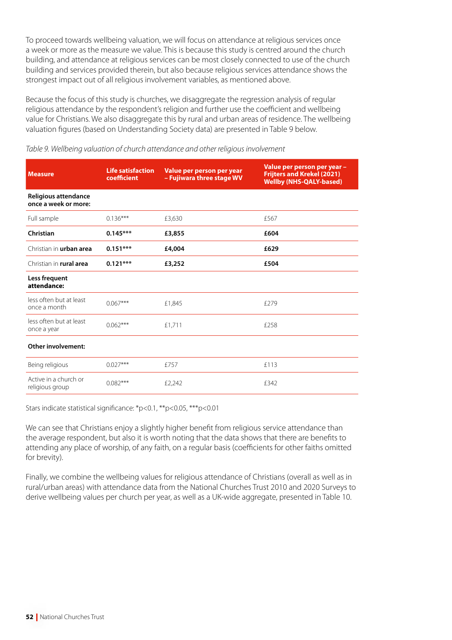To proceed towards wellbeing valuation, we will focus on attendance at religious services once a week or more as the measure we value. This is because this study is centred around the church building, and attendance at religious services can be most closely connected to use of the church building and services provided therein, but also because religious services attendance shows the strongest impact out of all religious involvement variables, as mentioned above.

Because the focus of this study is churches, we disaggregate the regression analysis of regular religious attendance by the respondent's religion and further use the coefficient and wellbeing value for Christians. We also disaggregate this by rural and urban areas of residence. The wellbeing valuation figures (based on Understanding Society data) are presented in Table 9 below.

| <b>Measure</b>                               | <b>Life satisfaction</b><br>coefficient | Value per person per year<br>- Fujiwara three stage WV | Value per person per year -<br><b>Frijters and Krekel (2021)</b><br><b>Wellby (NHS-QALY-based)</b> |
|----------------------------------------------|-----------------------------------------|--------------------------------------------------------|----------------------------------------------------------------------------------------------------|
| Religious attendance<br>once a week or more: |                                         |                                                        |                                                                                                    |
| Full sample                                  | $0.136***$                              | £3,630                                                 | £567                                                                                               |
| Christian                                    | $0.145***$                              | £3,855                                                 | £604                                                                                               |
| Christian in <b>urban area</b>               | $0.151***$                              | £4,004                                                 | £629                                                                                               |
| Christian in rural area                      | $0.121***$                              | £3,252                                                 | £504                                                                                               |
| Less frequent<br>attendance:                 |                                         |                                                        |                                                                                                    |
| less often but at least<br>once a month      | $0.067***$                              | £1,845                                                 | f279                                                                                               |
| less often but at least<br>once a year       | $0.062***$                              | £1,711                                                 | £258                                                                                               |
| Other involvement:                           |                                         |                                                        |                                                                                                    |
| Being religious                              | $0.027***$                              | £757                                                   | £113                                                                                               |
| Active in a church or<br>religious group     | $0.082***$                              | £2,242                                                 | £342                                                                                               |

*Table 9. Wellbeing valuation of church attendance and other religious involvement*

Stars indicate statistical significance: \*p<0.1, \*\*p<0.05, \*\*\*p<0.01

We can see that Christians enjoy a slightly higher benefit from religious service attendance than the average respondent, but also it is worth noting that the data shows that there are benefits to attending any place of worship, of any faith, on a regular basis (coefficients for other faiths omitted for brevity).

Finally, we combine the wellbeing values for religious attendance of Christians (overall as well as in rural/urban areas) with attendance data from the National Churches Trust 2010 and 2020 Surveys to derive wellbeing values per church per year, as well as a UK-wide aggregate, presented in Table 10.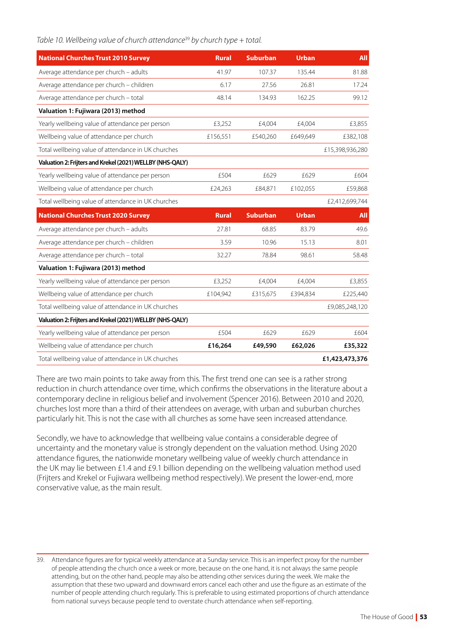|  | Table 10. Wellbeing value of church attendance <sup>39</sup> by church type + total. |  |  |
|--|--------------------------------------------------------------------------------------|--|--|
|  |                                                                                      |  |  |

| <b>National Churches Trust 2010 Survey</b>                | <b>Rural</b> | <b>Suburban</b> | <b>Urban</b> | <b>All</b>      |
|-----------------------------------------------------------|--------------|-----------------|--------------|-----------------|
| Average attendance per church - adults                    | 41.97        | 107.37          | 135.44       | 81.88           |
| Average attendance per church - children                  | 6.17         | 27.56           | 26.81        | 17.24           |
| Average attendance per church - total                     | 48.14        | 134.93          | 162.25       | 99.12           |
| Valuation 1: Fujiwara (2013) method                       |              |                 |              |                 |
| Yearly wellbeing value of attendance per person           | £3,252       | £4,004          | £4,004       | £3,855          |
| Wellbeing value of attendance per church                  | £156,551     | £540,260        | £649,649     | £382,108        |
| Total wellbeing value of attendance in UK churches        |              |                 |              | £15,398,936,280 |
| Valuation 2: Frijters and Krekel (2021) WELLBY (NHS-QALY) |              |                 |              |                 |
| Yearly wellbeing value of attendance per person           | £504         | £629            | £629         | £604            |
| Wellbeing value of attendance per church                  | £24,263      | £84,871         | £102,055     | £59,868         |
| Total wellbeing value of attendance in UK churches        |              |                 |              | £2,412,699,744  |
| <b>National Churches Trust 2020 Survey</b>                | <b>Rural</b> | <b>Suburban</b> | <b>Urban</b> | <b>All</b>      |
| Average attendance per church - adults                    |              |                 |              |                 |
|                                                           | 27.81        | 68.85           | 83.79        | 49.6            |
| Average attendance per church - children                  | 3.59         | 10.96           | 15.13        | 8.01            |
| Average attendance per church - total                     | 32.27        | 78.84           | 98.61        | 58.48           |
| Valuation 1: Fujiwara (2013) method                       |              |                 |              |                 |
| Yearly wellbeing value of attendance per person           | £3,252       | £4,004          | £4,004       | £3,855          |
| Wellbeing value of attendance per church                  | £104,942     | £315,675        | £394,834     | £225,440        |
| Total wellbeing value of attendance in UK churches        |              |                 |              | £9,085,248,120  |
| Valuation 2: Frijters and Krekel (2021) WELLBY (NHS-QALY) |              |                 |              |                 |
| Yearly wellbeing value of attendance per person           | £504         | £629            | £629         | £604            |
| Wellbeing value of attendance per church                  | £16,264      | £49,590         | £62,026      | £35,322         |

There are two main points to take away from this. The first trend one can see is a rather strong reduction in church attendance over time, which confirms the observations in the literature about a contemporary decline in religious belief and involvement (Spencer 2016). Between 2010 and 2020, churches lost more than a third of their attendees on average, with urban and suburban churches particularly hit. This is not the case with all churches as some have seen increased attendance.

Secondly, we have to acknowledge that wellbeing value contains a considerable degree of uncertainty and the monetary value is strongly dependent on the valuation method. Using 2020 attendance figures, the nationwide monetary wellbeing value of weekly church attendance in the UK may lie between £1.4 and £9.1 billion depending on the wellbeing valuation method used (Frijters and Krekel or Fujiwara wellbeing method respectively). We present the lower-end, more conservative value, as the main result.

<sup>39.</sup> Attendance figures are for typical weekly attendance at a Sunday service. This is an imperfect proxy for the number of people attending the church once a week or more, because on the one hand, it is not always the same people attending, but on the other hand, people may also be attending other services during the week. We make the assumption that these two upward and downward errors cancel each other and use the figure as an estimate of the number of people attending church regularly. This is preferable to using estimated proportions of church attendance from national surveys because people tend to overstate church attendance when self-reporting.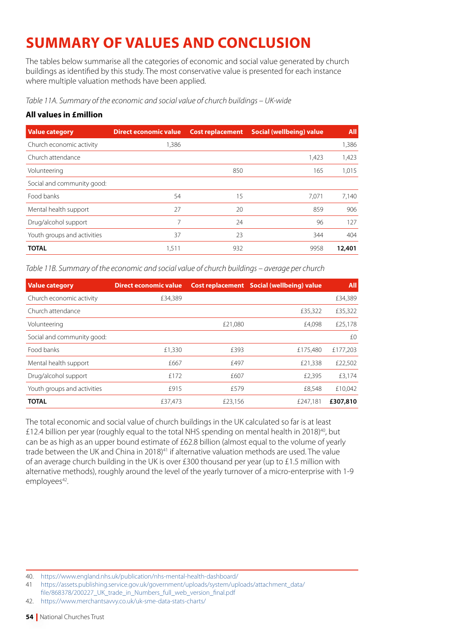# **SUMMARY OF VALUES AND CONCLUSION**

The tables below summarise all the categories of economic and social value generated by church buildings as identified by this study. The most conservative value is presented for each instance where multiple valuation methods have been applied.

*Table 11A. Summary of the economic and social value of church buildings – UK-wide*

# **All values in £million**

| <b>Value category</b>       | <b>Direct economic value</b> | <b>Cost replacement</b> | Social (wellbeing) value | <b>All</b> |
|-----------------------------|------------------------------|-------------------------|--------------------------|------------|
| Church economic activity    | 1,386                        |                         |                          | 1,386      |
| Church attendance           |                              |                         | 1,423                    | 1,423      |
| Volunteering                |                              | 850                     | 165                      | 1,015      |
| Social and community good:  |                              |                         |                          |            |
| Food banks                  | 54                           | 15                      | 7.071                    | 7.140      |
| Mental health support       | 27                           | 20                      | 859                      | 906        |
| Drug/alcohol support        | 7                            | 24                      | 96                       | 127        |
| Youth groups and activities | 37                           | 23                      | 344                      | 404        |
| <b>TOTAL</b>                | 1,511                        | 932                     | 9958                     | 12,401     |

*Table 11B. Summary of the economic and social value of church buildings – average per church*

| <b>Value category</b>       | <b>Direct economic value</b> |         | <b>Cost replacement</b> Social (wellbeing) value | <b>All</b> |
|-----------------------------|------------------------------|---------|--------------------------------------------------|------------|
| Church economic activity    | £34,389                      |         |                                                  | £34,389    |
| Church attendance           |                              |         | £35,322                                          | £35,322    |
| Volunteering                |                              | £21,080 | £4,098                                           | £25,178    |
| Social and community good:  |                              |         |                                                  | £0         |
| Food banks                  | £1,330                       | £393    | £175.480                                         | £177,203   |
| Mental health support       | f667                         | f497    | £21,338                                          | £22,502    |
| Drug/alcohol support        | f 172                        | £607    | £2,395                                           | £3,174     |
| Youth groups and activities | £915                         | f579    | £8,548                                           | £10,042    |
| <b>TOTAL</b>                | £37,473                      | £23,156 | £247.181                                         | £307,810   |

The total economic and social value of church buildings in the UK calculated so far is at least £12.4 billion per year (roughly equal to the total NHS spending on mental health in 2018)<sup>40</sup>, but can be as high as an upper bound estimate of £62.8 billion (almost equal to the volume of yearly trade between the UK and China in 2018)<sup>41</sup> if alternative valuation methods are used. The value of an average church building in the UK is over £300 thousand per year (up to £1.5 million with alternative methods), roughly around the level of the yearly turnover of a micro-enterprise with 1-9 employees<sup>42</sup>.

<sup>40.</sup> <https://www.england.nhs.uk/publication/nhs-mental-health-dashboard/>

<sup>41</sup> [https://assets.publishing.service.gov.uk/government/uploads/system/uploads/attachment\\_data/](https://assets.publishing.service.gov.uk/government/uploads/system/uploads/attachment_data/file/868378/200227_UK_trade_in_Numbers_full_web_version_final.pdf)

[file/868378/200227\\_UK\\_trade\\_in\\_Numbers\\_full\\_web\\_version\\_final.pdf](https://assets.publishing.service.gov.uk/government/uploads/system/uploads/attachment_data/file/868378/200227_UK_trade_in_Numbers_full_web_version_final.pdf)

<sup>42.</sup> <https://www.merchantsavvy.co.uk/uk-sme-data-stats-charts/>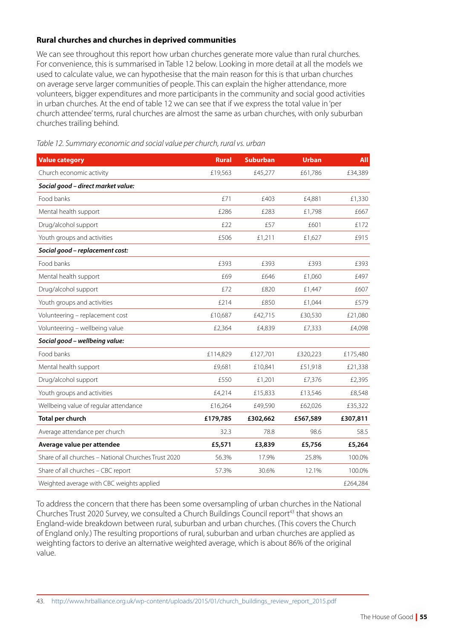# **Rural churches and churches in deprived communities**

We can see throughout this report how urban churches generate more value than rural churches. For convenience, this is summarised in Table 12 below. Looking in more detail at all the models we used to calculate value, we can hypothesise that the main reason for this is that urban churches on average serve larger communities of people. This can explain the higher attendance, more volunteers, bigger expenditures and more participants in the community and social good activities in urban churches. At the end of table 12 we can see that if we express the total value in 'per church attendee' terms, rural churches are almost the same as urban churches, with only suburban churches trailing behind.

| <b>Value category</b>                                | <b>Rural</b> | <b>Suburban</b> | <b>Urban</b> | <b>All</b> |
|------------------------------------------------------|--------------|-----------------|--------------|------------|
| Church economic activity                             | £19,563      | £45,277         | £61,786      | £34,389    |
| Social good - direct market value:                   |              |                 |              |            |
| Food banks                                           | £71          | £403            | £4,881       | £1,330     |
| Mental health support                                | £286         | £283            | £1,798       | £667       |
| Drug/alcohol support                                 | £22          | £57             | £601         | £172       |
| Youth groups and activities                          | £506         | £1,211          | £1,627       | £915       |
| Social good - replacement cost:                      |              |                 |              |            |
| Food banks                                           | £393         | £393            | £393         | £393       |
| Mental health support                                | £69          | £646            | £1,060       | £497       |
| Drug/alcohol support                                 | £72          | £820            | £1,447       | £607       |
| Youth groups and activities                          | £214         | £850            | £1,044       | £579       |
| Volunteering - replacement cost                      | £10,687      | £42,715         | £30,530      | £21,080    |
| Volunteering - wellbeing value                       | £2,364       | £4,839          | £7,333       | £4,098     |
| Social good - wellbeing value:                       |              |                 |              |            |
| Food banks                                           | £114,829     | £127,701        | £320,223     | £175,480   |
| Mental health support                                | £9,681       | £10,841         | £51,918      | £21,338    |
| Drug/alcohol support                                 | £550         | £1,201          | £7,376       | £2,395     |
| Youth groups and activities                          | £4,214       | £15,833         | £13,546      | £8,548     |
| Wellbeing value of regular attendance                | £16,264      | £49,590         | £62,026      | £35,322    |
| Total per church                                     | £179,785     | £302,662        | £567,589     | £307,811   |
| Average attendance per church                        | 32.3         | 78.8            | 98.6         | 58.5       |
| Average value per attendee                           | £5,571       | £3,839          | £5,756       | £5,264     |
| Share of all churches - National Churches Trust 2020 | 56.3%        | 17.9%           | 25.8%        | 100.0%     |
| Share of all churches - CBC report                   | 57.3%        | 30.6%           | 12.1%        | 100.0%     |
| Weighted average with CBC weights applied            |              |                 |              | £264,284   |

*Table 12. Summary economic and social value per church, rural vs. urban*

To address the concern that there has been some oversampling of urban churches in the National Churches Trust 2020 Survey, we consulted a Church Buildings Council report<sup>43</sup> that shows an England-wide breakdown between rural, suburban and urban churches. (This covers the Church of England only.) The resulting proportions of rural, suburban and urban churches are applied as weighting factors to derive an alternative weighted average, which is about 86% of the original value.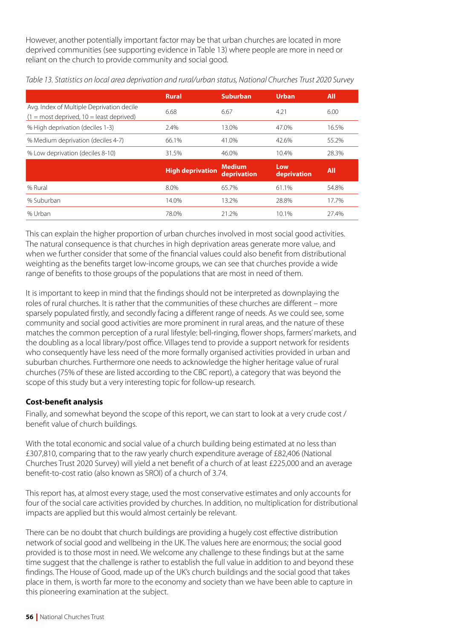However, another potentially important factor may be that urban churches are located in more deprived communities (see supporting evidence in Table 13) where people are more in need or reliant on the church to provide community and social good.

|                                                                                           | <b>Rural</b>            | <b>Suburban</b>              | <b>Urban</b>       | <b>All</b> |
|-------------------------------------------------------------------------------------------|-------------------------|------------------------------|--------------------|------------|
| Avg. Index of Multiple Deprivation decile<br>$(1 = most$ deprived, $10 =$ least deprived) | 6.68                    | 6.67                         | 4.21               | 6.00       |
| % High deprivation (deciles 1-3)                                                          | 2.4%                    | 13.0%                        | 47.0%              | 16.5%      |
| % Medium deprivation (deciles 4-7)                                                        | 66.1%                   | 41.0%                        | 42.6%              | 55.2%      |
| % Low deprivation (deciles 8-10)                                                          | 31.5%                   | 46.0%                        | 10.4%              | 28.3%      |
|                                                                                           |                         |                              |                    |            |
|                                                                                           | <b>High deprivation</b> | <b>Medium</b><br>deprivation | Low<br>deprivation | <b>All</b> |
| % Rural                                                                                   | 8.0%                    | 65.7%                        | 61.1%              | 54.8%      |
| % Suburban                                                                                | 14.0%                   | 13.2%                        | 28.8%              | 17.7%      |

*Table 13. Statistics on local area deprivation and rural/urban status, National Churches Trust 2020 Survey*

This can explain the higher proportion of urban churches involved in most social good activities. The natural consequence is that churches in high deprivation areas generate more value, and when we further consider that some of the financial values could also benefit from distributional weighting as the benefits target low-income groups, we can see that churches provide a wide range of benefits to those groups of the populations that are most in need of them.

It is important to keep in mind that the findings should not be interpreted as downplaying the roles of rural churches. It is rather that the communities of these churches are different – more sparsely populated firstly, and secondly facing a different range of needs. As we could see, some community and social good activities are more prominent in rural areas, and the nature of these matches the common perception of a rural lifestyle: bell-ringing, flower shops, farmers' markets, and the doubling as a local library/post office. Villages tend to provide a support network for residents who consequently have less need of the more formally organised activities provided in urban and suburban churches. Furthermore one needs to acknowledge the higher heritage value of rural churches (75% of these are listed according to the CBC report), a category that was beyond the scope of this study but a very interesting topic for follow-up research.

# **Cost-benefit analysis**

Finally, and somewhat beyond the scope of this report, we can start to look at a very crude cost / benefit value of church buildings.

With the total economic and social value of a church building being estimated at no less than £307,810, comparing that to the raw yearly church expenditure average of £82,406 (National Churches Trust 2020 Survey) will yield a net benefit of a church of at least £225,000 and an average benefit-to-cost ratio (also known as SROI) of a church of 3.74.

This report has, at almost every stage, used the most conservative estimates and only accounts for four of the social care activities provided by churches. In addition, no multiplication for distributional impacts are applied but this would almost certainly be relevant.

There can be no doubt that church buildings are providing a hugely cost effective distribution network of social good and wellbeing in the UK. The values here are enormous; the social good provided is to those most in need. We welcome any challenge to these findings but at the same time suggest that the challenge is rather to establish the full value in addition to and beyond these findings. The House of Good, made up of the UK's church buildings and the social good that takes place in them, is worth far more to the economy and society than we have been able to capture in this pioneering examination at the subject.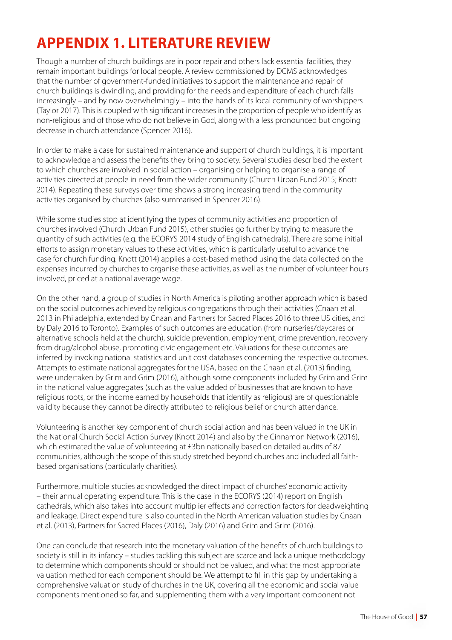# **APPENDIX 1. LITERATURE REVIEW**

Though a number of church buildings are in poor repair and others lack essential facilities, they remain important buildings for local people. A review commissioned by DCMS acknowledges that the number of government-funded initiatives to support the maintenance and repair of church buildings is dwindling, and providing for the needs and expenditure of each church falls increasingly – and by now overwhelmingly – into the hands of its local community of worshippers (Taylor 2017). This is coupled with significant increases in the proportion of people who identify as non-religious and of those who do not believe in God, along with a less pronounced but ongoing decrease in church attendance (Spencer 2016).

In order to make a case for sustained maintenance and support of church buildings, it is important to acknowledge and assess the benefits they bring to society. Several studies described the extent to which churches are involved in social action – organising or helping to organise a range of activities directed at people in need from the wider community (Church Urban Fund 2015; Knott 2014). Repeating these surveys over time shows a strong increasing trend in the community activities organised by churches (also summarised in Spencer 2016).

While some studies stop at identifying the types of community activities and proportion of churches involved (Church Urban Fund 2015), other studies go further by trying to measure the quantity of such activities (e.g. the ECORYS 2014 study of English cathedrals). There are some initial efforts to assign monetary values to these activities, which is particularly useful to advance the case for church funding. Knott (2014) applies a cost-based method using the data collected on the expenses incurred by churches to organise these activities, as well as the number of volunteer hours involved, priced at a national average wage.

On the other hand, a group of studies in North America is piloting another approach which is based on the social outcomes achieved by religious congregations through their activities (Cnaan et al. 2013 in Philadelphia, extended by Cnaan and Partners for Sacred Places 2016 to three US cities, and by Daly 2016 to Toronto). Examples of such outcomes are education (from nurseries/daycares or alternative schools held at the church), suicide prevention, employment, crime prevention, recovery from drug/alcohol abuse, promoting civic engagement etc. Valuations for these outcomes are inferred by invoking national statistics and unit cost databases concerning the respective outcomes. Attempts to estimate national aggregates for the USA, based on the Cnaan et al. (2013) finding, were undertaken by Grim and Grim (2016), although some components included by Grim and Grim in the national value aggregates (such as the value added of businesses that are known to have religious roots, or the income earned by households that identify as religious) are of questionable validity because they cannot be directly attributed to religious belief or church attendance.

Volunteering is another key component of church social action and has been valued in the UK in the National Church Social Action Survey (Knott 2014) and also by the Cinnamon Network (2016), which estimated the value of volunteering at £3bn nationally based on detailed audits of 87 communities, although the scope of this study stretched beyond churches and included all faithbased organisations (particularly charities).

Furthermore, multiple studies acknowledged the direct impact of churches' economic activity – their annual operating expenditure. This is the case in the ECORYS (2014) report on English cathedrals, which also takes into account multiplier effects and correction factors for deadweighting and leakage. Direct expenditure is also counted in the North American valuation studies by Cnaan et al. (2013), Partners for Sacred Places (2016), Daly (2016) and Grim and Grim (2016).

One can conclude that research into the monetary valuation of the benefits of church buildings to society is still in its infancy – studies tackling this subject are scarce and lack a unique methodology to determine which components should or should not be valued, and what the most appropriate valuation method for each component should be. We attempt to fill in this gap by undertaking a comprehensive valuation study of churches in the UK, covering all the economic and social value components mentioned so far, and supplementing them with a very important component not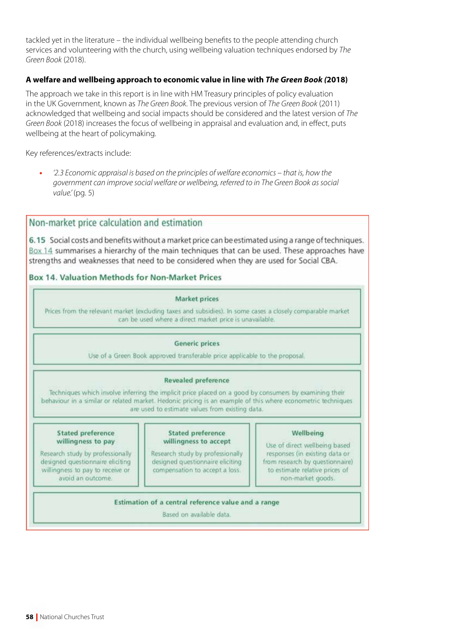tackled yet in the literature – the individual wellbeing benefits to the people attending church services and volunteering with the church, using wellbeing valuation techniques endorsed by *The Green Book* (2018).

#### **A welfare and wellbeing approach to economic value in line with** *The Green Book (***2018)**

The approach we take in this report is in line with HM Treasury principles of policy evaluation in the UK Government, known as *The Green Book*. The previous version of *The Green Book* (2011) acknowledged that wellbeing and social impacts should be considered and the latest version of *The Green Book* (2018) increases the focus of wellbeing in appraisal and evaluation and, in effect, puts wellbeing at the heart of policymaking.

Key references/extracts include:

**•** *'2.3 Economic appraisal is based on the principles of welfare economics – that is, how the government can improve social welfare or wellbeing, referred to in The Green Book as social value.'* (pg. 5)

# Non-market price calculation and estimation

6.15 Social costs and benefits without a market price can be estimated using a range of techniques. Box 14 summarises a hierarchy of the main techniques that can be used. These approaches have strengths and weaknesses that need to be considered when they are used for Social CBA.

# **Box 14, Valuation Methods for Non-Market Prices**

#### **Market prices**

Prices from the relevant market (excluding taxes and subsidies). In some cases a closely comparable market can be used where a direct market price is unavailable.

#### **Generic prices**

Use of a Green Book approved transferable price applicable to the proposal.

#### **Revealed preference**

Techniques which involve inferring the implicit price placed on a good by consumers by examining their behaviour in a similar or related market. Hedonic pricing is an example of this where econometric techniques are used to estimate values from existing data.

#### **Stated preference** willingness to pay

Research study by professionally designed questionnaire eliciting willingness to pay to receive or avoid an outcome.

#### **Stated preference** willingness to accept

Research study by professionally designed questionnaire eliciting compensation to accept a loss.

#### Wellbeing

Use of direct wellbeing based responses (in existing data or from research by questionnaire) to estimate relative prices of non-market goods.

#### Estimation of a central reference value and a range

Based on available data.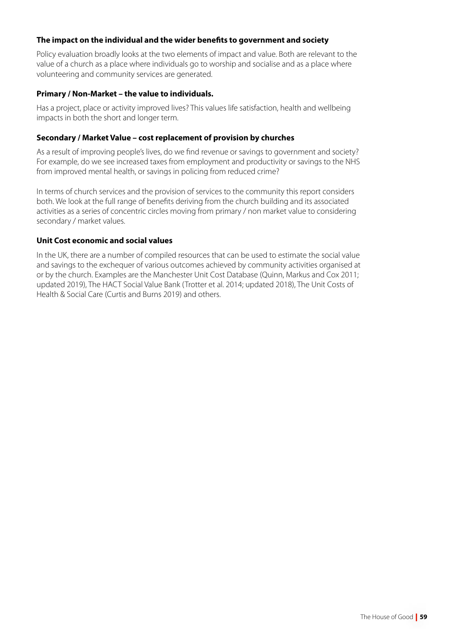# **The impact on the individual and the wider benefits to government and society**

Policy evaluation broadly looks at the two elements of impact and value. Both are relevant to the value of a church as a place where individuals go to worship and socialise and as a place where volunteering and community services are generated.

#### **Primary / Non-Market – the value to individuals.**

Has a project, place or activity improved lives? This values life satisfaction, health and wellbeing impacts in both the short and longer term.

#### **Secondary / Market Value – cost replacement of provision by churches**

As a result of improving people's lives, do we find revenue or savings to government and society? For example, do we see increased taxes from employment and productivity or savings to the NHS from improved mental health, or savings in policing from reduced crime?

In terms of church services and the provision of services to the community this report considers both. We look at the full range of benefits deriving from the church building and its associated activities as a series of concentric circles moving from primary / non market value to considering secondary / market values.

# **Unit Cost economic and social values**

In the UK, there are a number of compiled resources that can be used to estimate the social value and savings to the exchequer of various outcomes achieved by community activities organised at or by the church. Examples are the Manchester Unit Cost Database (Quinn, Markus and Cox 2011; updated 2019), The HACT Social Value Bank (Trotter et al. 2014; updated 2018), The Unit Costs of Health & Social Care (Curtis and Burns 2019) and others.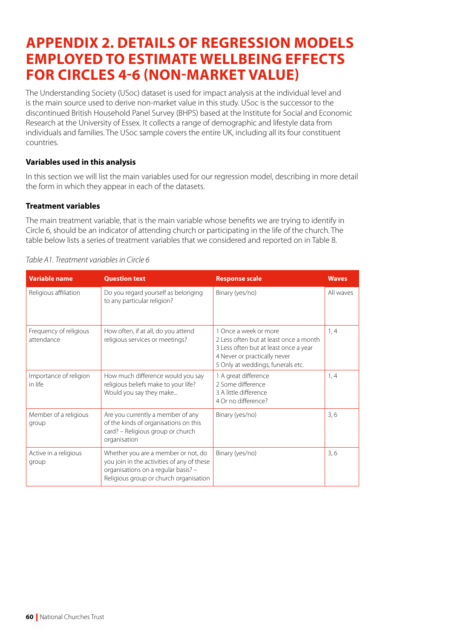# **APPENDIX 2. DETAILS OF REGRESSION MODELS EMPLOYED TO ESTIMATE WELLBEING EFFECTS FOR CIRCLES 4-6 (NON-MARKET VALUE)**

The Understanding Society (USoc) dataset is used for impact analysis at the individual level and is the main source used to derive non-market value in this study. USoc is the successor to the discontinued British Household Panel Survey (BHPS) based at the [Institute for Social and Economic](https://www.iser.essex.ac.uk/)  [Research](https://www.iser.essex.ac.uk/) at the [University of Essex.](https://www.essex.ac.uk/) It collects a range of demographic and lifestyle data from individuals and families. The USoc sample covers the entire UK, including all its four constituent countries.

# **Variables used in this analysis**

In this section we will list the main variables used for our regression model, describing in more detail the form in which they appear in each of the datasets.

# **Treatment variables**

The main treatment variable, that is the main variable whose benefits we are trying to identify in Circle 6, should be an indicator of attending church or participating in the life of the church. The table below lists a series of treatment variables that we considered and reported on in Table 8.

| <b>Variable name</b>                 | <b>Question text</b>                                                                                                                                               | <b>Response scale</b>                                                                                                                                                         | <b>Waves</b> |
|--------------------------------------|--------------------------------------------------------------------------------------------------------------------------------------------------------------------|-------------------------------------------------------------------------------------------------------------------------------------------------------------------------------|--------------|
| Religious affiliation                | Do you regard yourself as belonging<br>to any particular religion?                                                                                                 | Binary (yes/no)                                                                                                                                                               | All waves    |
| Frequency of religious<br>attendance | How often, if at all, do you attend<br>religious services or meetings?                                                                                             | 1 Once a week or more<br>2 Less often but at least once a month<br>3 Less often but at least once a year<br>4 Never or practically never<br>5 Only at weddings, funerals etc. | 1, 4         |
| Importance of religion<br>in life    | How much difference would you say<br>religious beliefs make to your life?<br>Would you say they make                                                               | 1 A great difference<br>2 Some difference<br>3 A little difference<br>4 Or no difference?                                                                                     | 1,4          |
| Member of a religious<br>group       | Are you currently a member of any<br>of the kinds of organisations on this<br>card? - Religious group or church<br>organisation                                    | Binary (yes/no)                                                                                                                                                               | 3,6          |
| Active in a religious<br>group       | Whether you are a member or not, do<br>you join in the activities of any of these<br>organisations on a regular basis? -<br>Religious group or church organisation | Binary (yes/no)                                                                                                                                                               | 3,6          |

#### *Table A1. Treatment variables in Circle 6*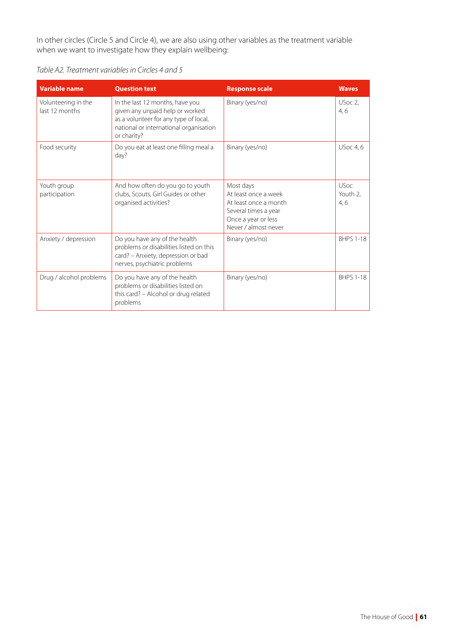In other circles (Circle 5 and Circle 4), we are also using other variables as the treatment variable when we want to investigate how they explain wellbeing:

*Table A2. Treatment variables in Circles 4 and 5*

| <b>Variable name</b>                  | <b>Question text</b>                                                                                                                                                 | <b>Response scale</b>                                                                                                             | <b>Waves</b>                   |
|---------------------------------------|----------------------------------------------------------------------------------------------------------------------------------------------------------------------|-----------------------------------------------------------------------------------------------------------------------------------|--------------------------------|
| Volunteering in the<br>last 12 months | In the last 12 months, have you<br>given any unpaid help or worked<br>as a volunteer for any type of local,<br>national or international organisation<br>or charity? | Binary (yes/no)                                                                                                                   | USoc 2,<br>4,6                 |
| Food security                         | Do you eat at least one filling meal a<br>day?                                                                                                                       | Binary (yes/no)                                                                                                                   | <b>USoc 4, 6</b>               |
| Youth group<br>participation          | And how often do you go to youth<br>clubs, Scouts, Girl Guides or other<br>organised activities?                                                                     | Most days<br>At least once a week<br>At least once a month<br>Several times a year<br>Once a year or less<br>Never / almost never | <b>USoc</b><br>Youth 2.<br>4,6 |
| Anxiety / depression                  | Do you have any of the health<br>problems or disabilities listed on this<br>card? - Anxiety, depression or bad<br>nerves, psychiatric problems                       | Binary (yes/no)                                                                                                                   | <b>BHPS 1-18</b>               |
| Drug / alcohol problems               | Do you have any of the health<br>problems or disabilities listed on<br>this card? - Alcohol or drug related<br>problems                                              | Binary (yes/no)                                                                                                                   | <b>BHPS 1-18</b>               |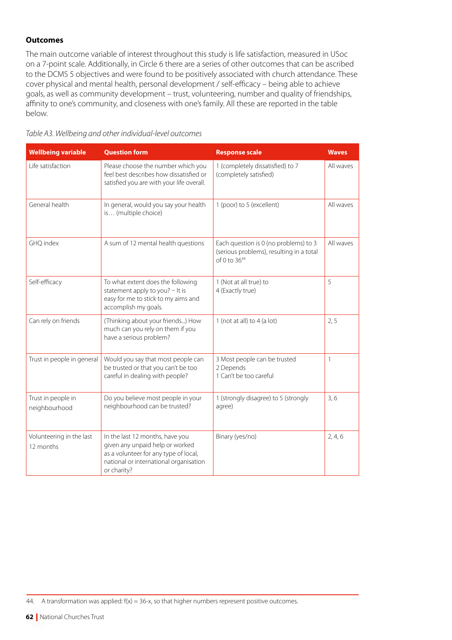# **Outcomes**

The main outcome variable of interest throughout this study is life satisfaction, measured in USoc on a 7-point scale. Additionally, in Circle 6 there are a series of other outcomes that can be ascribed to the DCMS 5 objectives and were found to be positively associated with church attendance. These cover physical and mental health, personal development / self-efficacy – being able to achieve goals, as well as community development – trust, volunteering, number and quality of friendships, affinity to one's community, and closeness with one's family. All these are reported in the table below.

|  | Table A3. Wellbeing and other individual-level outcomes |  |
|--|---------------------------------------------------------|--|
|  |                                                         |  |

| <b>Wellbeing variable</b>             | <b>Question form</b>                                                                                                                                                 | <b>Response scale</b>                                                                             | <b>Waves</b> |
|---------------------------------------|----------------------------------------------------------------------------------------------------------------------------------------------------------------------|---------------------------------------------------------------------------------------------------|--------------|
| Life satisfaction                     | Please choose the number which you<br>feel best describes how dissatisfied or<br>satisfied you are with your life overall.                                           | 1 (completely dissatisfied) to 7<br>(completely satisfied)                                        | All waves    |
| General health                        | In general, would you say your health<br>is (multiple choice)                                                                                                        | 1 (poor) to 5 (excellent)                                                                         | All waves    |
| GHQ index                             | A sum of 12 mental health questions                                                                                                                                  | Each question is 0 (no problems) to 3<br>(serious problems), resulting in a total<br>of 0 to 3644 | All waves    |
| Self-efficacy                         | To what extent does the following<br>statement apply to you? - It is<br>easy for me to stick to my aims and<br>accomplish my goals.                                  | 1 (Not at all true) to<br>4 (Exactly true)                                                        | 5            |
| Can rely on friends                   | (Thinking about your friends) How<br>much can you rely on them if you<br>have a serious problem?                                                                     | 1 (not at all) to $4$ (a lot)                                                                     | 2, 5         |
| Trust in people in general            | Would you say that most people can<br>be trusted or that you can't be too<br>careful in dealing with people?                                                         | 3 Most people can be trusted<br>2 Depends<br>1 Can't be too careful                               | 1            |
| Trust in people in<br>neighbourhood   | Do you believe most people in your<br>neighbourhood can be trusted?                                                                                                  | 1 (strongly disagree) to 5 (strongly<br>agree)                                                    | 3,6          |
| Volunteering in the last<br>12 months | In the last 12 months, have you<br>given any unpaid help or worked<br>as a volunteer for any type of local,<br>national or international organisation<br>or charity? | Binary (yes/no)                                                                                   | 2, 4, 6      |

44. A transformation was applied: f(x) = 36-x, so that higher numbers represent positive outcomes.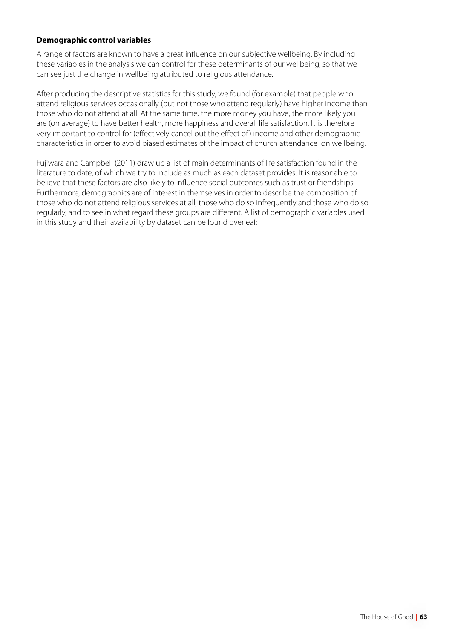# **Demographic control variables**

A range of factors are known to have a great influence on our subjective wellbeing. By including these variables in the analysis we can control for these determinants of our wellbeing, so that we can see just the change in wellbeing attributed to religious attendance.

After producing the descriptive statistics for this study, we found (for example) that people who attend religious services occasionally (but not those who attend regularly) have higher income than those who do not attend at all. At the same time, the more money you have, the more likely you are (on average) to have better health, more happiness and overall life satisfaction. It is therefore very important to control for (effectively cancel out the effect of ) income and other demographic characteristics in order to avoid biased estimates of the impact of church attendance on wellbeing.

Fujiwara and Campbell (2011) draw up a list of main determinants of life satisfaction found in the literature to date, of which we try to include as much as each dataset provides. It is reasonable to believe that these factors are also likely to influence social outcomes such as trust or friendships. Furthermore, demographics are of interest in themselves in order to describe the composition of those who do not attend religious services at all, those who do so infrequently and those who do so regularly, and to see in what regard these groups are different. A list of demographic variables used in this study and their availability by dataset can be found overleaf: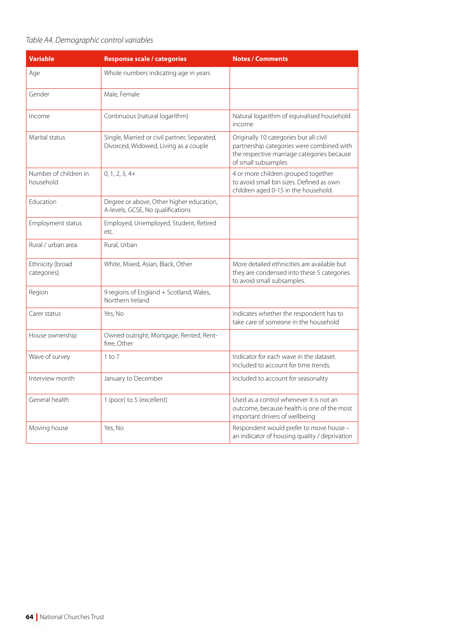# *Table A4. Demographic control variables*

| <b>Variable</b>                    | <b>Response scale / categories</b>                                                    | <b>Notes / Comments</b>                                                                                                                                  |
|------------------------------------|---------------------------------------------------------------------------------------|----------------------------------------------------------------------------------------------------------------------------------------------------------|
| Age                                | Whole numbers indicating age in years                                                 |                                                                                                                                                          |
| Gender                             | Male, Female                                                                          |                                                                                                                                                          |
| Income                             | Continuous (natural logarithm)                                                        | Natural logarithm of equivalised household<br>income                                                                                                     |
| Marital status                     | Single, Married or civil partner, Separated,<br>Divorced, Widowed, Living as a couple | Originally 10 categories but all civil<br>partnership categories were combined with<br>the respective marriage categories because<br>of small subsamples |
| Number of children in<br>household | $0, 1, 2, 3, 4+$                                                                      | 4 or more children grouped together<br>to avoid small bin sizes. Defined as own<br>children aged 0-15 in the household.                                  |
| Education                          | Degree or above, Other higher education,<br>A-levels, GCSE, No qualifications         |                                                                                                                                                          |
| Employment status                  | Employed, Unemployed, Student, Retired<br>etc.                                        |                                                                                                                                                          |
| Rural / urban area                 | Rural, Urban                                                                          |                                                                                                                                                          |
| Ethnicity (broad<br>categories)    | White, Mixed, Asian, Black, Other                                                     | More detailed ethnicities are available but<br>they are condensed into these 5 categories<br>to avoid small subsamples.                                  |
| Region                             | 9 regions of England + Scotland, Wales,<br>Northern Ireland                           |                                                                                                                                                          |
| Carer status                       | Yes, No                                                                               | Indicates whether the respondent has to<br>take care of someone in the household                                                                         |
| House ownership                    | Owned outright, Mortgage, Rented, Rent-<br>free. Other                                |                                                                                                                                                          |
| Wave of survey                     | $1$ to $7$                                                                            | Indicator for each wave in the dataset.<br>Included to account for time trends.                                                                          |
| Interview month                    | January to December                                                                   | Included to account for seasonality                                                                                                                      |
| General health                     | 1 (poor) to 5 (excellent)                                                             | Used as a control whenever it is not an<br>outcome, because health is one of the most<br>important drivers of wellbeing                                  |
| Moving house                       | Yes, No                                                                               | Respondent would prefer to move house -<br>an indicator of housing quality / deprivation                                                                 |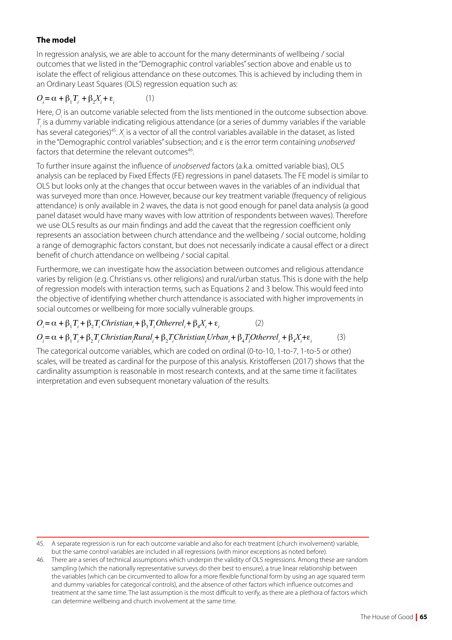# **The model**

In regression analysis, we are able to account for the many determinants of wellbeing / social outcomes that we listed in the "Demographic control variables" section above and enable us to isolate the effect of religious attendance on these outcomes. This is achieved by including them in an Ordinary Least Squares (OLS) regression equation such as:

#### $O_i = \alpha + \beta_1 T_i + \beta_2 X_i + \varepsilon_i$ (1)

Here, O<sub>i</sub> is an outcome variable selected from the lists mentioned in the outcome subsection above.  $T_{\!\!_\text{I}}$  is a dummy variable indicating religious attendance (or a series of dummy variables if the variable has several categories)<sup>45</sup>.  $X_{\!\scriptscriptstyle\rm i}$  is a vector of all the control variables available in the dataset, as listed in the "Demographic control variables" subsection; and ε is the error term containing *unobserved* factors that determine the relevant outcomes<sup>46</sup>.

To further insure against the influence of *unobserved* factors (a.k.a. omitted variable bias), OLS analysis can be replaced by Fixed Effects (FE) regressions in panel datasets. The FE model is similar to OLS but looks only at the changes that occur between waves in the variables of an individual that was surveyed more than once. However, because our key treatment variable (frequency of religious attendance) is only available in 2 waves, the data is not good enough for panel data analysis (a good panel dataset would have many waves with low attrition of respondents between waves). Therefore we use OLS results as our main findings and add the caveat that the regression coefficient only represents an association between church attendance and the wellbeing / social outcome, holding a range of demographic factors constant, but does not necessarily indicate a causal effect or a direct benefit of church attendance on wellbeing / social capital.

Furthermore, we can investigate how the association between outcomes and religious attendance varies by religion (e.g. Christians vs. other religions) and rural/urban status. This is done with the help of regression models with interaction terms, such as Equations 2 and 3 below. This would feed into the objective of identifying whether church attendance is associated with higher improvements in social outcomes or wellbeing for more socially vulnerable groups.

$$
O_i = \alpha + \beta_1 T_i + \beta_2 T_i Christian_i + \beta_3 T_i Otherrel_i + \beta_4 X_i + \varepsilon_i
$$
 (2)

# $O_i = \alpha + \beta_1 T_i + \beta_2 T_i$ Christian<sub>i</sub>Rural<sub>i</sub> +  $\beta_2 T_i$ Christian<sub>i</sub>Urban<sub>i</sub> +  $\beta_4 T_i$ Otherrel<sub>i</sub> +  $\beta_4 X_i + \varepsilon_i$  (3)

The categorical outcome variables, which are coded on ordinal (0-to-10, 1-to-7, 1-to-5 or other) scales, will be treated as cardinal for the purpose of this analysis. Kristoffersen (2017) shows that the cardinality assumption is reasonable in most research contexts, and at the same time it facilitates interpretation and even subsequent monetary valuation of the results.

<sup>45.</sup> A separate regression is run for each outcome variable and also for each treatment (church involvement) variable, but the same control variables are included in all regressions (with minor exceptions as noted before).

<sup>46.</sup> There are a series of technical assumptions which underpin the validity of OLS regressions. Among these are random sampling (which the nationally representative surveys do their best to ensure), a true linear relationship between the variables (which can be circumvented to allow for a more flexible functional form by using an age squared term and dummy variables for categorical controls), and the absence of other factors which influence outcomes and treatment at the same time. The last assumption is the most difficult to verify, as there are a plethora of factors which can determine wellbeing and church involvement at the same time.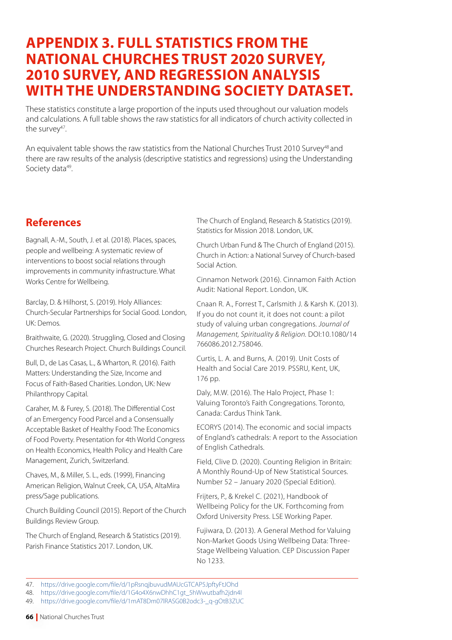# **APPENDIX 3. FULL STATISTICS FROM THE NATIONAL CHURCHES TRUST 2020 SURVEY, 2010 SURVEY, AND REGRESSION ANALYSIS WITH THE UNDERSTANDING SOCIETY DATASET.**

These statistics constitute a large proportion of the inputs used throughout our valuation models and calculations. A full table shows the raw statistics for all indicators of church activity collected in the survey $47$ .

An equivalent table shows the raw statistics from the National Churches Trust 2010 Survey<sup>48</sup> and there are raw results of the analysis (descriptive statistics and regressions) using the Understanding Society data<sup>49</sup>.

# **References**

Bagnall, A.-M., South, J. et al. (2018). Places, spaces, people and wellbeing: A systematic review of interventions to boost social relations through improvements in community infrastructure. What Works Centre for Wellbeing.

Barclay, D. & Hilhorst, S. (2019). Holy Alliances: Church-Secular Partnerships for Social Good. London, UK: Demos.

Braithwaite, G. (2020). Struggling, Closed and Closing Churches Research Project. Church Buildings Council.

Bull, D., de Las Casas, L., & Wharton, R. (2016). Faith Matters: Understanding the Size, Income and Focus of Faith-Based Charities. London, UK: New Philanthropy Capital.

Caraher, M. & Furey, S. (2018). The Differential Cost of an Emergency Food Parcel and a Consensually Acceptable Basket of Healthy Food: The Economics of Food Poverty. Presentation for 4th World Congress on Health Economics, Health Policy and Health Care Management, Zurich, Switzerland.

Chaves, M., & Miller, S. L., eds. (1999), Financing American Religion, Walnut Creek, CA, USA, AltaMira press/Sage publications.

Church Building Council (2015). Report of the Church Buildings Review Group.

The Church of England, Research & Statistics (2019). Parish Finance Statistics 2017. London, UK.

The Church of England, Research & Statistics (2019). Statistics for Mission 2018. London, UK.

Church Urban Fund & The Church of England (2015). Church in Action: a National Survey of Church-based Social Action.

Cinnamon Network (2016). Cinnamon Faith Action Audit: National Report. London, UK.

Cnaan R. A., Forrest T., Carlsmith J. & Karsh K. (2013). If you do not count it, it does not count: a pilot study of valuing urban congregations. *Journal of Management, Spirituality & Religion.* DOI:10.1080/14 766086.2012.758046.

Curtis, L. A. and Burns, A. (2019). Unit Costs of Health and Social Care 2019. PSSRU, Kent, UK, 176 pp.

Daly, M.W. (2016). The Halo Project, Phase 1: Valuing Toronto's Faith Congregations. Toronto, Canada: Cardus Think Tank.

ECORYS (2014). The economic and social impacts of England's cathedrals: A report to the Association of English Cathedrals.

Field, Clive D. (2020). Counting Religion in Britain: A Monthly Round-Up of New Statistical Sources. Number 52 – January 2020 (Special Edition).

Frijters, P., & Krekel C. (2021), Handbook of Wellbeing Policy for the UK. Forthcoming from Oxford University Press. LSE Working Paper.

Fujiwara, D. (2013). A General Method for Valuing Non-Market Goods Using Wellbeing Data: Three-Stage Wellbeing Valuation. CEP Discussion Paper No 1233.

<sup>47.</sup> <https://drive.google.com/file/d/1pRsnqjbuvudMAUcGTCAP5JpftyFtJOhd>

<sup>48.</sup> [https://drive.google.com/file/d/1G4o4X6nwDhhC1gt\\_5hWwutbafh2jdn4I](https://drive.google.com/file/d/1G4o4X6nwDhhC1gt_5hWwutbafh2jdn4I)

<sup>49.</sup> [https://drive.google.com/file/d/1mAT8Dm07lRASG0B2odc3-\\_q-gOtB3ZUC](https://drive.google.com/file/d/1mAT8Dm07lRASG0B2odc3-_q-gOtB3ZUC)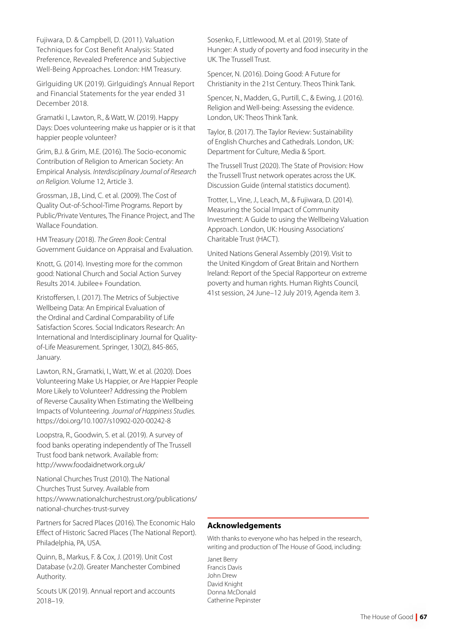Fujiwara, D. & Campbell, D. (2011). Valuation Techniques for Cost Benefit Analysis: Stated Preference, Revealed Preference and Subjective Well-Being Approaches. London: HM Treasury.

Girlguiding UK (2019). Girlguiding's Annual Report and Financial Statements for the year ended 31 December 2018.

Gramatki I., Lawton, R., & Watt, W. (2019). Happy Days: Does volunteering make us happier or is it that happier people volunteer?

Grim, B.J. & Grim, M.E. (2016). The Socio-economic Contribution of Religion to American Society: An Empirical Analysis. *Interdisciplinary Journal of Research on Religion.* Volume 12, Article 3.

Grossman, J.B., Lind, C. et al. (2009). The Cost of Quality Out-of-School-Time Programs. Report by Public/Private Ventures, The Finance Project, and The Wallace Foundation.

HM Treasury (2018). *The Green Book*: Central Government Guidance on Appraisal and Evaluation.

Knott, G. (2014). Investing more for the common good: National Church and Social Action Survey Results 2014. Jubilee+ Foundation.

Kristoffersen, I. (2017). The Metrics of Subjective Wellbeing Data: An Empirical Evaluation of the Ordinal and Cardinal Comparability of Life Satisfaction Scores. Social Indicators Research: An International and Interdisciplinary Journal for Qualityof-Life Measurement. Springer, 130(2), 845-865, January.

Lawton, R.N., Gramatki, I., Watt, W. et al. (2020). Does Volunteering Make Us Happier, or Are Happier People More Likely to Volunteer? Addressing the Problem of Reverse Causality When Estimating the Wellbeing Impacts of Volunteering. *Journal of Happiness Studies.* <https://doi.org/10.1007/s10902-020-00242-8>

Loopstra, R., Goodwin, S. et al. (2019). A survey of food banks operating independently of The Trussell Trust food bank network. Available from: http://www.foodaidnetwork.org.uk/

National Churches Trust (2010). The National Churches Trust Survey. Available from https://www.nationalchurchestrust.org/publications/ national-churches-trust-survey

Partners for Sacred Places (2016). The Economic Halo Effect of Historic Sacred Places (The National Report). Philadelphia, PA, USA.

Quinn, B., Markus, F. & Cox, J. (2019). Unit Cost Database (v.2.0). Greater Manchester Combined Authority.

Scouts UK (2019). Annual report and accounts 2018–19.

Sosenko, F., Littlewood, M. et al. (2019). State of Hunger: A study of poverty and food insecurity in the UK. The Trussell Trust.

Spencer, N. (2016). Doing Good: A Future for Christianity in the 21st Century. Theos Think Tank.

Spencer, N., Madden, G., Purtill, C., & Ewing, J. (2016). Religion and Well-being: Assessing the evidence. London, UK: Theos Think Tank.

Taylor, B. (2017). The Taylor Review: Sustainability of English Churches and Cathedrals. London, UK: Department for Culture, Media & Sport.

The Trussell Trust (2020). The State of Provision: How the Trussell Trust network operates across the UK. Discussion Guide (internal statistics document).

Trotter, L., Vine, J., Leach, M., & Fujiwara, D. (2014). Measuring the Social Impact of Community Investment: A Guide to using the Wellbeing Valuation Approach. London, UK: Housing Associations' Charitable Trust (HACT).

United Nations General Assembly (2019). Visit to the United Kingdom of Great Britain and Northern Ireland: Report of the Special Rapporteur on extreme poverty and human rights. Human Rights Council, 41st session, 24 June–12 July 2019, Agenda item 3.

# **Acknowledgements**

With thanks to everyone who has helped in the research, writing and production of The House of Good, including:

Janet Berry Francis Davis John Drew David Knight Donna McDonald Catherine Pepinster